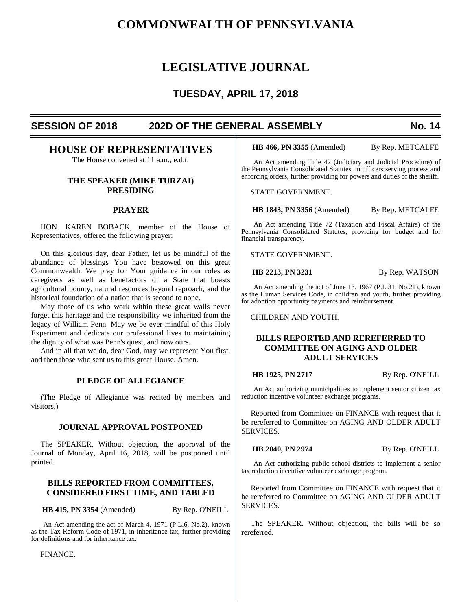# **COMMONWEALTH OF PENNSYLVANIA**

# **LEGISLATIVE JOURNAL**

# **TUESDAY, APRIL 17, 2018**

# **SESSION OF 2018 202D OF THE GENERAL ASSEMBLY No. 14**

# **HOUSE OF REPRESENTATIVES**

The House convened at 11 a.m., e.d.t.

### **THE SPEAKER (MIKE TURZAI) PRESIDING**

### **PRAYER**

 HON. KAREN BOBACK, member of the House of Representatives, offered the following prayer:

 On this glorious day, dear Father, let us be mindful of the abundance of blessings You have bestowed on this great Commonwealth. We pray for Your guidance in our roles as caregivers as well as benefactors of a State that boasts agricultural bounty, natural resources beyond reproach, and the historical foundation of a nation that is second to none.

 May those of us who work within these great walls never forget this heritage and the responsibility we inherited from the legacy of William Penn. May we be ever mindful of this Holy Experiment and dedicate our professional lives to maintaining the dignity of what was Penn's quest, and now ours.

 And in all that we do, dear God, may we represent You first, and then those who sent us to this great House. Amen.

### **PLEDGE OF ALLEGIANCE**

 (The Pledge of Allegiance was recited by members and visitors.)

### **JOURNAL APPROVAL POSTPONED**

 The SPEAKER. Without objection, the approval of the Journal of Monday, April 16, 2018, will be postponed until printed.

### **BILLS REPORTED FROM COMMITTEES, CONSIDERED FIRST TIME, AND TABLED**

**HB 415, PN 3354** (Amended) By Rep. O'NEILL

An Act amending the act of March 4, 1971 (P.L.6, No.2), known as the Tax Reform Code of 1971, in inheritance tax, further providing for definitions and for inheritance tax.

FINANCE.

**HB 466, PN 3355** (Amended) By Rep. METCALFE

An Act amending Title 42 (Judiciary and Judicial Procedure) of the Pennsylvania Consolidated Statutes, in officers serving process and enforcing orders, further providing for powers and duties of the sheriff.

STATE GOVERNMENT.

**HB 1843, PN 3356** (Amended) By Rep. METCALFE

An Act amending Title 72 (Taxation and Fiscal Affairs) of the Pennsylvania Consolidated Statutes, providing for budget and for financial transparency.

STATE GOVERNMENT.

**HB 2213, PN 3231** By Rep. WATSON

An Act amending the act of June 13, 1967 (P.L.31, No.21), known as the Human Services Code, in children and youth, further providing for adoption opportunity payments and reimbursement.

CHILDREN AND YOUTH.

## **BILLS REPORTED AND REREFERRED TO COMMITTEE ON AGING AND OLDER ADULT SERVICES**

#### **HB 1925, PN 2717** By Rep. O'NEILL

An Act authorizing municipalities to implement senior citizen tax reduction incentive volunteer exchange programs.

 Reported from Committee on FINANCE with request that it be rereferred to Committee on AGING AND OLDER ADULT SERVICES.

**HB 2040, PN 2974** By Rep. O'NEILL

An Act authorizing public school districts to implement a senior tax reduction incentive volunteer exchange program.

 Reported from Committee on FINANCE with request that it be rereferred to Committee on AGING AND OLDER ADULT SERVICES.

 The SPEAKER. Without objection, the bills will be so rereferred.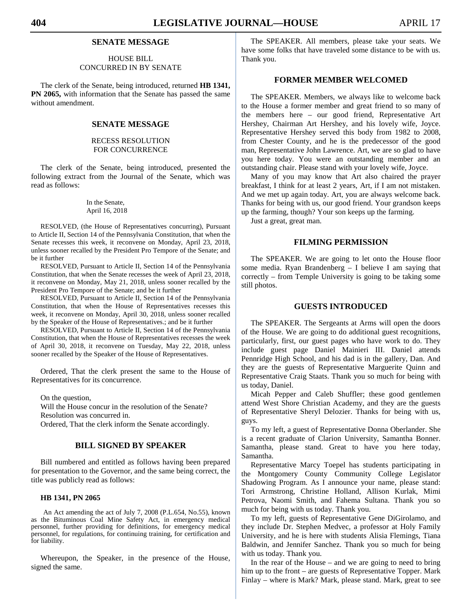### **SENATE MESSAGE**

### HOUSE BILL CONCURRED IN BY SENATE

 The clerk of the Senate, being introduced, returned **HB 1341, PN 2065,** with information that the Senate has passed the same without amendment.

### **SENATE MESSAGE**

#### RECESS RESOLUTION FOR CONCURRENCE

 The clerk of the Senate, being introduced, presented the following extract from the Journal of the Senate, which was read as follows:

#### In the Senate, April 16, 2018

 RESOLVED, (the House of Representatives concurring), Pursuant to Article II, Section 14 of the Pennsylvania Constitution, that when the Senate recesses this week, it reconvene on Monday, April 23, 2018, unless sooner recalled by the President Pro Tempore of the Senate; and be it further

 RESOLVED, Pursuant to Article II, Section 14 of the Pennsylvania Constitution, that when the Senate recesses the week of April 23, 2018, it reconvene on Monday, May 21, 2018, unless sooner recalled by the President Pro Tempore of the Senate; and be it further

 RESOLVED, Pursuant to Article II, Section 14 of the Pennsylvania Constitution, that when the House of Representatives recesses this week, it reconvene on Monday, April 30, 2018, unless sooner recalled by the Speaker of the House of Representatives.; and be it further

 RESOLVED, Pursuant to Article II, Section 14 of the Pennsylvania Constitution, that when the House of Representatives recesses the week of April 30, 2018, it reconvene on Tuesday, May 22, 2018, unless sooner recalled by the Speaker of the House of Representatives.

 Ordered, That the clerk present the same to the House of Representatives for its concurrence.

On the question,

Will the House concur in the resolution of the Senate?

Resolution was concurred in.

Ordered, That the clerk inform the Senate accordingly.

### **BILL SIGNED BY SPEAKER**

 Bill numbered and entitled as follows having been prepared for presentation to the Governor, and the same being correct, the title was publicly read as follows:

### **HB 1341, PN 2065**

An Act amending the act of July 7, 2008 (P.L.654, No.55), known as the Bituminous Coal Mine Safety Act, in emergency medical personnel, further providing for definitions, for emergency medical personnel, for regulations, for continuing training, for certification and for liability.

 Whereupon, the Speaker, in the presence of the House, signed the same.

 The SPEAKER. All members, please take your seats. We have some folks that have traveled some distance to be with us. Thank you.

### **FORMER MEMBER WELCOMED**

 The SPEAKER. Members, we always like to welcome back to the House a former member and great friend to so many of the members here – our good friend, Representative Art Hershey, Chairman Art Hershey, and his lovely wife, Joyce. Representative Hershey served this body from 1982 to 2008, from Chester County, and he is the predecessor of the good man, Representative John Lawrence. Art, we are so glad to have you here today. You were an outstanding member and an outstanding chair. Please stand with your lovely wife, Joyce.

 Many of you may know that Art also chaired the prayer breakfast, I think for at least 2 years, Art, if I am not mistaken. And we met up again today. Art, you are always welcome back. Thanks for being with us, our good friend. Your grandson keeps up the farming, though? Your son keeps up the farming.

Just a great, great man.

### **FILMING PERMISSION**

 The SPEAKER. We are going to let onto the House floor some media. Ryan Brandenberg – I believe I am saying that correctly – from Temple University is going to be taking some still photos.

#### **GUESTS INTRODUCED**

 The SPEAKER. The Sergeants at Arms will open the doors of the House. We are going to do additional guest recognitions, particularly, first, our guest pages who have work to do. They include guest page Daniel Mainieri III. Daniel attends Pennridge High School, and his dad is in the gallery, Dan. And they are the guests of Representative Marguerite Quinn and Representative Craig Staats. Thank you so much for being with us today, Daniel.

 Micah Pepper and Caleb Shuffler; these good gentlemen attend West Shore Christian Academy, and they are the guests of Representative Sheryl Delozier. Thanks for being with us, guys.

 To my left, a guest of Representative Donna Oberlander. She is a recent graduate of Clarion University, Samantha Bonner. Samantha, please stand. Great to have you here today, Samantha.

 Representative Marcy Toepel has students participating in the Montgomery County Community College Legislator Shadowing Program. As I announce your name, please stand: Tori Armstrong, Christine Holland, Allison Kurlak, Mimi Petrova, Naomi Smith, and Fahema Sultana. Thank you so much for being with us today. Thank you.

 To my left, guests of Representative Gene DiGirolamo, and they include Dr. Stephen Medvec, a professor at Holy Family University, and he is here with students Alisia Flemings, Tiana Baldwin, and Jennifer Sanchez. Thank you so much for being with us today. Thank you.

 In the rear of the House – and we are going to need to bring him up to the front – are guests of Representative Topper. Mark Finlay – where is Mark? Mark, please stand. Mark, great to see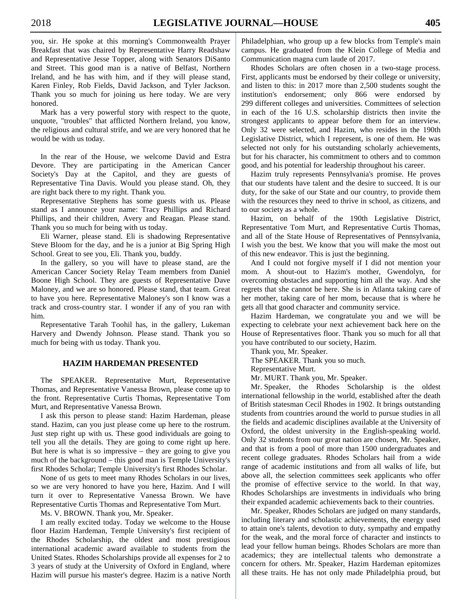you, sir. He spoke at this morning's Commonwealth Prayer Breakfast that was chaired by Representative Harry Readshaw and Representative Jesse Topper, along with Senators DiSanto and Street. This good man is a native of Belfast, Northern Ireland, and he has with him, and if they will please stand, Karen Finley, Rob Fields, David Jackson, and Tyler Jackson. Thank you so much for joining us here today. We are very honored.

 Mark has a very powerful story with respect to the quote, unquote, "troubles" that afflicted Northern Ireland, you know, the religious and cultural strife, and we are very honored that he would be with us today.

 In the rear of the House, we welcome David and Estra Devore. They are participating in the American Cancer Society's Day at the Capitol, and they are guests of Representative Tina Davis. Would you please stand. Oh, they are right back there to my right. Thank you.

 Representative Stephens has some guests with us. Please stand as I announce your name: Tracy Phillips and Richard Phillips, and their children, Avery and Reagan. Please stand. Thank you so much for being with us today.

 Eli Warner, please stand. Eli is shadowing Representative Steve Bloom for the day, and he is a junior at Big Spring High School. Great to see you, Eli. Thank you, buddy.

 In the gallery, so you will have to please stand, are the American Cancer Society Relay Team members from Daniel Boone High School. They are guests of Representative Dave Maloney, and we are so honored. Please stand, that team. Great to have you here. Representative Maloney's son I know was a track and cross-country star. I wonder if any of you ran with him.

 Representative Tarah Toohil has, in the gallery, Lukeman Harvery and Dwendy Johnson. Please stand. Thank you so much for being with us today. Thank you.

### **HAZIM HARDEMAN PRESENTED**

 The SPEAKER. Representative Murt, Representative Thomas, and Representative Vanessa Brown, please come up to the front. Representative Curtis Thomas, Representative Tom Murt, and Representative Vanessa Brown.

 I ask this person to please stand: Hazim Hardeman, please stand. Hazim, can you just please come up here to the rostrum. Just step right up with us. These good individuals are going to tell you all the details. They are going to come right up here. But here is what is so impressive – they are going to give you much of the background – this good man is Temple University's first Rhodes Scholar; Temple University's first Rhodes Scholar.

 None of us gets to meet many Rhodes Scholars in our lives, so we are very honored to have you here, Hazim. And I will turn it over to Representative Vanessa Brown. We have Representative Curtis Thomas and Representative Tom Murt.

Ms. V. BROWN. Thank you, Mr. Speaker.

 I am really excited today. Today we welcome to the House floor Hazim Hardeman, Temple University's first recipient of the Rhodes Scholarship, the oldest and most prestigious international academic award available to students from the United States. Rhodes Scholarships provide all expenses for 2 to 3 years of study at the University of Oxford in England, where Hazim will pursue his master's degree. Hazim is a native North Philadelphian, who group up a few blocks from Temple's main campus. He graduated from the Klein College of Media and Communication magna cum laude of 2017.

 Rhodes Scholars are often chosen in a two-stage process. First, applicants must be endorsed by their college or university, and listen to this: in 2017 more than 2,500 students sought the institution's endorsement; only 866 were endorsed by 299 different colleges and universities. Committees of selection in each of the 16 U.S. scholarship districts then invite the strongest applicants to appear before them for an interview. Only 32 were selected, and Hazim, who resides in the 190th Legislative District, which I represent, is one of them. He was selected not only for his outstanding scholarly achievements, but for his character, his commitment to others and to common good, and his potential for leadership throughout his career.

 Hazim truly represents Pennsylvania's promise. He proves that our students have talent and the desire to succeed. It is our duty, for the sake of our State and our country, to provide them with the resources they need to thrive in school, as citizens, and to our society as a whole.

 Hazim, on behalf of the 190th Legislative District, Representative Tom Murt, and Representative Curtis Thomas, and all of the State House of Representatives of Pennsylvania, I wish you the best. We know that you will make the most out of this new endeavor. This is just the beginning.

 And I could not forgive myself if I did not mention your mom. A shout-out to Hazim's mother, Gwendolyn, for overcoming obstacles and supporting him all the way. And she regrets that she cannot be here. She is in Atlanta taking care of her mother, taking care of her mom, because that is where he gets all that good character and community service.

 Hazim Hardeman, we congratulate you and we will be expecting to celebrate your next achievement back here on the House of Representatives floor. Thank you so much for all that you have contributed to our society, Hazim.

Thank you, Mr. Speaker.

The SPEAKER. Thank you so much.

Representative Murt.

Mr. MURT. Thank you, Mr. Speaker.

 Mr. Speaker, the Rhodes Scholarship is the oldest international fellowship in the world, established after the death of British statesman Cecil Rhodes in 1902. It brings outstanding students from countries around the world to pursue studies in all the fields and academic disciplines available at the University of Oxford, the oldest university in the English-speaking world. Only 32 students from our great nation are chosen, Mr. Speaker, and that is from a pool of more than 1500 undergraduates and recent college graduates. Rhodes Scholars hail from a wide range of academic institutions and from all walks of life, but above all, the selection committees seek applicants who offer the promise of effective service to the world. In that way, Rhodes Scholarships are investments in individuals who bring their expanded academic achievements back to their countries.

 Mr. Speaker, Rhodes Scholars are judged on many standards, including literary and scholastic achievements, the energy used to attain one's talents, devotion to duty, sympathy and empathy for the weak, and the moral force of character and instincts to lead your fellow human beings. Rhodes Scholars are more than academics; they are intellectual talents who demonstrate a concern for others. Mr. Speaker, Hazim Hardeman epitomizes all these traits. He has not only made Philadelphia proud, but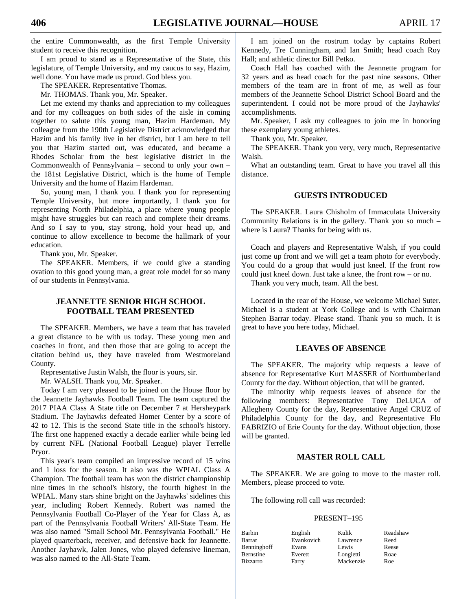the entire Commonwealth, as the first Temple University student to receive this recognition.

 I am proud to stand as a Representative of the State, this legislature, of Temple University, and my caucus to say, Hazim, well done. You have made us proud. God bless you.

The SPEAKER. Representative Thomas.

Mr. THOMAS. Thank you, Mr. Speaker.

 Let me extend my thanks and appreciation to my colleagues and for my colleagues on both sides of the aisle in coming together to salute this young man, Hazim Hardeman. My colleague from the 190th Legislative District acknowledged that Hazim and his family live in her district, but I am here to tell you that Hazim started out, was educated, and became a Rhodes Scholar from the best legislative district in the Commonwealth of Pennsylvania – second to only your own – the 181st Legislative District, which is the home of Temple University and the home of Hazim Hardeman.

 So, young man, I thank you. I thank you for representing Temple University, but more importantly, I thank you for representing North Philadelphia, a place where young people might have struggles but can reach and complete their dreams. And so I say to you, stay strong, hold your head up, and continue to allow excellence to become the hallmark of your education.

Thank you, Mr. Speaker.

 The SPEAKER. Members, if we could give a standing ovation to this good young man, a great role model for so many of our students in Pennsylvania.

## **JEANNETTE SENIOR HIGH SCHOOL FOOTBALL TEAM PRESENTED**

 The SPEAKER. Members, we have a team that has traveled a great distance to be with us today. These young men and coaches in front, and then those that are going to accept the citation behind us, they have traveled from Westmoreland County.

Representative Justin Walsh, the floor is yours, sir.

Mr. WALSH. Thank you, Mr. Speaker.

 Today I am very pleased to be joined on the House floor by the Jeannette Jayhawks Football Team. The team captured the 2017 PIAA Class A State title on December 7 at Hersheypark Stadium. The Jayhawks defeated Homer Center by a score of 42 to 12. This is the second State title in the school's history. The first one happened exactly a decade earlier while being led by current NFL (National Football League) player Terrelle Pryor.

 This year's team compiled an impressive record of 15 wins and 1 loss for the season. It also was the WPIAL Class A Champion. The football team has won the district championship nine times in the school's history, the fourth highest in the WPIAL. Many stars shine bright on the Jayhawks' sidelines this year, including Robert Kennedy. Robert was named the Pennsylvania Football Co-Player of the Year for Class A, as part of the Pennsylvania Football Writers' All-State Team. He was also named "Small School Mr. Pennsylvania Football." He played quarterback, receiver, and defensive back for Jeannette. Another Jayhawk, Jalen Jones, who played defensive lineman, was also named to the All-State Team.

 I am joined on the rostrum today by captains Robert Kennedy, Tre Cunningham, and Ian Smith; head coach Roy Hall; and athletic director Bill Petko.

 Coach Hall has coached with the Jeannette program for 32 years and as head coach for the past nine seasons. Other members of the team are in front of me, as well as four members of the Jeannette School District School Board and the superintendent. I could not be more proud of the Jayhawks' accomplishments.

 Mr. Speaker, I ask my colleagues to join me in honoring these exemplary young athletes.

Thank you, Mr. Speaker.

 The SPEAKER. Thank you very, very much, Representative Walsh.

 What an outstanding team. Great to have you travel all this distance.

### **GUESTS INTRODUCED**

 The SPEAKER. Laura Chisholm of Immaculata University Community Relations is in the gallery. Thank you so much – where is Laura? Thanks for being with us.

 Coach and players and Representative Walsh, if you could just come up front and we will get a team photo for everybody. You could do a group that would just kneel. If the front row could just kneel down. Just take a knee, the front row – or no.

Thank you very much, team. All the best.

 Located in the rear of the House, we welcome Michael Suter. Michael is a student at York College and is with Chairman Stephen Barrar today. Please stand. Thank you so much. It is great to have you here today, Michael.

### **LEAVES OF ABSENCE**

 The SPEAKER. The majority whip requests a leave of absence for Representative Kurt MASSER of Northumberland County for the day. Without objection, that will be granted.

 The minority whip requests leaves of absence for the following members: Representative Tony DeLUCA of Allegheny County for the day, Representative Angel CRUZ of Philadelphia County for the day, and Representative Flo FABRIZIO of Erie County for the day. Without objection, those will be granted.

### **MASTER ROLL CALL**

 The SPEAKER. We are going to move to the master roll. Members, please proceed to vote.

The following roll call was recorded:

#### PRESENT–195

| Barbin      | English    | Kulik     | Readshaw |
|-------------|------------|-----------|----------|
| Barrar      | Evankovich | Lawrence  | Reed     |
| Benninghoff | Evans      | Lewis     | Reese    |
| Bernstine   | Everett    | Longietti | Roae     |
| Bizzarro    | Farry      | Mackenzie | Roe      |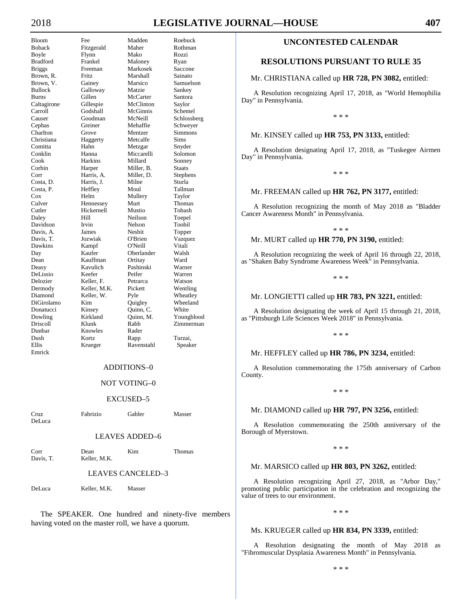# 2018 **LEGISLATIVE JOURNAL—HOUSE 407**

Costa, P.

DeLissio

#### Bloom Fee Madden Roebuck Boback Fitzgerald Maher Rothman<br>Boyle Flynn Mako Rozzi Boyle Flynn Mako Rozzi Bradford Frankel Maloney Ryan Briggs Freeman Markosek Saccone<br>Brown R Fritz Marshall Sainato Fritz Marshall Sainato Brown, V. Gainey Marsico Samuelson<br>Bullock Galloway Matzie Sankey Bullock Galloway Matzie Burns Gillen McCarter Santora<br>Caltagirone Gillespie McClinton Savlor Caltagirone Gillespie McClinton Saylor Carroll Godshall McGinnis Schemel Schlossberg Cephas Greiner Mehaffie Schweyer<br>
Charlton Grove Mentzer Simmons Simmons Christiana Haggerty Metcalfe Sims Comitta Hahn Metzgar Snyder Conklin Hanna Miccarelli Solomon Harkins Corbin Harper Miller, B. Staats Corr Harris, A. Miller, D. Stephens Costa, D. Harris, J. Milne Sturla Cox Helm Mullery Taylor Culver Hennessey Murt Thomas Cutler Hickernell Mustio Tobash Daley Hill Neilson Toepel<br>Davidson Irvin Nelson Toobil Davidson Irvin Nelson Toohil Davis, A. James Nesbit Topper<br>
Davis T. Jozwiak O'Brien Vazque Davis, T. Jozwiak O'Brien Vazquez Dawkins Kampf<br>Day Kaufer Day Kaufer Oberlander Walsh Dean Kauffman Ortitay Ward Deasy Kavulich Pashinski Warner Delozier Keller, F. Petrarca Watson Dermody Keller, M.K. Pickett Wentling<br>Diamond Keller W Pyle Wheatley Keller, W. DiGirolamo Kim Quigley Wheeland<br>Donatucci Kinsey Quinn, C. White Donatucci Kinsey Quinn, C. White<br>
Dowling Kirkland Quinn, M. Young Dowling Kirkland Quinn, M. Youngblood<br>Driscoll Klunk Rabb Zimmerman Zimmerman Dunbar Knowles Rader<br>
Dush Kortz Rapp Dush Kortz Rapp Turzai, Ellis Krueger Ravenstahl Speaker

### ADDITIONS–0

### NOT VOTING–0

#### EXCUSED–5

DeLuca

Emrick

Cruz Fabrizio Gabler Masser

### LEAVES ADDED–6

| Corr      | Dean         | Kim | Thomas |
|-----------|--------------|-----|--------|
| Davis, T. | Keller, M.K. |     |        |

### LEAVES CANCELED–3

DeLuca Keller, M.K. Masser

 The SPEAKER. One hundred and ninety-five members having voted on the master roll, we have a quorum.

### **UNCONTESTED CALENDAR**

### **RESOLUTIONS PURSUANT TO RULE 35**

Mr. CHRISTIANA called up **HR 728, PN 3082,** entitled:

A Resolution recognizing April 17, 2018, as "World Hemophilia Day" in Pennsylvania.

\* \* \*

#### Mr. KINSEY called up **HR 753, PN 3133,** entitled:

A Resolution designating April 17, 2018, as "Tuskegee Airmen Day" in Pennsylvania.

\* \* \*

#### Mr. FREEMAN called up **HR 762, PN 3177,** entitled:

A Resolution recognizing the month of May 2018 as "Bladder Cancer Awareness Month" in Pennsylvania.

\* \* \*

#### Mr. MURT called up **HR 770, PN 3190,** entitled:

A Resolution recognizing the week of April 16 through 22, 2018, as "Shaken Baby Syndrome Awareness Week" in Pennsylvania.

\* \* \*

#### Mr. LONGIETTI called up **HR 783, PN 3221,** entitled:

A Resolution designating the week of April 15 through 21, 2018, as "Pittsburgh Life Sciences Week 2018" in Pennsylvania.

\* \* \*

#### Mr. HEFFLEY called up **HR 786, PN 3234,** entitled:

A Resolution commemorating the 175th anniversary of Carbon County.

\* \* \*

#### Mr. DIAMOND called up **HR 797, PN 3256,** entitled:

A Resolution commemorating the 250th anniversary of the Borough of Myerstown.

\* \* \*

#### Mr. MARSICO called up **HR 803, PN 3262,** entitled:

A Resolution recognizing April 27, 2018, as "Arbor Day," promoting public participation in the celebration and recognizing the value of trees to our environment.

\* \* \*

#### Ms. KRUEGER called up **HR 834, PN 3339,** entitled:

A Resolution designating the month of May 2018 as "Fibromuscular Dysplasia Awareness Month" in Pennsylvania.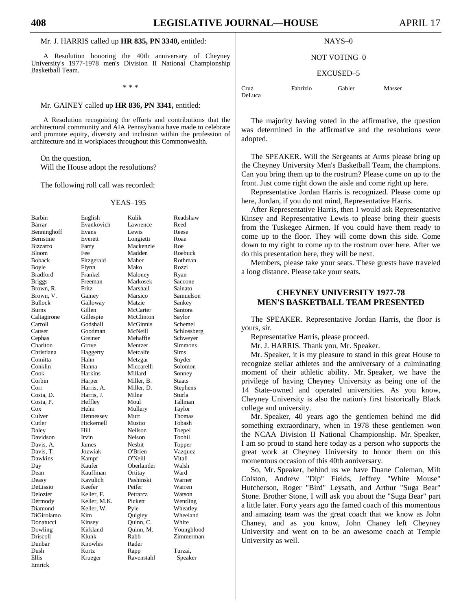### Mr. J. HARRIS called up **HR 835, PN 3340,** entitled:

A Resolution honoring the 40th anniversary of Cheyney University's 1977-1978 men's Division II National Championship Basketball Team.

\* \* \*

#### Mr. GAINEY called up **HR 836, PN 3341,** entitled:

A Resolution recognizing the efforts and contributions that the architectural community and AIA Pennsylvania have made to celebrate and promote equity, diversity and inclusion within the profession of architecture and in workplaces throughout this Commonwealth.

On the question,

Will the House adopt the resolutions?

The following roll call was recorded:

#### YEAS–195

| Barbin          | English      | Kulik      | Readshaw    |
|-----------------|--------------|------------|-------------|
| Barrar          | Evankovich   | Lawrence   | Reed        |
| Benninghoff     | Evans        | Lewis      | Reese       |
| Bernstine       | Everett      | Longietti  | Roae        |
| <b>Bizzarro</b> | Farry        | Mackenzie  | Roe         |
| Bloom           | Fee          | Madden     | Roebuck     |
| <b>Boback</b>   | Fitzgerald   | Maher      | Rothman     |
| Boyle           | Flynn        | Mako       | Rozzi       |
| <b>Bradford</b> | Frankel      | Maloney    | Ryan        |
| <b>Briggs</b>   | Freeman      | Markosek   | Saccone     |
| Brown, R.       | Fritz        | Marshall   | Sainato     |
| Brown, V.       | Gainey       | Marsico    | Samuelson   |
| <b>Bullock</b>  | Galloway     | Matzie     | Sankey      |
| <b>Burns</b>    | Gillen       | McCarter   | Santora     |
| Caltagirone     | Gillespie    | McClinton  | Saylor      |
| Carroll         | Godshall     | McGinnis   | Schemel     |
| Causer          | Goodman      | McNeill    | Schlossberg |
| Cephas          | Greiner      | Mehaffie   | Schweyer    |
| Charlton        | Grove        | Mentzer    | Simmons     |
| Christiana      | Haggerty     | Metcalfe   | Sims        |
| Comitta         | Hahn         | Metzgar    | Snyder      |
| Conklin         | Hanna        | Miccarelli | Solomon     |
| Cook            | Harkins      | Millard    | Sonney      |
| Corbin          | Harper       | Miller, B. | Staats      |
| Corr            | Harris, A.   | Miller, D. | Stephens    |
| Costa, D.       | Harris, J.   | Milne      | Sturla      |
| Costa, P.       | Heffley      | Moul       | Tallman     |
| Cox             | Helm         | Mullery    | Taylor      |
| Culver          | Hennessey    | Murt       | Thomas      |
| Cutler          | Hickernell   | Mustio     | Tobash      |
| Daley           | Hill         | Neilson    | Toepel      |
| Davidson        | Irvin        | Nelson     | Toohil      |
| Davis, A.       | James        | Nesbit     | Topper      |
| Davis, T.       | Jozwiak      | O'Brien    | Vazquez     |
| Dawkins         | Kampf        | O'Neill    | Vitali      |
| Day             | Kaufer       | Oberlander | Walsh       |
| Dean            | Kauffman     | Ortitay    | Ward        |
| Deasy           | Kavulich     | Pashinski  | Warner      |
| DeLissio        | Keefer       | Peifer     | Warren      |
| Delozier        | Keller, F.   | Petrarca   | Watson      |
| Dermody         | Keller, M.K. | Pickett    | Wentling    |
| Diamond         | Keller, W.   | Pyle       | Wheatley    |
| DiGirolamo      | Kim          | Quigley    | Wheeland    |
| Donatucci       | Kinsey       | Quinn, C.  | White       |
| Dowling         | Kirkland     | Quinn, M.  | Youngblood  |
| Driscoll        | Klunk        | Rabb       | Zimmerman   |
| Dunbar          | Knowles      | Rader      |             |
| Dush            | Kortz        | Rapp       | Turzai.     |
| Ellis           | Krueger      | Ravenstahl | Speaker     |
| Emrick          |              |            |             |
|                 |              |            |             |

#### NAYS–0

#### NOT VOTING–0

#### EXCUSED–5

Cruz Fabrizio Gabler Masser DeLuca

 The majority having voted in the affirmative, the question was determined in the affirmative and the resolutions were adopted.

 The SPEAKER. Will the Sergeants at Arms please bring up the Cheyney University Men's Basketball Team, the champions. Can you bring them up to the rostrum? Please come on up to the front. Just come right down the aisle and come right up here.

 Representative Jordan Harris is recognized. Please come up here, Jordan, if you do not mind, Representative Harris.

 After Representative Harris, then I would ask Representative Kinsey and Representative Lewis to please bring their guests from the Tuskegee Airmen. If you could have them ready to come up to the floor. They will come down this side. Come down to my right to come up to the rostrum over here. After we do this presentation here, they will be next.

 Members, please take your seats. These guests have traveled a long distance. Please take your seats.

### **CHEYNEY UNIVERSITY 1977-78 MEN'S BASKETBALL TEAM PRESENTED**

 The SPEAKER. Representative Jordan Harris, the floor is yours, sir.

Representative Harris, please proceed.

Mr. J. HARRIS. Thank you, Mr. Speaker.

 Mr. Speaker, it is my pleasure to stand in this great House to recognize stellar athletes and the anniversary of a culminating moment of their athletic ability. Mr. Speaker, we have the privilege of having Cheyney University as being one of the 14 State-owned and operated universities. As you know, Cheyney University is also the nation's first historically Black college and university.

 Mr. Speaker, 40 years ago the gentlemen behind me did something extraordinary, when in 1978 these gentlemen won the NCAA Division II National Championship. Mr. Speaker, I am so proud to stand here today as a person who supports the great work at Cheyney University to honor them on this momentous occasion of this 40th anniversary.

 So, Mr. Speaker, behind us we have Duane Coleman, Milt Colston, Andrew "Dip" Fields, Jeffrey "White Mouse" Hutcherson, Roger "Bird" Leysath, and Arthur "Suga Bear" Stone. Brother Stone, I will ask you about the "Suga Bear" part a little later. Forty years ago the famed coach of this momentous and amazing team was the great coach that we know as John Chaney, and as you know, John Chaney left Cheyney University and went on to be an awesome coach at Temple University as well.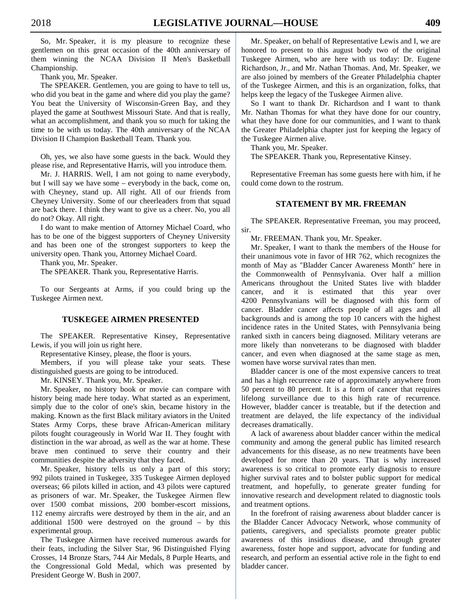So, Mr. Speaker, it is my pleasure to recognize these gentlemen on this great occasion of the 40th anniversary of them winning the NCAA Division II Men's Basketball Championship.

Thank you, Mr. Speaker.

 The SPEAKER. Gentlemen, you are going to have to tell us, who did you beat in the game and where did you play the game? You beat the University of Wisconsin-Green Bay, and they played the game at Southwest Missouri State. And that is really, what an accomplishment, and thank you so much for taking the time to be with us today. The 40th anniversary of the NCAA Division II Champion Basketball Team. Thank you.

 Oh, yes, we also have some guests in the back. Would they please rise, and Representative Harris, will you introduce them.

 Mr. J. HARRIS. Well, I am not going to name everybody, but I will say we have some – everybody in the back, come on, with Cheyney, stand up. All right. All of our friends from Cheyney University. Some of our cheerleaders from that squad are back there. I think they want to give us a cheer. No, you all do not? Okay. All right.

 I do want to make mention of Attorney Michael Coard, who has to be one of the biggest supporters of Cheyney University and has been one of the strongest supporters to keep the university open. Thank you, Attorney Michael Coard.

Thank you, Mr. Speaker.

The SPEAKER. Thank you, Representative Harris.

 To our Sergeants at Arms, if you could bring up the Tuskegee Airmen next.

### **TUSKEGEE AIRMEN PRESENTED**

 The SPEAKER. Representative Kinsey, Representative Lewis, if you will join us right here.

Representative Kinsey, please, the floor is yours.

 Members, if you will please take your seats. These distinguished guests are going to be introduced.

Mr. KINSEY. Thank you, Mr. Speaker.

 Mr. Speaker, no history book or movie can compare with history being made here today. What started as an experiment, simply due to the color of one's skin, became history in the making. Known as the first Black military aviators in the United States Army Corps, these brave African-American military pilots fought courageously in World War II. They fought with distinction in the war abroad, as well as the war at home. These brave men continued to serve their country and their communities despite the adversity that they faced.

 Mr. Speaker, history tells us only a part of this story; 992 pilots trained in Tuskegee, 335 Tuskegee Airmen deployed overseas; 66 pilots killed in action, and 43 pilots were captured as prisoners of war. Mr. Speaker, the Tuskegee Airmen flew over 1500 combat missions, 200 bomber-escort missions, 112 enemy aircrafts were destroyed by them in the air, and an additional 1500 were destroyed on the ground – by this experimental group.

 The Tuskegee Airmen have received numerous awards for their feats, including the Silver Star, 96 Distinguished Flying Crosses, 14 Bronze Stars, 744 Air Medals, 8 Purple Hearts, and the Congressional Gold Medal, which was presented by President George W. Bush in 2007.

 Mr. Speaker, on behalf of Representative Lewis and I, we are honored to present to this august body two of the original Tuskegee Airmen, who are here with us today: Dr. Eugene Richardson, Jr., and Mr. Nathan Thomas. And, Mr. Speaker, we are also joined by members of the Greater Philadelphia chapter of the Tuskegee Airmen, and this is an organization, folks, that helps keep the legacy of the Tuskegee Airmen alive.

 So I want to thank Dr. Richardson and I want to thank Mr. Nathan Thomas for what they have done for our country, what they have done for our communities, and I want to thank the Greater Philadelphia chapter just for keeping the legacy of the Tuskegee Airmen alive.

Thank you, Mr. Speaker.

The SPEAKER. Thank you, Representative Kinsey.

 Representative Freeman has some guests here with him, if he could come down to the rostrum.

### **STATEMENT BY MR. FREEMAN**

 The SPEAKER. Representative Freeman, you may proceed, sir.

Mr. FREEMAN. Thank you, Mr. Speaker.

 Mr. Speaker, I want to thank the members of the House for their unanimous vote in favor of HR 762, which recognizes the month of May as "Bladder Cancer Awareness Month" here in the Commonwealth of Pennsylvania. Over half a million Americans throughout the United States live with bladder cancer, and it is estimated that this year over 4200 Pennsylvanians will be diagnosed with this form of cancer. Bladder cancer affects people of all ages and all backgrounds and is among the top 10 cancers with the highest incidence rates in the United States, with Pennsylvania being ranked sixth in cancers being diagnosed. Military veterans are more likely than nonveterans to be diagnosed with bladder cancer, and even when diagnosed at the same stage as men, women have worse survival rates than men.

 Bladder cancer is one of the most expensive cancers to treat and has a high recurrence rate of approximately anywhere from 50 percent to 80 percent. It is a form of cancer that requires lifelong surveillance due to this high rate of recurrence. However, bladder cancer is treatable, but if the detection and treatment are delayed, the life expectancy of the individual decreases dramatically.

 A lack of awareness about bladder cancer within the medical community and among the general public has limited research advancements for this disease, as no new treatments have been developed for more than 20 years. That is why increased awareness is so critical to promote early diagnosis to ensure higher survival rates and to bolster public support for medical treatment, and hopefully, to generate greater funding for innovative research and development related to diagnostic tools and treatment options.

 In the forefront of raising awareness about bladder cancer is the Bladder Cancer Advocacy Network, whose community of patients, caregivers, and specialists promote greater public awareness of this insidious disease, and through greater awareness, foster hope and support, advocate for funding and research, and perform an essential active role in the fight to end bladder cancer.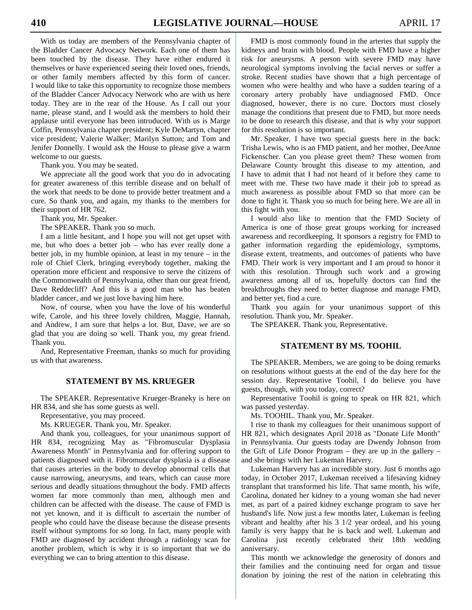With us today are members of the Pennsylvania chapter of the Bladder Cancer Advocacy Network. Each one of them has been touched by the disease. They have either endured it themselves or have experienced seeing their loved ones, friends, or other family members affected by this form of cancer. I would like to take this opportunity to recognize those members of the Bladder Cancer Advocacy Network who are with us here today. They are in the rear of the House. As I call out your name, please stand, and I would ask the members to hold their applause until everyone has been introduced. With us is Marge Coffin, Pennsylvania chapter president; Kyle DeMartyn, chapter vice president; Valerie Walker; Marilyn Sutton; and Tom and Jenifer Donnelly. I would ask the House to please give a warm welcome to our guests.

Thank you. You may be seated.

 We appreciate all the good work that you do in advocating for greater awareness of this terrible disease and on behalf of the work that needs to be done to provide better treatment and a cure. So thank you, and again, my thanks to the members for their support of HR 762.

Thank you, Mr. Speaker.

The SPEAKER. Thank you so much.

 I am a little hesitant, and I hope you will not get upset with me, but who does a better job – who has ever really done a better job, in my humble opinion, at least in my tenure – in the role of Chief Clerk, bringing everybody together, making the operation more efficient and responsive to serve the citizens of the Commonwealth of Pennsylvania, other than our great friend, Dave Reddecliff? And this is a good man who has beaten bladder cancer, and we just love having him here.

 Now, of course, when you have the love of his wonderful wife, Carole, and his three lovely children, Maggie, Hannah, and Andrew, I am sure that helps a lot. But, Dave, we are so glad that you are doing so well. Thank you, my great friend. Thank you.

 And, Representative Freeman, thanks so much for providing us with that awareness.

### **STATEMENT BY MS. KRUEGER**

 The SPEAKER. Representative Krueger-Braneky is here on HR 834, and she has some guests as well.

Representative, you may proceed.

Ms. KRUEGER. Thank you, Mr. Speaker.

 And thank you, colleagues, for your unanimous support of HR 834, recognizing May as "Fibromuscular Dysplasia Awareness Month" in Pennsylvania and for offering support to patients diagnosed with it. Fibromuscular dysplasia is a disease that causes arteries in the body to develop abnormal cells that cause narrowing, aneurysms, and tears, which can cause more serious and deadly situations throughout the body. FMD affects women far more commonly than men, although men and children can be affected with the disease. The cause of FMD is not yet known, and it is difficult to ascertain the number of people who could have the disease because the disease presents itself without symptoms for so long. In fact, many people with FMD are diagnosed by accident through a radiology scan for another problem, which is why it is so important that we do everything we can to bring attention to this disease.

 FMD is most commonly found in the arteries that supply the kidneys and brain with blood. People with FMD have a higher risk for aneurysms. A person with severe FMD may have neurological symptoms involving the facial nerves or suffer a stroke. Recent studies have shown that a high percentage of women who were healthy and who have a sudden tearing of a coronary artery probably have undiagnosed FMD. Once diagnosed, however, there is no cure. Doctors must closely manage the conditions that present due to FMD, but more needs to be done to research this disease, and that is why your support for this resolution is so important.

 Mr. Speaker, I have two special guests here in the back: Trisha Lewis, who is an FMD patient, and her mother, DeeAnne Fickenscher. Can you please greet them? These women from Delaware County brought this disease to my attention, and I have to admit that I had not heard of it before they came to meet with me. These two have made it their job to spread as much awareness as possible about FMD so that more can be done to fight it. Thank you so much for being here. We are all in this fight with you.

 I would also like to mention that the FMD Society of America is one of those great groups working for increased awareness and recordkeeping. It sponsors a registry for FMD to gather information regarding the epidemiology, symptoms, disease extent, treatments, and outcomes of patients who have FMD. Their work is very important and I am proud to honor it with this resolution. Through such work and a growing awareness among all of us, hopefully doctors can find the breakthroughs they need to better diagnose and manage FMD, and better yet, find a cure.

 Thank you again for your unanimous support of this resolution. Thank you, Mr. Speaker.

The SPEAKER. Thank you, Representative.

### **STATEMENT BY MS. TOOHIL**

 The SPEAKER. Members, we are going to be doing remarks on resolutions without guests at the end of the day here for the session day. Representative Toohil, I do believe you have guests, though, with you today, correct?

 Representative Toohil is going to speak on HR 821, which was passed yesterday.

Ms. TOOHIL. Thank you, Mr. Speaker.

 I rise to thank my colleagues for their unanimous support of HR 821, which designates April 2018 as "Donate Life Month" in Pennsylvania. Our guests today are Dwendy Johnson from the Gift of Life Donor Program – they are up in the gallery – and she brings with her Lukeman Harvery.

 Lukeman Harvery has an incredible story. Just 6 months ago today, in October 2017, Lukeman received a lifesaving kidney transplant that transformed his life. That same month, his wife, Carolina, donated her kidney to a young woman she had never met, as part of a paired kidney exchange program to save her husband's life. Now just a few months later, Lukeman is feeling vibrant and healthy after his 3 1/2 year ordeal, and his young family is very happy that he is back and well. Lukeman and Carolina just recently celebrated their 18th wedding anniversary.

 This month we acknowledge the generosity of donors and their families and the continuing need for organ and tissue donation by joining the rest of the nation in celebrating this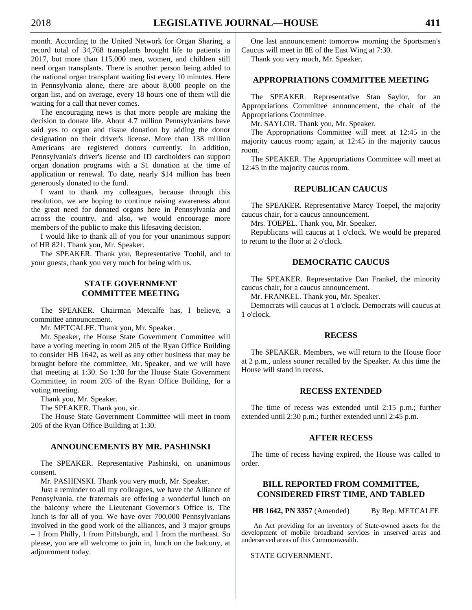month. According to the United Network for Organ Sharing, a record total of 34,768 transplants brought life to patients in 2017, but more than 115,000 men, women, and children still need organ transplants. There is another person being added to the national organ transplant waiting list every 10 minutes. Here in Pennsylvania alone, there are about 8,000 people on the organ list, and on average, every 18 hours one of them will die waiting for a call that never comes.

 The encouraging news is that more people are making the decision to donate life. About 4.7 million Pennsylvanians have said yes to organ and tissue donation by adding the donor designation on their driver's license. More than 138 million Americans are registered donors currently. In addition, Pennsylvania's driver's license and ID cardholders can support organ donation programs with a \$1 donation at the time of application or renewal. To date, nearly \$14 million has been generously donated to the fund.

 I want to thank my colleagues, because through this resolution, we are hoping to continue raising awareness about the great need for donated organs here in Pennsylvania and across the country, and also, we would encourage more members of the public to make this lifesaving decision.

 I would like to thank all of you for your unanimous support of HR 821. Thank you, Mr. Speaker.

 The SPEAKER. Thank you, Representative Toohil, and to your guests, thank you very much for being with us.

### **STATE GOVERNMENT COMMITTEE MEETING**

 The SPEAKER. Chairman Metcalfe has, I believe, a committee announcement.

Mr. METCALFE. Thank you, Mr. Speaker.

 Mr. Speaker, the House State Government Committee will have a voting meeting in room 205 of the Ryan Office Building to consider HB 1642, as well as any other business that may be brought before the committee, Mr. Speaker, and we will have that meeting at 1:30. So 1:30 for the House State Government Committee, in room 205 of the Ryan Office Building, for a voting meeting.

Thank you, Mr. Speaker.

The SPEAKER. Thank you, sir.

 The House State Government Committee will meet in room 205 of the Ryan Office Building at 1:30.

### **ANNOUNCEMENTS BY MR. PASHINSKI**

 The SPEAKER. Representative Pashinski, on unanimous consent.

Mr. PASHINSKI. Thank you very much, Mr. Speaker.

 Just a reminder to all my colleagues, we have the Alliance of Pennsylvania, the fraternals are offering a wonderful lunch on the balcony where the Lieutenant Governor's Office is. The lunch is for all of you. We have over 700,000 Pennsylvanians involved in the good work of the alliances, and 3 major groups – 1 from Philly, 1 from Pittsburgh, and 1 from the northeast. So please, you are all welcome to join in, lunch on the balcony, at adjournment today.

 One last announcement: tomorrow morning the Sportsmen's Caucus will meet in 8E of the East Wing at 7:30.

Thank you very much, Mr. Speaker.

### **APPROPRIATIONS COMMITTEE MEETING**

 The SPEAKER. Representative Stan Saylor, for an Appropriations Committee announcement, the chair of the Appropriations Committee.

Mr. SAYLOR. Thank you, Mr. Speaker.

 The Appropriations Committee will meet at 12:45 in the majority caucus room; again, at 12:45 in the majority caucus room.

 The SPEAKER. The Appropriations Committee will meet at 12:45 in the majority caucus room.

### **REPUBLICAN CAUCUS**

 The SPEAKER. Representative Marcy Toepel, the majority caucus chair, for a caucus announcement.

Mrs. TOEPEL. Thank you, Mr. Speaker.

 Republicans will caucus at 1 o'clock. We would be prepared to return to the floor at 2 o'clock.

### **DEMOCRATIC CAUCUS**

 The SPEAKER. Representative Dan Frankel, the minority caucus chair, for a caucus announcement.

Mr. FRANKEL. Thank you, Mr. Speaker.

 Democrats will caucus at 1 o'clock. Democrats will caucus at 1 o'clock.

#### **RECESS**

 The SPEAKER. Members, we will return to the House floor at 2 p.m., unless sooner recalled by the Speaker. At this time the House will stand in recess.

### **RECESS EXTENDED**

 The time of recess was extended until 2:15 p.m.; further extended until 2:30 p.m.; further extended until 2:45 p.m.

### **AFTER RECESS**

 The time of recess having expired, the House was called to order.

### **BILL REPORTED FROM COMMITTEE, CONSIDERED FIRST TIME, AND TABLED**

**HB 1642, PN 3357** (Amended) By Rep. METCALFE

An Act providing for an inventory of State-owned assets for the development of mobile broadband services in unserved areas and underserved areas of this Commonwealth.

STATE GOVERNMENT.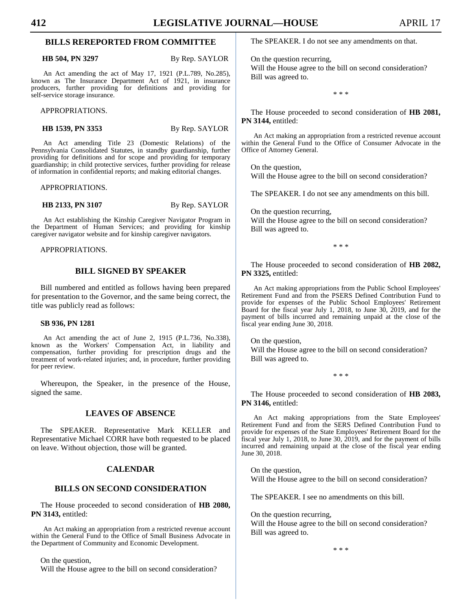### **BILLS REREPORTED FROM COMMITTEE**

**HB 504, PN 3297** By Rep. SAYLOR

An Act amending the act of May 17, 1921 (P.L.789, No.285), known as The Insurance Department Act of 1921, in insurance producers, further providing for definitions and providing for self-service storage insurance.

APPROPRIATIONS.

**HB 1539, PN 3353** By Rep. SAYLOR

An Act amending Title 23 (Domestic Relations) of the Pennsylvania Consolidated Statutes, in standby guardianship, further providing for definitions and for scope and providing for temporary guardianship; in child protective services, further providing for release of information in confidential reports; and making editorial changes.

APPROPRIATIONS.

**HB 2133, PN 3107** By Rep. SAYLOR

An Act establishing the Kinship Caregiver Navigator Program in the Department of Human Services; and providing for kinship caregiver navigator website and for kinship caregiver navigators.

APPROPRIATIONS.

### **BILL SIGNED BY SPEAKER**

 Bill numbered and entitled as follows having been prepared for presentation to the Governor, and the same being correct, the title was publicly read as follows:

#### **SB 936, PN 1281**

An Act amending the act of June 2, 1915 (P.L.736, No.338), known as the Workers' Compensation Act, in liability and compensation, further providing for prescription drugs and the treatment of work-related injuries; and, in procedure, further providing for peer review.

 Whereupon, the Speaker, in the presence of the House, signed the same.

### **LEAVES OF ABSENCE**

 The SPEAKER. Representative Mark KELLER and Representative Michael CORR have both requested to be placed on leave. Without objection, those will be granted.

### **CALENDAR**

### **BILLS ON SECOND CONSIDERATION**

 The House proceeded to second consideration of **HB 2080, PN 3143,** entitled:

An Act making an appropriation from a restricted revenue account within the General Fund to the Office of Small Business Advocate in the Department of Community and Economic Development.

 On the question, Will the House agree to the bill on second consideration? The SPEAKER. I do not see any amendments on that.

 On the question recurring, Will the House agree to the bill on second consideration? Bill was agreed to.

\* \* \*

 The House proceeded to second consideration of **HB 2081, PN 3144,** entitled:

An Act making an appropriation from a restricted revenue account within the General Fund to the Office of Consumer Advocate in the Office of Attorney General.

 On the question, Will the House agree to the bill on second consideration?

The SPEAKER. I do not see any amendments on this bill.

 On the question recurring, Will the House agree to the bill on second consideration? Bill was agreed to.

\* \* \*

 The House proceeded to second consideration of **HB 2082, PN 3325,** entitled:

An Act making appropriations from the Public School Employees' Retirement Fund and from the PSERS Defined Contribution Fund to provide for expenses of the Public School Employees' Retirement Board for the fiscal year July 1, 2018, to June  $30, 2019$ , and for the payment of bills incurred and remaining unpaid at the close of the fiscal year ending June 30, 2018.

 On the question, Will the House agree to the bill on second consideration? Bill was agreed to.

\* \* \*

 The House proceeded to second consideration of **HB 2083, PN 3146,** entitled:

An Act making appropriations from the State Employees' Retirement Fund and from the SERS Defined Contribution Fund to provide for expenses of the State Employees' Retirement Board for the fiscal year July 1, 2018, to June 30, 2019, and for the payment of bills incurred and remaining unpaid at the close of the fiscal year ending June 30, 2018.

 On the question, Will the House agree to the bill on second consideration?

The SPEAKER. I see no amendments on this bill.

On the question recurring,

 Will the House agree to the bill on second consideration? Bill was agreed to.

\* \* \*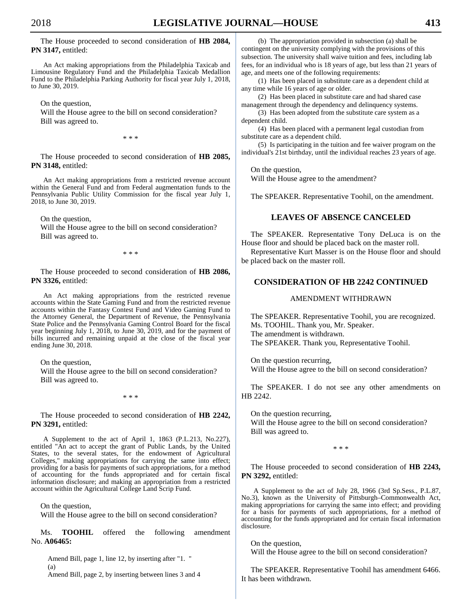The House proceeded to second consideration of **HB 2084, PN 3147,** entitled:

An Act making appropriations from the Philadelphia Taxicab and Limousine Regulatory Fund and the Philadelphia Taxicab Medallion Fund to the Philadelphia Parking Authority for fiscal year July 1, 2018, to June 30, 2019.

On the question,

 Will the House agree to the bill on second consideration? Bill was agreed to.

\* \* \*

 The House proceeded to second consideration of **HB 2085, PN 3148,** entitled:

An Act making appropriations from a restricted revenue account within the General Fund and from Federal augmentation funds to the Pennsylvania Public Utility Commission for the fiscal year July 1, 2018, to June 30, 2019.

On the question,

 Will the House agree to the bill on second consideration? Bill was agreed to.

\* \* \*

 The House proceeded to second consideration of **HB 2086, PN 3326,** entitled:

An Act making appropriations from the restricted revenue accounts within the State Gaming Fund and from the restricted revenue accounts within the Fantasy Contest Fund and Video Gaming Fund to the Attorney General, the Department of Revenue, the Pennsylvania State Police and the Pennsylvania Gaming Control Board for the fiscal year beginning July 1, 2018, to June 30, 2019, and for the payment of bills incurred and remaining unpaid at the close of the fiscal year ending June 30, 2018.

On the question,

 Will the House agree to the bill on second consideration? Bill was agreed to.

\* \* \*

 The House proceeded to second consideration of **HB 2242, PN 3291,** entitled:

A Supplement to the act of April 1, 1863 (P.L.213, No.227), entitled "An act to accept the grant of Public Lands, by the United States, to the several states, for the endowment of Agricultural Colleges," making appropriations for carrying the same into effect; providing for a basis for payments of such appropriations, for a method of accounting for the funds appropriated and for certain fiscal information disclosure; and making an appropriation from a restricted account within the Agricultural College Land Scrip Fund.

On the question,

Will the House agree to the bill on second consideration?

 Ms. **TOOHIL** offered the following amendment No. **A06465:**

Amend Bill, page 1, line 12, by inserting after "1. " (a)

Amend Bill, page 2, by inserting between lines 3 and 4

(b) The appropriation provided in subsection (a) shall be contingent on the university complying with the provisions of this subsection. The university shall waive tuition and fees, including lab fees, for an individual who is 18 years of age, but less than 21 years of age, and meets one of the following requirements:

(1) Has been placed in substitute care as a dependent child at any time while 16 years of age or older.

(2) Has been placed in substitute care and had shared case management through the dependency and delinquency systems.

(3) Has been adopted from the substitute care system as a dependent child.

(4) Has been placed with a permanent legal custodian from substitute care as a dependent child.

(5) Is participating in the tuition and fee waiver program on the individual's 21st birthday, until the individual reaches 23 years of age.

On the question,

Will the House agree to the amendment?

The SPEAKER. Representative Toohil, on the amendment.

### **LEAVES OF ABSENCE CANCELED**

 The SPEAKER. Representative Tony DeLuca is on the House floor and should be placed back on the master roll.

 Representative Kurt Masser is on the House floor and should be placed back on the master roll.

### **CONSIDERATION OF HB 2242 CONTINUED**

### AMENDMENT WITHDRAWN

 The SPEAKER. Representative Toohil, you are recognized. Ms. TOOHIL. Thank you, Mr. Speaker. The amendment is withdrawn. The SPEAKER. Thank you, Representative Toohil.

 On the question recurring, Will the House agree to the bill on second consideration?

 The SPEAKER. I do not see any other amendments on HB 2242.

 On the question recurring, Will the House agree to the bill on second consideration? Bill was agreed to.

\* \* \*

 The House proceeded to second consideration of **HB 2243, PN 3292,** entitled:

A Supplement to the act of July 28, 1966 (3rd Sp.Sess., P.L.87, No.3), known as the University of Pittsburgh–Commonwealth Act, making appropriations for carrying the same into effect; and providing for a basis for payments of such appropriations, for a method of accounting for the funds appropriated and for certain fiscal information disclosure.

 On the question, Will the House agree to the bill on second consideration?

 The SPEAKER. Representative Toohil has amendment 6466. It has been withdrawn.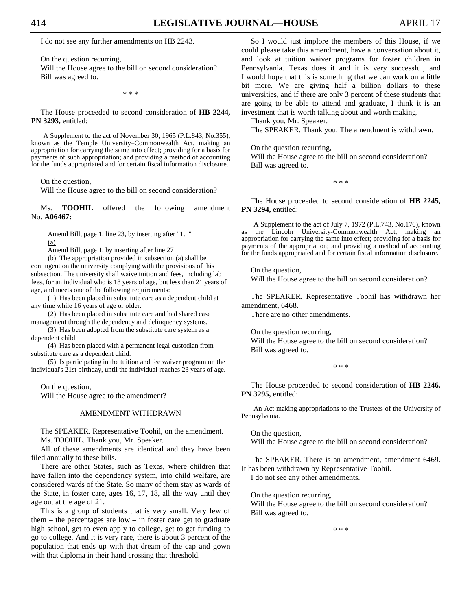I do not see any further amendments on HB 2243.

On the question recurring,

 Will the House agree to the bill on second consideration? Bill was agreed to.

\* \* \*

 The House proceeded to second consideration of **HB 2244, PN 3293,** entitled:

A Supplement to the act of November 30, 1965 (P.L.843, No.355), known as the Temple University–Commonwealth Act, making an appropriation for carrying the same into effect; providing for a basis for payments of such appropriation; and providing a method of accounting for the funds appropriated and for certain fiscal information disclosure.

On the question,

Will the House agree to the bill on second consideration?

 Ms. **TOOHIL** offered the following amendment No. **A06467:**

Amend Bill, page 1, line 23, by inserting after "1. " (a)

Amend Bill, page 1, by inserting after line 27

(b) The appropriation provided in subsection (a) shall be contingent on the university complying with the provisions of this subsection. The university shall waive tuition and fees, including lab fees, for an individual who is 18 years of age, but less than 21 years of age, and meets one of the following requirements:

(1) Has been placed in substitute care as a dependent child at any time while 16 years of age or older.

(2) Has been placed in substitute care and had shared case management through the dependency and delinquency systems.

(3) Has been adopted from the substitute care system as a dependent child.

(4) Has been placed with a permanent legal custodian from substitute care as a dependent child.

(5) Is participating in the tuition and fee waiver program on the individual's 21st birthday, until the individual reaches 23 years of age.

On the question,

Will the House agree to the amendment?

#### AMENDMENT WITHDRAWN

 The SPEAKER. Representative Toohil, on the amendment. Ms. TOOHIL. Thank you, Mr. Speaker.

 All of these amendments are identical and they have been filed annually to these bills.

 There are other States, such as Texas, where children that have fallen into the dependency system, into child welfare, are considered wards of the State. So many of them stay as wards of the State, in foster care, ages 16, 17, 18, all the way until they age out at the age of 21.

 This is a group of students that is very small. Very few of them  $-$  the percentages are low  $-$  in foster care get to graduate high school, get to even apply to college, get to get funding to go to college. And it is very rare, there is about 3 percent of the population that ends up with that dream of the cap and gown with that diploma in their hand crossing that threshold.

 So I would just implore the members of this House, if we could please take this amendment, have a conversation about it, and look at tuition waiver programs for foster children in Pennsylvania. Texas does it and it is very successful, and I would hope that this is something that we can work on a little bit more. We are giving half a billion dollars to these universities, and if there are only 3 percent of these students that are going to be able to attend and graduate, I think it is an investment that is worth talking about and worth making.

Thank you, Mr. Speaker.

The SPEAKER. Thank you. The amendment is withdrawn.

On the question recurring,

 Will the House agree to the bill on second consideration? Bill was agreed to.

\* \* \*

 The House proceeded to second consideration of **HB 2245, PN 3294,** entitled:

A Supplement to the act of July 7, 1972 (P.L.743, No.176), known<br>the Lincoln University-Commonwealth Act, making an as the Lincoln University-Commonwealth Act, making an appropriation for carrying the same into effect; providing for a basis for payments of the appropriation; and providing a method of accounting for the funds appropriated and for certain fiscal information disclosure.

 On the question, Will the House agree to the bill on second consideration?

 The SPEAKER. Representative Toohil has withdrawn her amendment, 6468.

There are no other amendments.

 On the question recurring, Will the House agree to the bill on second consideration? Bill was agreed to.

\* \* \*

 The House proceeded to second consideration of **HB 2246, PN 3295,** entitled:

An Act making appropriations to the Trustees of the University of Pennsylvania.

 On the question, Will the House agree to the bill on second consideration?

The SPEAKER. There is an amendment, amendment 6469. It has been withdrawn by Representative Toohil. I do not see any other amendments.

On the question recurring,

 Will the House agree to the bill on second consideration? Bill was agreed to.

\* \* \*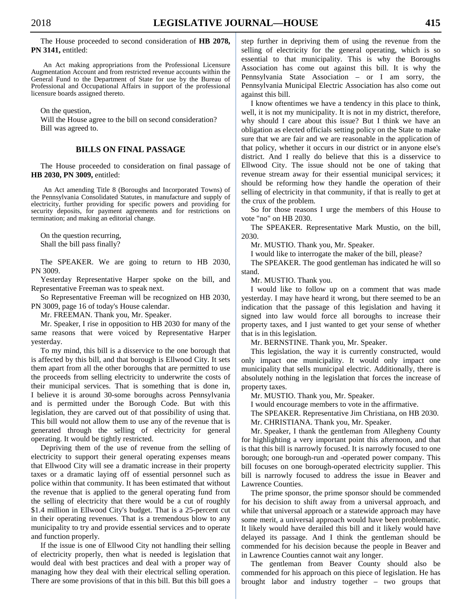The House proceeded to second consideration of **HB 2078, PN 3141,** entitled:

An Act making appropriations from the Professional Licensure Augmentation Account and from restricted revenue accounts within the General Fund to the Department of State for use by the Bureau of Professional and Occupational Affairs in support of the professional licensure boards assigned thereto.

On the question,

 Will the House agree to the bill on second consideration? Bill was agreed to.

### **BILLS ON FINAL PASSAGE**

 The House proceeded to consideration on final passage of **HB 2030, PN 3009,** entitled:

An Act amending Title 8 (Boroughs and Incorporated Towns) of the Pennsylvania Consolidated Statutes, in manufacture and supply of electricity, further providing for specific powers and providing for security deposits, for payment agreements and for restrictions on termination; and making an editorial change.

 On the question recurring, Shall the bill pass finally?

 The SPEAKER. We are going to return to HB 2030, PN 3009.

 Yesterday Representative Harper spoke on the bill, and Representative Freeman was to speak next.

 So Representative Freeman will be recognized on HB 2030, PN 3009, page 16 of today's House calendar.

Mr. FREEMAN. Thank you, Mr. Speaker.

 Mr. Speaker, I rise in opposition to HB 2030 for many of the same reasons that were voiced by Representative Harper yesterday.

 To my mind, this bill is a disservice to the one borough that is affected by this bill, and that borough is Ellwood City. It sets them apart from all the other boroughs that are permitted to use the proceeds from selling electricity to underwrite the costs of their municipal services. That is something that is done in, I believe it is around 30-some boroughs across Pennsylvania and is permitted under the Borough Code. But with this legislation, they are carved out of that possibility of using that. This bill would not allow them to use any of the revenue that is generated through the selling of electricity for general operating. It would be tightly restricted.

 Depriving them of the use of revenue from the selling of electricity to support their general operating expenses means that Ellwood City will see a dramatic increase in their property taxes or a dramatic laying off of essential personnel such as police within that community. It has been estimated that without the revenue that is applied to the general operating fund from the selling of electricity that there would be a cut of roughly \$1.4 million in Ellwood City's budget. That is a 25-percent cut in their operating revenues. That is a tremendous blow to any municipality to try and provide essential services and to operate and function properly.

 If the issue is one of Ellwood City not handling their selling of electricity properly, then what is needed is legislation that would deal with best practices and deal with a proper way of managing how they deal with their electrical selling operation. There are some provisions of that in this bill. But this bill goes a step further in depriving them of using the revenue from the selling of electricity for the general operating, which is so essential to that municipality. This is why the Boroughs Association has come out against this bill. It is why the Pennsylvania State Association – or I am sorry, the Pennsylvania Municipal Electric Association has also come out against this bill.

 I know oftentimes we have a tendency in this place to think, well, it is not my municipality. It is not in my district, therefore, why should I care about this issue? But I think we have an obligation as elected officials setting policy on the State to make sure that we are fair and we are reasonable in the application of that policy, whether it occurs in our district or in anyone else's district. And I really do believe that this is a disservice to Ellwood City. The issue should not be one of taking that revenue stream away for their essential municipal services; it should be reforming how they handle the operation of their selling of electricity in that community, if that is really to get at the crux of the problem.

 So for those reasons I urge the members of this House to vote "no" on HB 2030.

 The SPEAKER. Representative Mark Mustio, on the bill, 2030.

Mr. MUSTIO. Thank you, Mr. Speaker.

I would like to interrogate the maker of the bill, please?

 The SPEAKER. The good gentleman has indicated he will so stand.

Mr. MUSTIO. Thank you.

 I would like to follow up on a comment that was made yesterday. I may have heard it wrong, but there seemed to be an indication that the passage of this legislation and having it signed into law would force all boroughs to increase their property taxes, and I just wanted to get your sense of whether that is in this legislation.

Mr. BERNSTINE. Thank you, Mr. Speaker.

 This legislation, the way it is currently constructed, would only impact one municipality. It would only impact one municipality that sells municipal electric. Additionally, there is absolutely nothing in the legislation that forces the increase of property taxes.

Mr. MUSTIO. Thank you, Mr. Speaker.

I would encourage members to vote in the affirmative.

The SPEAKER. Representative Jim Christiana, on HB 2030.

Mr. CHRISTIANA. Thank you, Mr. Speaker.

 Mr. Speaker, I thank the gentleman from Allegheny County for highlighting a very important point this afternoon, and that is that this bill is narrowly focused. It is narrowly focused to one borough; one borough-run and -operated power company. This bill focuses on one borough-operated electricity supplier. This bill is narrowly focused to address the issue in Beaver and Lawrence Counties.

 The prime sponsor, the prime sponsor should be commended for his decision to shift away from a universal approach, and while that universal approach or a statewide approach may have some merit, a universal approach would have been problematic. It likely would have derailed this bill and it likely would have delayed its passage. And I think the gentleman should be commended for his decision because the people in Beaver and in Lawrence Counties cannot wait any longer.

 The gentleman from Beaver County should also be commended for his approach on this piece of legislation. He has brought labor and industry together – two groups that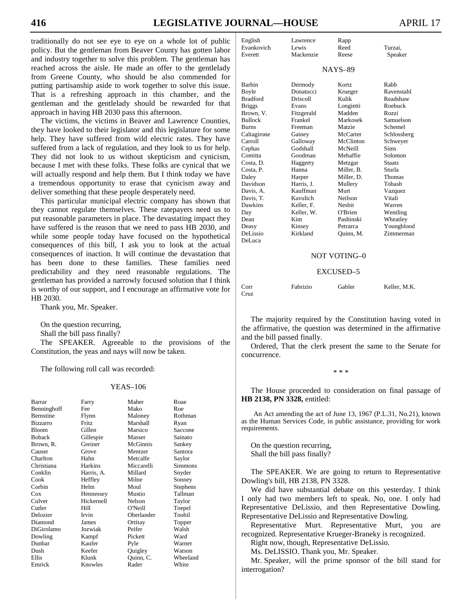traditionally do not see eye to eye on a whole lot of public policy. But the gentleman from Beaver County has gotten labor and industry together to solve this problem. The gentleman has reached across the aisle. He made an offer to the gentlelady from Greene County, who should be also commended for putting partisanship aside to work together to solve this issue. That is a refreshing approach in this chamber, and the gentleman and the gentlelady should be rewarded for that approach in having HB 2030 pass this afternoon.

 The victims, the victims in Beaver and Lawrence Counties, they have looked to their legislator and this legislature for some help. They have suffered from wild electric rates. They have suffered from a lack of regulation, and they look to us for help. They did not look to us without skepticism and cynicism, because I met with these folks. These folks are cynical that we will actually respond and help them. But I think today we have a tremendous opportunity to erase that cynicism away and deliver something that these people desperately need.

 This particular municipal electric company has shown that they cannot regulate themselves. These ratepayers need us to put reasonable parameters in place. The devastating impact they have suffered is the reason that we need to pass HB 2030, and while some people today have focused on the hypothetical consequences of this bill, I ask you to look at the actual consequences of inaction. It will continue the devastation that has been done to these families. These families need predictability and they need reasonable regulations. The gentleman has provided a narrowly focused solution that I think is worthy of our support, and I encourage an affirmative vote for HB 2030.

Thank you, Mr. Speaker.

 On the question recurring, Shall the bill pass finally?

 The SPEAKER. Agreeable to the provisions of the Constitution, the yeas and nays will now be taken.

The following roll call was recorded:

#### YEAS–106

| Barrar           | Farry      | Maher      | Roae            |
|------------------|------------|------------|-----------------|
| Benninghoff      | Fee        | Mako       | Roe             |
| <b>Bernstine</b> | Flynn      | Maloney    | Rothman         |
| <b>Bizzarro</b>  | Fritz      | Marshall   | Ryan            |
| <b>Bloom</b>     | Gillen     | Marsico    | Saccone         |
| <b>Boback</b>    | Gillespie  | Masser     | Sainato         |
| Brown, R.        | Greiner    | McGinnis   | Sankey          |
| Causer           | Grove      | Mentzer    | Santora         |
| Charlton         | Hahn       | Metcalfe   | Saylor          |
| Christiana       | Harkins    | Miccarelli | <b>Simmons</b>  |
| Conklin          | Harris, A. | Millard    | Snyder          |
| Cook             | Heffley    | Milne      | Sonney          |
| Corbin           | Helm       | Moul       | <b>Stephens</b> |
| $\cos$           | Hennessey  | Mustio     | Tallman         |
| Culver           | Hickernell | Nelson     | Taylor          |
| Cutler           | Hill       | O'Neill    | Toepel          |
| Delozier         | Irvin      | Oberlander | Toohil          |
| Diamond          | James      | Ortitay    | Topper          |
| DiGirolamo       | Jozwiak    | Peifer     | Walsh           |
| Dowling          | Kampf      | Pickett    | Ward            |
| Dunbar           | Kaufer     | Pyle       | Warner          |
| Dush             | Keefer     | Quigley    | Watson          |
| Ellis            | Klunk      | Quinn, C.  | Wheeland        |
| Emrick           | Knowles    | Rader      | White           |

| English         | Lawrence   | Rapp           |               |
|-----------------|------------|----------------|---------------|
| Evankovich      | Lewis      | Reed           | Turzai.       |
| Everett         | Mackenzie  | Reese          | Speaker       |
|                 |            |                |               |
|                 |            | <b>NAYS-89</b> |               |
|                 |            |                |               |
| <b>Barbin</b>   | Dermody    | Kortz          | Rabb          |
| Boyle           | Donatucci  | Krueger        | Ravenstahl    |
| <b>Bradford</b> | Driscoll   | Kulik          | Readshaw      |
| <b>Briggs</b>   | Evans      | Longietti      | Roebuck       |
| Brown, V.       | Fitzgerald | Madden         | Rozzi         |
| <b>Bullock</b>  | Frankel    | Markosek       | Samuelson     |
| <b>Burns</b>    | Freeman    | Matzie         | Schemel       |
| Caltagirone     | Gainey     | McCarter       | Schlossberg   |
| Carroll         | Galloway   | McClinton      | Schweyer      |
| Cephas          | Godshall   | McNeill        | <b>Sims</b>   |
| Comitta         | Goodman    | Mehaffie       | Solomon       |
| Costa, D.       | Haggerty   | Metzgar        | <b>Staats</b> |
| Costa, P.       | Hanna      | Miller, B.     | Sturla        |
| Daley           | Harper     | Miller, D.     | Thomas        |
| Davidson        | Harris, J. | Mullery        | Tobash        |
| Davis, A.       | Kauffman   | Murt           | Vazquez       |
| Davis, T.       | Kavulich   | <b>Neilson</b> | Vitali        |
| Dawkins         | Keller, F. | <b>Nesbit</b>  | Warren        |
| Day             | Keller, W. | O'Brien        | Wentling      |
| Dean            | Kim        | Pashinski      | Wheatley      |
| Deasy           | Kinsey     | Petrarca       | Youngblood    |
| DeLissio        | Kirkland   | Ouinn, M.      | Zimmerman     |
| DeLuca          |            |                |               |
|                 |            |                |               |

#### NOT VOTING–0

#### EXCUSED–5

| Corr | Fabrizio | Gabler | Keller, M.K. |
|------|----------|--------|--------------|
| Cruz |          |        |              |

 The majority required by the Constitution having voted in the affirmative, the question was determined in the affirmative and the bill passed finally.

 Ordered, That the clerk present the same to the Senate for concurrence.

\* \* \*

 The House proceeded to consideration on final passage of **HB 2138, PN 3328,** entitled:

An Act amending the act of June 13, 1967 (P.L.31, No.21), known as the Human Services Code, in public assistance, providing for work requirements.

 On the question recurring, Shall the bill pass finally?

 The SPEAKER. We are going to return to Representative Dowling's bill, HB 2138, PN 3328.

 We did have substantial debate on this yesterday. I think I only had two members left to speak. No, one. I only had Representative DeLissio, and then Representative Dowling. Representative DeLissio and Representative Dowling.

 Representative Murt. Representative Murt, you are recognized. Representative Krueger-Braneky is recognized.

 Right now, though, Representative DeLissio. Ms. DeLISSIO. Thank you, Mr. Speaker.

 Mr. Speaker, will the prime sponsor of the bill stand for interrogation?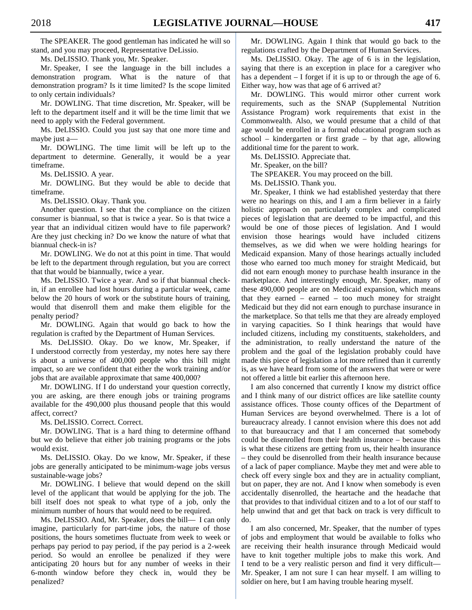The SPEAKER. The good gentleman has indicated he will so stand, and you may proceed, Representative DeLissio.

Ms. DeLISSIO. Thank you, Mr. Speaker.

 Mr. Speaker, I see the language in the bill includes a demonstration program. What is the nature of that demonstration program? Is it time limited? Is the scope limited to only certain individuals?

 Mr. DOWLING. That time discretion, Mr. Speaker, will be left to the department itself and it will be the time limit that we need to apply with the Federal government.

 Ms. DeLISSIO. Could you just say that one more time and maybe just a—

 Mr. DOWLING. The time limit will be left up to the department to determine. Generally, it would be a year timeframe.

Ms. DeLISSIO. A year.

 Mr. DOWLING. But they would be able to decide that timeframe.

Ms. DeLISSIO. Okay. Thank you.

 Another question. I see that the compliance on the citizen consumer is biannual, so that is twice a year. So is that twice a year that an individual citizen would have to file paperwork? Are they just checking in? Do we know the nature of what that biannual check-in is?

 Mr. DOWLING. We do not at this point in time. That would be left to the department through regulation, but you are correct that that would be biannually, twice a year.

 Ms. DeLISSIO. Twice a year. And so if that biannual checkin, if an enrollee had lost hours during a particular week, came below the 20 hours of work or the substitute hours of training, would that disenroll them and make them eligible for the penalty period?

 Mr. DOWLING. Again that would go back to how the regulation is crafted by the Department of Human Services.

 Ms. DeLISSIO. Okay. Do we know, Mr. Speaker, if I understood correctly from yesterday, my notes here say there is about a universe of 400,000 people who this bill might impact, so are we confident that either the work training and/or jobs that are available approximate that same 400,000?

 Mr. DOWLING. If I do understand your question correctly, you are asking, are there enough jobs or training programs available for the 490,000 plus thousand people that this would affect, correct?

Ms. DeLISSIO. Correct. Correct.

 Mr. DOWLING. That is a hard thing to determine offhand but we do believe that either job training programs or the jobs would exist.

 Ms. DeLISSIO. Okay. Do we know, Mr. Speaker, if these jobs are generally anticipated to be minimum-wage jobs versus sustainable-wage jobs?

 Mr. DOWLING. I believe that would depend on the skill level of the applicant that would be applying for the job. The bill itself does not speak to what type of a job, only the minimum number of hours that would need to be required.

 Ms. DeLISSIO. And, Mr. Speaker, does the bill— I can only imagine, particularly for part-time jobs, the nature of those positions, the hours sometimes fluctuate from week to week or perhaps pay period to pay period, if the pay period is a 2-week period. So would an enrollee be penalized if they were anticipating 20 hours but for any number of weeks in their 6-month window before they check in, would they be penalized?

 Mr. DOWLING. Again I think that would go back to the regulations crafted by the Department of Human Services.

 Ms. DeLISSIO. Okay. The age of 6 is in the legislation, saying that there is an exception in place for a caregiver who has a dependent – I forget if it is up to or through the age of 6. Either way, how was that age of 6 arrived at?

 Mr. DOWLING. This would mirror other current work requirements, such as the SNAP (Supplemental Nutrition Assistance Program) work requirements that exist in the Commonwealth. Also, we would presume that a child of that age would be enrolled in a formal educational program such as school – kindergarten or first grade – by that age, allowing additional time for the parent to work.

Ms. DeLISSIO. Appreciate that.

Mr. Speaker, on the bill?

The SPEAKER. You may proceed on the bill.

Ms. DeLISSIO. Thank you.

 Mr. Speaker, I think we had established yesterday that there were no hearings on this, and I am a firm believer in a fairly holistic approach on particularly complex and complicated pieces of legislation that are deemed to be impactful, and this would be one of those pieces of legislation. And I would envision those hearings would have included citizens themselves, as we did when we were holding hearings for Medicaid expansion. Many of those hearings actually included those who earned too much money for straight Medicaid, but did not earn enough money to purchase health insurance in the marketplace. And interestingly enough, Mr. Speaker, many of these 490,000 people are on Medicaid expansion, which means that they earned – earned – too much money for straight Medicaid but they did not earn enough to purchase insurance in the marketplace. So that tells me that they are already employed in varying capacities. So I think hearings that would have included citizens, including my constituents, stakeholders, and the administration, to really understand the nature of the problem and the goal of the legislation probably could have made this piece of legislation a lot more refined than it currently is, as we have heard from some of the answers that were or were not offered a little bit earlier this afternoon here.

 I am also concerned that currently I know my district office and I think many of our district offices are like satellite county assistance offices. Those county offices of the Department of Human Services are beyond overwhelmed. There is a lot of bureaucracy already. I cannot envision where this does not add to that bureaucracy and that I am concerned that somebody could be disenrolled from their health insurance – because this is what these citizens are getting from us, their health insurance – they could be disenrolled from their health insurance because of a lack of paper compliance. Maybe they met and were able to check off every single box and they are in actuality compliant, but on paper, they are not. And I know when somebody is even accidentally disenrolled, the heartache and the headache that that provides to that individual citizen and to a lot of our staff to help unwind that and get that back on track is very difficult to do.

 I am also concerned, Mr. Speaker, that the number of types of jobs and employment that would be available to folks who are receiving their health insurance through Medicaid would have to knit together multiple jobs to make this work. And I tend to be a very realistic person and find it very difficult— Mr. Speaker, I am not sure I can hear myself. I am willing to soldier on here, but I am having trouble hearing myself.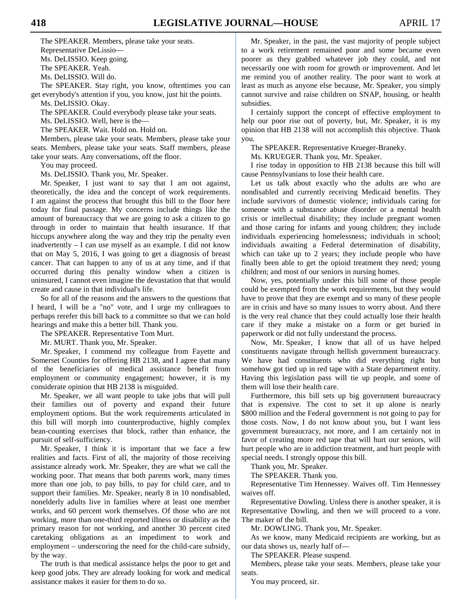The SPEAKER. Members, please take your seats.

Representative DeLissio—

Ms. DeLISSIO. Keep going.

 The SPEAKER. Yeah. Ms. DeLISSIO. Will do.

 The SPEAKER. Stay right, you know, oftentimes you can get everybody's attention if you, you know, just hit the points.

Ms. DeLISSIO. Okay.

The SPEAKER. Could everybody please take your seats.

Ms. DeLISSIO. Well, here is the—

The SPEAKER. Wait. Hold on. Hold on.

 Members, please take your seats. Members, please take your seats. Members, please take your seats. Staff members, please take your seats. Any conversations, off the floor.

You may proceed.

Ms. DeLISSIO. Thank you, Mr. Speaker.

 Mr. Speaker, I just want to say that I am not against, theoretically, the idea and the concept of work requirements. I am against the process that brought this bill to the floor here today for final passage. My concerns include things like the amount of bureaucracy that we are going to ask a citizen to go through in order to maintain that health insurance. If that hiccups anywhere along the way and they trip the penalty even inadvertently – I can use myself as an example. I did not know that on May 5, 2016, I was going to get a diagnosis of breast cancer. That can happen to any of us at any time, and if that occurred during this penalty window when a citizen is uninsured, I cannot even imagine the devastation that that would create and cause in that individual's life.

 So for all of the reasons and the answers to the questions that I heard, I will be a "no" vote, and I urge my colleagues to perhaps rerefer this bill back to a committee so that we can hold hearings and make this a better bill. Thank you.

The SPEAKER. Representative Tom Murt.

Mr. MURT. Thank you, Mr. Speaker.

 Mr. Speaker, I commend my colleague from Fayette and Somerset Counties for offering HB 2138, and I agree that many of the beneficiaries of medical assistance benefit from employment or community engagement; however, it is my considerate opinion that HB 2138 is misguided.

 Mr. Speaker, we all want people to take jobs that will pull their families out of poverty and expand their future employment options. But the work requirements articulated in this bill will morph into counterproductive, highly complex bean-counting exercises that block, rather than enhance, the pursuit of self-sufficiency.

 Mr. Speaker, I think it is important that we face a few realities and facts. First of all, the majority of those receiving assistance already work. Mr. Speaker, they are what we call the working poor. That means that both parents work, many times more than one job, to pay bills, to pay for child care, and to support their families. Mr. Speaker, nearly 8 in 10 nondisabled, nonelderly adults live in families where at least one member works, and 60 percent work themselves. Of those who are not working, more than one-third reported illness or disability as the primary reason for not working, and another 30 percent cited caretaking obligations as an impediment to work and employment – underscoring the need for the child-care subsidy, by the way.

 The truth is that medical assistance helps the poor to get and keep good jobs. They are already looking for work and medical assistance makes it easier for them to do so.

 Mr. Speaker, in the past, the vast majority of people subject to a work retirement remained poor and some became even poorer as they grabbed whatever job they could, and not necessarily one with room for growth or improvement. And let me remind you of another reality. The poor want to work at least as much as anyone else because, Mr. Speaker, you simply cannot survive and raise children on SNAP, housing, or health subsidies.

 I certainly support the concept of effective employment to help our poor rise out of poverty, but, Mr. Speaker, it is my opinion that HB 2138 will not accomplish this objective. Thank you.

The SPEAKER. Representative Krueger-Braneky.

Ms. KRUEGER. Thank you, Mr. Speaker.

 I rise today in opposition to HB 2138 because this bill will cause Pennsylvanians to lose their health care.

 Let us talk about exactly who the adults are who are nondisabled and currently receiving Medicaid benefits. They include survivors of domestic violence; individuals caring for someone with a substance abuse disorder or a mental health crisis or intellectual disability; they include pregnant women and those caring for infants and young children; they include individuals experiencing homelessness; individuals in school; individuals awaiting a Federal determination of disability, which can take up to 2 years; they include people who have finally been able to get the opioid treatment they need; young children; and most of our seniors in nursing homes.

 Now, yes, potentially under this bill some of those people could be exempted from the work requirements, but they would have to prove that they are exempt and so many of these people are in crisis and have so many issues to worry about. And there is the very real chance that they could actually lose their health care if they make a mistake on a form or get buried in paperwork or did not fully understand the process.

 Now, Mr. Speaker, I know that all of us have helped constituents navigate through hellish government bureaucracy. We have had constituents who did everything right but somehow got tied up in red tape with a State department entity. Having this legislation pass will tie up people, and some of them will lose their health care.

 Furthermore, this bill sets up big government bureaucracy that is expensive. The cost to set it up alone is nearly \$800 million and the Federal government is not going to pay for those costs. Now, I do not know about you, but I want less government bureaucracy, not more, and I am certainly not in favor of creating more red tape that will hurt our seniors, will hurt people who are in addiction treatment, and hurt people with special needs. I strongly oppose this bill.

Thank you, Mr. Speaker.

The SPEAKER. Thank you.

 Representative Tim Hennessey. Waives off. Tim Hennessey waives off.

 Representative Dowling. Unless there is another speaker, it is Representative Dowling, and then we will proceed to a vote. The maker of the bill.

Mr. DOWLING. Thank you, Mr. Speaker.

 As we know, many Medicaid recipients are working, but as our data shows us, nearly half of—

The SPEAKER. Please suspend.

 Members, please take your seats. Members, please take your seats.

You may proceed, sir.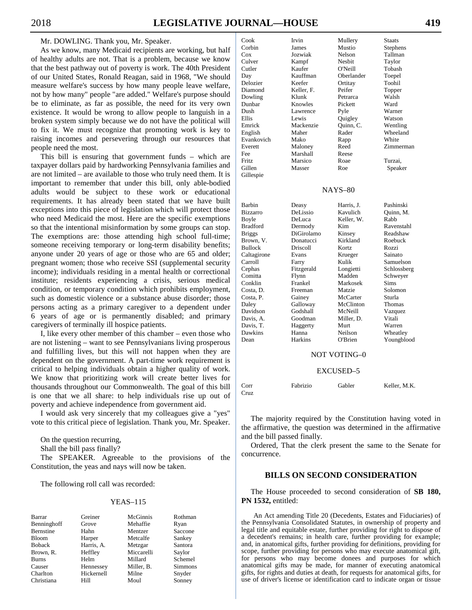### Mr. DOWLING. Thank you, Mr. Speaker.

 As we know, many Medicaid recipients are working, but half of healthy adults are not. That is a problem, because we know that the best pathway out of poverty is work. The 40th President of our United States, Ronald Reagan, said in 1968, "We should measure welfare's success by how many people leave welfare, not by how many" people "are added." Welfare's purpose should be to eliminate, as far as possible, the need for its very own existence. It would be wrong to allow people to languish in a broken system simply because we do not have the political will to fix it. We must recognize that promoting work is key to raising incomes and persevering through our resources that people need the most.

 This bill is ensuring that government funds – which are taxpayer dollars paid by hardworking Pennsylvania families and are not limited – are available to those who truly need them. It is important to remember that under this bill, only able-bodied adults would be subject to these work or educational requirements. It has already been stated that we have built exceptions into this piece of legislation which will protect those who need Medicaid the most. Here are the specific exemptions so that the intentional misinformation by some groups can stop. The exemptions are: those attending high school full-time; someone receiving temporary or long-term disability benefits; anyone under 20 years of age or those who are 65 and older; pregnant women; those who receive SSI (supplemental security income); individuals residing in a mental health or correctional institute; residents experiencing a crisis, serious medical condition, or temporary condition which prohibits employment, such as domestic violence or a substance abuse disorder; those persons acting as a primary caregiver to a dependent under 6 years of age or is permanently disabled; and primary caregivers of terminally ill hospice patients.

 I, like every other member of this chamber – even those who are not listening – want to see Pennsylvanians living prosperous and fulfilling lives, but this will not happen when they are dependent on the government. A part-time work requirement is critical to helping individuals obtain a higher quality of work. We know that prioritizing work will create better lives for thousands throughout our Commonwealth. The goal of this bill is one that we all share: to help individuals rise up out of poverty and achieve independence from government aid.

 I would ask very sincerely that my colleagues give a "yes" vote to this critical piece of legislation. Thank you, Mr. Speaker.

 On the question recurring, Shall the bill pass finally?

 The SPEAKER. Agreeable to the provisions of the Constitution, the yeas and nays will now be taken.

The following roll call was recorded:

#### YEAS–115

| Barrar        | Greiner    | McGinnis   | Rothman        |
|---------------|------------|------------|----------------|
| Benninghoff   | Grove      | Mehaffie   | Ryan           |
| Bernstine     | Hahn       | Mentzer    | Saccone        |
| <b>Bloom</b>  | Harper     | Metcalfe   | Sankey         |
| <b>Boback</b> | Harris, A. | Metzgar    | Santora        |
| Brown, R.     | Heffley    | Miccarelli | Saylor         |
| <b>Burns</b>  | Helm       | Millard    | Schemel        |
| Causer        | Hennessey  | Miller, B. | <b>Simmons</b> |
| Charlton      | Hickernell | Milne      | Snyder         |
| Christiana    | Hill       | Moul       | Sonney         |

| Cook            | Irvin      | Mullery        | Staats      |
|-----------------|------------|----------------|-------------|
| Corbin          | James      | Mustio         | Stephens    |
| Cox             | Jozwiak    | Nelson         | Tallman     |
| Culver          | Kampf      | Nesbit         | Taylor      |
| Cutler          | Kaufer     | O'Neill        | Tobash      |
| Day             | Kauffman   | Oberlander     | Toepel      |
| Delozier        | Keefer     | Ortitay        | Toohil      |
| Diamond         | Keller, F. | Peifer         | Topper      |
| Dowling         | Klunk      | Petrarca       | Walsh       |
| Dunbar          | Knowles    | Pickett        | Ward        |
| Dush            | Lawrence   | Pyle           | Warner      |
| Ellis           | Lewis      | Quigley        | Watson      |
| Emrick          | Mackenzie  | Ouinn, C.      | Wentling    |
| English         | Maher      | Rader          | Wheeland    |
| Evankovich      | Mako       | Rapp           | White       |
| Everett         | Maloney    | Reed           | Zimmerman   |
| Fee             | Marshall   | Reese          |             |
| Fritz.          | Marsico    | Roae           | Turzai.     |
| Gillen          | Masser     | Roe            | Speaker     |
| Gillespie       |            |                |             |
|                 |            |                |             |
|                 |            | <b>NAYS-80</b> |             |
| <b>Barbin</b>   | Deasy      | Harris, J.     | Pashinski   |
| <b>Bizzarro</b> | DeLissio   | Kavulich       | Quinn, M.   |
| Boyle           | DeLuca     | Keller, W.     | Rabb        |
| Bradford        | Dermody    | Kim            | Ravenstahl  |
| <b>Briggs</b>   | DiGirolamo | Kinsey         | Readshaw    |
| Brown, V.       | Donatucci  | Kirkland       | Roebuck     |
| Bullock         | Driscoll   | Kortz          | Rozzi       |
| Caltagirone     | Evans      | Krueger        | Sainato     |
| Carroll         | Farry      | Kulik          | Samuelson   |
| Cephas          | Fitzgerald | Longietti      | Schlossberg |
| Comitta         | Flynn      | Madden         | Schweyer    |
| Conklin         | Frankel    | Markosek       | Sims        |
| Costa, D.       | Freeman    | Matzie         | Solomon     |
| Costa, P.       | Gainey     | McCarter       | Sturla      |
| Daley           | Galloway   | McClinton      | Thomas      |
| Davidson        | Godshall   | McNeill        | Vazquez     |
| Davis, A.       | Goodman    | Miller, D.     | Vitali      |
| Davis. T.       | Haggerty   | Murt           | Warren      |
| Dawkins         | Hanna      | Neilson        | Wheatley    |
| Dean            | Harkins    | O'Brien        | Youngblood  |

#### NOT VOTING–0

#### EXCUSED–5

| Corr | Fabrizio | Gabler | Keller, M.K. |
|------|----------|--------|--------------|
| Cruz |          |        |              |

 The majority required by the Constitution having voted in the affirmative, the question was determined in the affirmative and the bill passed finally.

 Ordered, That the clerk present the same to the Senate for concurrence.

### **BILLS ON SECOND CONSIDERATION**

 The House proceeded to second consideration of **SB 180, PN 1532,** entitled:

An Act amending Title 20 (Decedents, Estates and Fiduciaries) of the Pennsylvania Consolidated Statutes, in ownership of property and legal title and equitable estate, further providing for right to dispose of a decedent's remains; in health care, further providing for example; and, in anatomical gifts, further providing for definitions, providing for scope, further providing for persons who may execute anatomical gift, for persons who may become donees and purposes for which anatomical gifts may be made, for manner of executing anatomical gifts, for rights and duties at death, for requests for anatomical gifts, for use of driver's license or identification card to indicate organ or tissue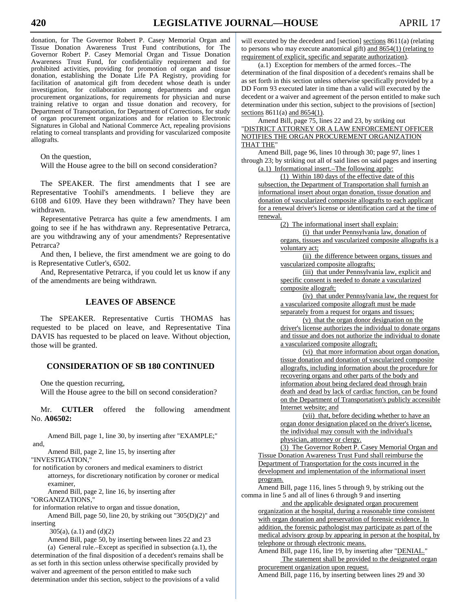donation, for The Governor Robert P. Casey Memorial Organ and Tissue Donation Awareness Trust Fund contributions, for The Governor Robert P. Casey Memorial Organ and Tissue Donation Awareness Trust Fund, for confidentiality requirement and for prohibited activities, providing for promotion of organ and tissue donation, establishing the Donate Life PA Registry, providing for facilitation of anatomical gift from decedent whose death is under investigation, for collaboration among departments and organ procurement organizations, for requirements for physician and nurse training relative to organ and tissue donation and recovery, for Department of Transportation, for Department of Corrections, for study of organ procurement organizations and for relation to Electronic Signatures in Global and National Commerce Act, repealing provisions relating to corneal transplants and providing for vascularized composite allografts.

On the question,

Will the House agree to the bill on second consideration?

 The SPEAKER. The first amendments that I see are Representative Toohil's amendments. I believe they are 6108 and 6109. Have they been withdrawn? They have been withdrawn.

 Representative Petrarca has quite a few amendments. I am going to see if he has withdrawn any. Representative Petrarca, are you withdrawing any of your amendments? Representative Petrarca?

 And then, I believe, the first amendment we are going to do is Representative Cutler's, 6502.

 And, Representative Petrarca, if you could let us know if any of the amendments are being withdrawn.

### **LEAVES OF ABSENCE**

 The SPEAKER. Representative Curtis THOMAS has requested to be placed on leave, and Representative Tina DAVIS has requested to be placed on leave. Without objection, those will be granted.

### **CONSIDERATION OF SB 180 CONTINUED**

One the question recurring,

Will the House agree to the bill on second consideration?

 Mr. **CUTLER** offered the following amendment No. **A06502:**

Amend Bill, page 1, line 30, by inserting after "EXAMPLE;" and,

Amend Bill, page 2, line 15, by inserting after

"INVESTIGATION,"

 for notification by coroners and medical examiners to district attorneys, for discretionary notification by coroner or medical examiner,

Amend Bill, page 2, line 16, by inserting after

"ORGANIZATIONS,"

 for information relative to organ and tissue donation, Amend Bill, page 50, line 20, by striking out "305(D)(2)" and

inserting

305(a), (a.1) and (d)(2)

Amend Bill, page 50, by inserting between lines 22 and 23

(a) General rule.–Except as specified in subsection (a.1), the determination of the final disposition of a decedent's remains shall be as set forth in this section unless otherwise specifically provided by waiver and agreement of the person entitled to make such determination under this section, subject to the provisions of a valid

will executed by the decedent and [section] sections 8611(a) (relating to persons who may execute anatomical gift) and 8654(1) (relating to requirement of explicit, specific and separate authorization).

(a.1) Exception for members of the armed forces.–The determination of the final disposition of a decedent's remains shall be as set forth in this section unless otherwise specifically provided by a DD Form 93 executed later in time than a valid will executed by the decedent or a waiver and agreement of the person entitled to make such determination under this section, subject to the provisions of [section] sections 8611(a) and 8654(1).

Amend Bill, page 75, lines 22 and 23, by striking out "DISTRICT ATTORNEY OR A LAW ENFORCEMENT OFFICER NOTIFIES THE ORGAN PROCUREMENT ORGANIZATION THAT THE"

Amend Bill, page 96, lines 10 through 30; page 97, lines 1 through 23; by striking out all of said lines on said pages and inserting (a.1) Informational insert.–The following apply:

(1) Within 180 days of the effective date of this subsection, the Department of Transportation shall furnish an informational insert about organ donation, tissue donation and donation of vascularized composite allografts to each applicant for a renewal driver's license or identification card at the time of renewal.

(2) The informational insert shall explain:

(i) that under Pennsylvania law, donation of organs, tissues and vascularized composite allografts is a voluntary act;

(ii) the difference between organs, tissues and vascularized composite allografts;

(iii) that under Pennsylvania law, explicit and specific consent is needed to donate a vascularized composite allograft;

(iv) that under Pennsylvania law, the request for a vascularized composite allograft must be made separately from a request for organs and tissues;

(v) that the organ donor designation on the driver's license authorizes the individual to donate organs and tissue and does not authorize the individual to donate a vascularized composite allograft;

(vi) that more information about organ donation, tissue donation and donation of vascularized composite allografts, including information about the procedure for recovering organs and other parts of the body and information about being declared dead through brain death and dead by lack of cardiac function, can be found on the Department of Transportation's publicly accessible Internet website; and

(vii) that, before deciding whether to have an organ donor designation placed on the driver's license, the individual may consult with the individual's physician, attorney or clergy.

(3) The Governor Robert P. Casey Memorial Organ and Tissue Donation Awareness Trust Fund shall reimburse the Department of Transportation for the costs incurred in the development and implementation of the informational insert program.

Amend Bill, page 116, lines 5 through 9, by striking out the comma in line 5 and all of lines 6 through 9 and inserting

 and the applicable designated organ procurement organization at the hospital, during a reasonable time consistent with organ donation and preservation of forensic evidence. In addition, the forensic pathologist may participate as part of the medical advisory group by appearing in person at the hospital, by telephone or through electronic means.

Amend Bill, page 116, line 19, by inserting after "DENIAL." The statement shall be provided to the designated organ procurement organization upon request.

Amend Bill, page 116, by inserting between lines 29 and 30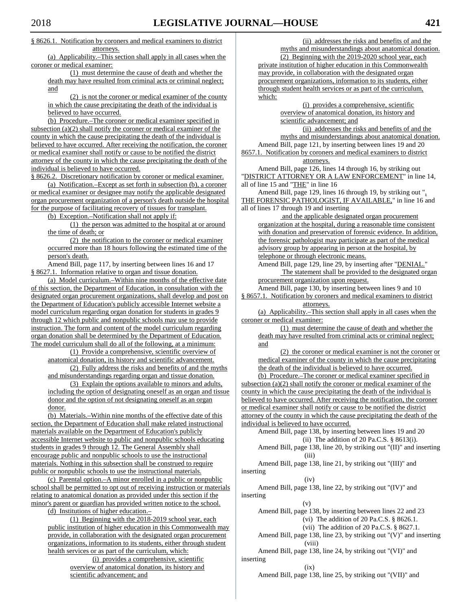§ 8626.1. Notification by coroners and medical examiners to district attorneys.

(a) Applicability.–This section shall apply in all cases when the coroner or medical examiner:

(1) must determine the cause of death and whether the death may have resulted from criminal acts or criminal neglect; and

(2) is not the coroner or medical examiner of the county in which the cause precipitating the death of the individual is believed to have occurred.

(b) Procedure.–The coroner or medical examiner specified in subsection (a)(2) shall notify the coroner or medical examiner of the county in which the cause precipitating the death of the individual is believed to have occurred. After receiving the notification, the coroner or medical examiner shall notify or cause to be notified the district attorney of the county in which the cause precipitating the death of the individual is believed to have occurred.

§ 8626.2. Discretionary notification by coroner or medical examiner. (a) Notification.–Except as set forth in subsection (b), a coroner or medical examiner or designee may notify the applicable designated organ procurement organization of a person's death outside the hospital for the purpose of facilitating recovery of tissues for transplant.

(b) Exception.–Notification shall not apply if:

(1) the person was admitted to the hospital at or around the time of death; or

(2) the notification to the coroner or medical examiner occurred more than 18 hours following the estimated time of the person's death.

Amend Bill, page 117, by inserting between lines 16 and 17 § 8627.1. Information relative to organ and tissue donation.

(a) Model curriculum.–Within nine months of the effective date of this section, the Department of Education, in consultation with the designated organ procurement organizations, shall develop and post on the Department of Education's publicly accessible Internet website a model curriculum regarding organ donation for students in grades 9 through 12 which public and nonpublic schools may use to provide instruction. The form and content of the model curriculum regarding organ donation shall be determined by the Department of Education. The model curriculum shall do all of the following, at a minimum:

(1) Provide a comprehensive, scientific overview of anatomical donation, its history and scientific advancement. (2) Fully address the risks and benefits of and the myths and misunderstandings regarding organ and tissue donation.

(3) Explain the options available to minors and adults, including the option of designating oneself as an organ and tissue donor and the option of not designating oneself as an organ donor.

(b) Materials.–Within nine months of the effective date of this section, the Department of Education shall make related instructional materials available on the Department of Education's publicly accessible Internet website to public and nonpublic schools educating students in grades 9 through 12. The General Assembly shall encourage public and nonpublic schools to use the instructional materials. Nothing in this subsection shall be construed to require public or nonpublic schools to use the instructional materials.

(c) Parental option.–A minor enrolled in a public or nonpublic school shall be permitted to opt out of receiving instruction or materials relating to anatomical donation as provided under this section if the minor's parent or guardian has provided written notice to the school.

(d) Institutions of higher education.–

(1) Beginning with the 2018-2019 school year, each public institution of higher education in this Commonwealth may provide, in collaboration with the designated organ procurement organizations, information to its students, either through student health services or as part of the curriculum, which:

(i) provides a comprehensive, scientific overview of anatomical donation, its history and scientific advancement; and

(ii) addresses the risks and benefits of and the myths and misunderstandings about anatomical donation. (2) Beginning with the 2019-2020 school year, each private institution of higher education in this Commonwealth may provide, in collaboration with the designated organ procurement organizations, information to its students, either through student health services or as part of the curriculum, which:

(i) provides a comprehensive, scientific overview of anatomical donation, its history and scientific advancement; and

(ii) addresses the risks and benefits of and the myths and misunderstandings about anatomical donation.

Amend Bill, page 121, by inserting between lines 19 and 20 8657.1. Notification by coroners and medical examiners to district

attorneys. Amend Bill, page 126, lines 14 through 16, by striking out "DISTRICT ATTORNEY OR A LAW ENFORCEMENT" in line 14,

all of line 15 and "THE" in line 16

Amend Bill, page 129, lines 16 through 19, by striking out ", THE FORENSIC PATHOLOGIST, IF AVAILABLE," in line 16 and all of lines 17 through 19 and inserting

 and the applicable designated organ procurement organization at the hospital, during a reasonable time consistent with donation and preservation of forensic evidence. In addition, the forensic pathologist may participate as part of the medical advisory group by appearing in person at the hospital, by telephone or through electronic means.

Amend Bill, page 129, line 29, by inserting after "DENIAL." The statement shall be provided to the designated organ procurement organization upon request.

Amend Bill, page 130, by inserting between lines 9 and 10 § 8657.1. Notification by coroners and medical examiners to district

attorneys.

(a) Applicability.–This section shall apply in all cases when the coroner or medical examiner:

(1) must determine the cause of death and whether the death may have resulted from criminal acts or criminal neglect; and

(2) the coroner or medical examiner is not the coroner or medical examiner of the county in which the cause precipitating the death of the individual is believed to have occurred.

(b) Procedure.–The coroner or medical examiner specified in subsection (a)(2) shall notify the coroner or medical examiner of the county in which the cause precipitating the death of the individual is believed to have occurred. After receiving the notification, the coroner or medical examiner shall notify or cause to be notified the district attorney of the county in which the cause precipitating the death of the individual is believed to have occurred.

Amend Bill, page 138, by inserting between lines 19 and 20 (ii) The addition of 20 Pa.C.S.  $§ 8613(i)$ .

Amend Bill, page 138, line 20, by striking out "(II)" and inserting (iii)

Amend Bill, page 138, line 21, by striking out "(III)" and inserting

(iv)

Amend Bill, page 138, line 22, by striking out "(IV)" and inserting

(v)

Amend Bill, page 138, by inserting between lines 22 and 23 (vi) The addition of 20 Pa.C.S. § 8626.1.

(vii) The addition of 20 Pa.C.S. § 8627.1.

Amend Bill, page 138, line 23, by striking out "(V)" and inserting (viii)

Amend Bill, page 138, line 24, by striking out "(VI)" and inserting

 $(ix)$ 

Amend Bill, page 138, line 25, by striking out "(VII)" and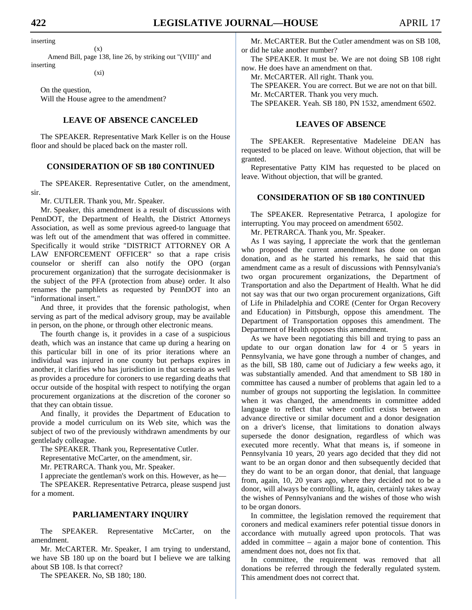inserting

Amend Bill, page 138, line 26, by striking out "(VIII)" and inserting

 $(xi)$ 

(x)

 On the question, Will the House agree to the amendment?

### **LEAVE OF ABSENCE CANCELED**

 The SPEAKER. Representative Mark Keller is on the House floor and should be placed back on the master roll.

### **CONSIDERATION OF SB 180 CONTINUED**

 The SPEAKER. Representative Cutler, on the amendment, sir.

Mr. CUTLER. Thank you, Mr. Speaker.

 Mr. Speaker, this amendment is a result of discussions with PennDOT, the Department of Health, the District Attorneys Association, as well as some previous agreed-to language that was left out of the amendment that was offered in committee. Specifically it would strike "DISTRICT ATTORNEY OR A LAW ENFORCEMENT OFFICER" so that a rape crisis counselor or sheriff can also notify the OPO (organ procurement organization) that the surrogate decisionmaker is the subject of the PFA (protection from abuse) order. It also renames the pamphlets as requested by PennDOT into an "informational insert."

 And three, it provides that the forensic pathologist, when serving as part of the medical advisory group, may be available in person, on the phone, or through other electronic means.

 The fourth change is, it provides in a case of a suspicious death, which was an instance that came up during a hearing on this particular bill in one of its prior iterations where an individual was injured in one county but perhaps expires in another, it clarifies who has jurisdiction in that scenario as well as provides a procedure for coroners to use regarding deaths that occur outside of the hospital with respect to notifying the organ procurement organizations at the discretion of the coroner so that they can obtain tissue.

 And finally, it provides the Department of Education to provide a model curriculum on its Web site, which was the subject of two of the previously withdrawn amendments by our gentlelady colleague.

The SPEAKER. Thank you, Representative Cutler.

Representative McCarter, on the amendment, sir.

Mr. PETRARCA. Thank you, Mr. Speaker.

I appreciate the gentleman's work on this. However, as he—

 The SPEAKER. Representative Petrarca, please suspend just for a moment.

### **PARLIAMENTARY INQUIRY**

 The SPEAKER. Representative McCarter, on the amendment.

 Mr. McCARTER. Mr. Speaker, I am trying to understand, we have SB 180 up on the board but I believe we are talking about SB 108. Is that correct?

The SPEAKER. No, SB 180; 180.

 Mr. McCARTER. But the Cutler amendment was on SB 108, or did he take another number?

 The SPEAKER. It must be. We are not doing SB 108 right now. He does have an amendment on that.

Mr. McCARTER. All right. Thank you.

 The SPEAKER. You are correct. But we are not on that bill. Mr. McCARTER. Thank you very much.

The SPEAKER. Yeah. SB 180, PN 1532, amendment 6502.

### **LEAVES OF ABSENCE**

 The SPEAKER. Representative Madeleine DEAN has requested to be placed on leave. Without objection, that will be granted.

 Representative Patty KIM has requested to be placed on leave. Without objection, that will be granted.

### **CONSIDERATION OF SB 180 CONTINUED**

 The SPEAKER. Representative Petrarca, I apologize for interrupting. You may proceed on amendment 6502.

Mr. PETRARCA. Thank you, Mr. Speaker.

 As I was saying, I appreciate the work that the gentleman who proposed the current amendment has done on organ donation, and as he started his remarks, he said that this amendment came as a result of discussions with Pennsylvania's two organ procurement organizations, the Department of Transportation and also the Department of Health. What he did not say was that our two organ procurement organizations, Gift of Life in Philadelphia and CORE (Center for Organ Recovery and Education) in Pittsburgh, oppose this amendment. The Department of Transportation opposes this amendment. The Department of Health opposes this amendment.

 As we have been negotiating this bill and trying to pass an update to our organ donation law for 4 or 5 years in Pennsylvania, we have gone through a number of changes, and as the bill, SB 180, came out of Judiciary a few weeks ago, it was substantially amended. And that amendment to SB 180 in committee has caused a number of problems that again led to a number of groups not supporting the legislation. In committee when it was changed, the amendments in committee added language to reflect that where conflict exists between an advance directive or similar document and a donor designation on a driver's license, that limitations to donation always supersede the donor designation, regardless of which was executed more recently. What that means is, if someone in Pennsylvania 10 years, 20 years ago decided that they did not want to be an organ donor and then subsequently decided that they do want to be an organ donor, that denial, that language from, again, 10, 20 years ago, where they decided not to be a donor, will always be controlling. It, again, certainly takes away the wishes of Pennsylvanians and the wishes of those who wish to be organ donors.

 In committee, the legislation removed the requirement that coroners and medical examiners refer potential tissue donors in accordance with mutually agreed upon protocols. That was added in committee – again a major bone of contention. This amendment does not, does not fix that.

 In committee, the requirement was removed that all donations be referred through the federally regulated system. This amendment does not correct that.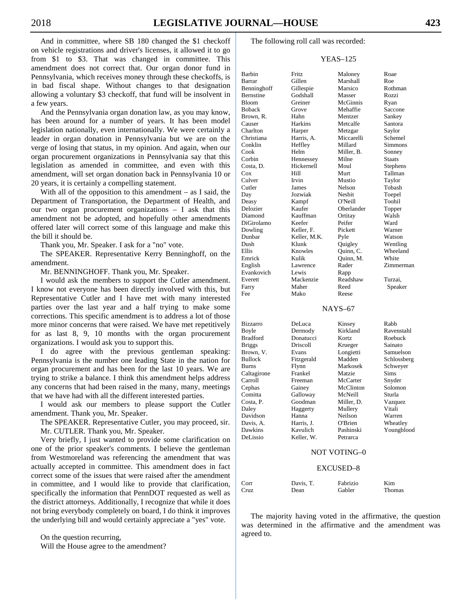And in committee, where SB 180 changed the \$1 checkoff on vehicle registrations and driver's licenses, it allowed it to go from \$1 to \$3. That was changed in committee. This amendment does not correct that. Our organ donor fund in Pennsylvania, which receives money through these checkoffs, is in bad fiscal shape. Without changes to that designation allowing a voluntary \$3 checkoff, that fund will be insolvent in a few years.

 And the Pennsylvania organ donation law, as you may know, has been around for a number of years. It has been model legislation nationally, even internationally. We were certainly a leader in organ donation in Pennsylvania but we are on the verge of losing that status, in my opinion. And again, when our organ procurement organizations in Pennsylvania say that this legislation as amended in committee, and even with this amendment, will set organ donation back in Pennsylvania 10 or 20 years, it is certainly a compelling statement.

With all of the opposition to this amendment  $-$  as I said, the Department of Transportation, the Department of Health, and our two organ procurement organizations – I ask that this amendment not be adopted, and hopefully other amendments offered later will correct some of this language and make this the bill it should be.

Thank you, Mr. Speaker. I ask for a "no" vote.

 The SPEAKER. Representative Kerry Benninghoff, on the amendment.

Mr. BENNINGHOFF. Thank you, Mr. Speaker.

 I would ask the members to support the Cutler amendment. I know not everyone has been directly involved with this, but Representative Cutler and I have met with many interested parties over the last year and a half trying to make some corrections. This specific amendment is to address a lot of those more minor concerns that were raised. We have met repetitively for as last 8, 9, 10 months with the organ procurement organizations. I would ask you to support this.

 I do agree with the previous gentleman speaking: Pennsylvania is the number one leading State in the nation for organ procurement and has been for the last 10 years. We are trying to strike a balance. I think this amendment helps address any concerns that had been raised in the many, many, meetings that we have had with all the different interested parties.

 I would ask our members to please support the Cutler amendment. Thank you, Mr. Speaker.

 The SPEAKER. Representative Cutler, you may proceed, sir. Mr. CUTLER. Thank you, Mr. Speaker.

 Very briefly, I just wanted to provide some clarification on one of the prior speaker's comments. I believe the gentleman from Westmoreland was referencing the amendment that was actually accepted in committee. This amendment does in fact correct some of the issues that were raised after the amendment in committee, and I would like to provide that clarification, specifically the information that PennDOT requested as well as the district attorneys. Additionally, I recognize that while it does not bring everybody completely on board, I do think it improves the underlying bill and would certainly appreciate a "yes" vote.

On the question recurring,

Will the House agree to the amendment?

The following roll call was recorded:

### YEAS–125

| Barbin           | Fritz        | Maloney        | Roae        |
|------------------|--------------|----------------|-------------|
| Barrar           | Gillen       | Marshall       | Roe         |
| Benninghoff      | Gillespie    | Marsico        | Rothman     |
| <b>Bernstine</b> | Godshall     | Masser         | Rozzi       |
| <b>Bloom</b>     | Greiner      | McGinnis       | Ryan        |
| <b>Boback</b>    | Grove        | Mehaffie       | Saccone     |
| Brown, R.        | Hahn         | Mentzer        | Sankey      |
| Causer           | Harkins      | Metcalfe       | Santora     |
| Charlton         | Harper       | Metzgar        | Saylor      |
| Christiana       | Harris, A.   | Miccarelli     | Schemel     |
| Conklin          | Heffley      | Millard        | Simmons     |
| Cook             | Helm         | Miller, B.     | Sonney      |
| Corbin           | Hennessey    | Milne          | Staats      |
| Costa, D.        | Hickernell   | Moul           | Stephens    |
| $\cos$           | Hill         | Murt           | Tallman     |
| Culver           | Irvin        | Mustio         | Taylor      |
| Cutler           | James        | Nelson         | Tobash      |
| Day              | Jozwiak      | Nesbit         | Toepel      |
| Deasy            | Kampf        | O'Neill        | Toohil      |
| Delozier         | Kaufer       | Oberlander     | Topper      |
| Diamond          | Kauffman     | Ortitay        | Walsh       |
| DiGirolamo       | Keefer       | Peifer         | Ward        |
| Dowling          | Keller, F.   | Pickett        | Warner      |
| Dunbar           | Keller, M.K. | Pyle           | Watson      |
| Dush             | Klunk        | Quigley        | Wentling    |
| Ellis            | Knowles      | Quinn, C.      | Wheeland    |
| Emrick           | Kulik        | Quinn, M.      | White       |
| English          | Lawrence     | Rader          | Zimmerman   |
| Evankovich       | Lewis        | Rapp           |             |
| Everett          | Mackenzie    | Readshaw       | Turzai,     |
| Farry            | Maher        | Reed           | Speaker     |
| Fee              | Mako         | Reese          |             |
|                  |              | <b>NAYS-67</b> |             |
|                  |              |                |             |
| <b>Bizzarro</b>  | DeLuca       | Kinsey         | Rabb        |
| Boyle            | Dermody      | Kirkland       | Ravenstahl  |
| <b>Bradford</b>  | Donatucci    | Kortz          | Roebuck     |
| <b>Briggs</b>    | Driscoll     | Krueger        | Sainato     |
| Brown, V.        | Evans        | Longietti      | Samuelson   |
| <b>Bullock</b>   | Fitzgerald   | Madden         | Schlossberg |
| Burns            | Flynn        | Markosek       | Schweyer    |
| Caltagirone      | Frankel      | Matzie         | Sims        |
| Carroll          | Freeman      | McCarter       | Snyder      |
| Cephas           | Gainey       | McClinton      | Solomon     |
| Comitta          | Galloway     | McNeill        | Sturla      |
| Costa, P.        | Goodman      | Miller, D.     | Vazquez     |
| Daley            | Haggerty     | Mullery        | Vitali      |
| Davidson         | Hanna        | Neilson        | Warren      |
| Davis, A.        | Harris, J.   | O'Brien        | Wheatley    |
| Dawkins          | Kavulich     | Pashinski      | Youngblood  |
| DeLissio         | Keller, W.   | Petrarca       |             |
|                  |              |                |             |

### NOT VOTING–0

#### EXCUSED–8

| Corr | Davis. T. | Fabrizio | Kim           |
|------|-----------|----------|---------------|
| Cruz | Dean      | Gabler   | <b>Thomas</b> |

 The majority having voted in the affirmative, the question was determined in the affirmative and the amendment was agreed to.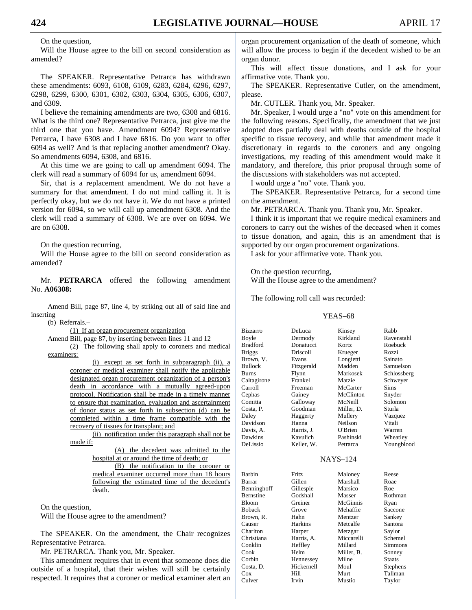On the question,

 Will the House agree to the bill on second consideration as amended?

 The SPEAKER. Representative Petrarca has withdrawn these amendments: 6093, 6108, 6109, 6283, 6284, 6296, 6297, 6298, 6299, 6300, 6301, 6302, 6303, 6304, 6305, 6306, 6307, and 6309.

 I believe the remaining amendments are two, 6308 and 6816. What is the third one? Representative Petrarca, just give me the third one that you have. Amendment 6094? Representative Petrarca, I have 6308 and I have 6816. Do you want to offer 6094 as well? And is that replacing another amendment? Okay. So amendments 6094, 6308, and 6816.

 At this time we are going to call up amendment 6094. The clerk will read a summary of 6094 for us, amendment 6094.

 Sir, that is a replacement amendment. We do not have a summary for that amendment. I do not mind calling it. It is perfectly okay, but we do not have it. We do not have a printed version for 6094, so we will call up amendment 6308. And the clerk will read a summary of 6308. We are over on 6094. We are on 6308.

On the question recurring,

 Will the House agree to the bill on second consideration as amended?

 Mr. **PETRARCA** offered the following amendment No. **A06308:** 

Amend Bill, page 87, line 4, by striking out all of said line and inserting

(b) Referrals.–

(1) If an organ procurement organization

Amend Bill, page 87, by inserting between lines 11 and 12

(2) The following shall apply to coroners and medical examiners:

> (i) except as set forth in subparagraph (ii), a coroner or medical examiner shall notify the applicable designated organ procurement organization of a person's death in accordance with a mutually agreed-upon protocol. Notification shall be made in a timely manner to ensure that examination, evaluation and ascertainment of donor status as set forth in subsection (d) can be completed within a time frame compatible with the recovery of tissues for transplant; and

(ii) notification under this paragraph shall not be made if:

> (A) the decedent was admitted to the hospital at or around the time of death; or

> (B) the notification to the coroner or medical examiner occurred more than 18 hours following the estimated time of the decedent's death.

On the question,

Will the House agree to the amendment?

 The SPEAKER. On the amendment, the Chair recognizes Representative Petrarca.

Mr. PETRARCA. Thank you, Mr. Speaker.

 This amendment requires that in event that someone does die outside of a hospital, that their wishes will still be certainly respected. It requires that a coroner or medical examiner alert an organ procurement organization of the death of someone, which will allow the process to begin if the decedent wished to be an organ donor.

 This will affect tissue donations, and I ask for your affirmative vote. Thank you.

 The SPEAKER. Representative Cutler, on the amendment, please.

Mr. CUTLER. Thank you, Mr. Speaker.

 Mr. Speaker, I would urge a "no" vote on this amendment for the following reasons. Specifically, the amendment that we just adopted does partially deal with deaths outside of the hospital specific to tissue recovery, and while that amendment made it discretionary in regards to the coroners and any ongoing investigations, my reading of this amendment would make it mandatory, and therefore, this prior proposal through some of the discussions with stakeholders was not accepted.

I would urge a "no" vote. Thank you.

 The SPEAKER. Representative Petrarca, for a second time on the amendment.

Mr. PETRARCA. Thank you. Thank you, Mr. Speaker.

 I think it is important that we require medical examiners and coroners to carry out the wishes of the deceased when it comes to tissue donation, and again, this is an amendment that is supported by our organ procurement organizations.

I ask for your affirmative vote. Thank you.

 On the question recurring, Will the House agree to the amendment?

The following roll call was recorded:

#### YEAS–68

| Bizzarro       | DeLuca       | Kinsey          | Rabb          |
|----------------|--------------|-----------------|---------------|
| Boyle          | Dermody      | Kirkland        | Ravenstahl    |
| Bradford       | Donatucci    | Kortz           | Roebuck       |
| <b>Briggs</b>  | Driscoll     | Krueger         | Rozzi         |
| Brown, V.      | Evans        | Longietti       | Sainato       |
| <b>Bullock</b> | Fitzgerald   | Madden          | Samuelson     |
| <b>Burns</b>   | Flynn        | Markosek        | Schlossberg   |
| Caltagirone    | Frankel      | Matzie          | Schweyer      |
| Carroll        | Freeman      | McCarter        | Sims          |
| Cephas         | Gainey       | McClinton       | Snyder        |
| Comitta        | Galloway     | McNeill         | Solomon       |
| Costa, P.      | Goodman      | Miller, D.      | Sturla        |
| Daley          | Haggerty     | Mullery         | Vazquez       |
| Davidson       | Hanna        | Neilson         | Vitali        |
| Davis, A.      | Harris, J.   | O'Brien         | Warren        |
| Dawkins        | Kavulich     | Pashinski       | Wheatley      |
| DeLissio       | Keller, W.   | Petrarca        | Youngblood    |
|                |              | <b>NAYS-124</b> |               |
|                |              |                 |               |
| Barbin         | <b>Fritz</b> | Maloney         | Reese         |
| Barrar         | Gillen       | Marshall        | Roae          |
| Benninghoff    | Gillespie    | Marsico         | Roe           |
| Bernstine      | Godshall     | Masser          | Rothman       |
| Bloom          | Greiner      | McGinnis        | Ryan          |
| Boback         | Grove        | Mehaffie        | Saccone       |
| Brown, R.      | Hahn         | Mentzer         | Sankey        |
| Causer         | Harkins      | Metcalfe        | Santora       |
| Charlton       | Harper       | Metzgar         | Saylor        |
| Christiana     | Harris, A.   | Miccarelli      | Schemel       |
| Conklin        | Heffley      | Millard         | Simmons       |
| Cook           | Helm         | Miller, B.      | Sonney        |
| Corbin         | Hennessey    | Milne           | <b>Staats</b> |
| Costa, D.      | Hickernell   | Moul            | Stephens      |
| Cox            | Hill         | Murt            | Tallman       |

Culver Irvin Mustio Taylor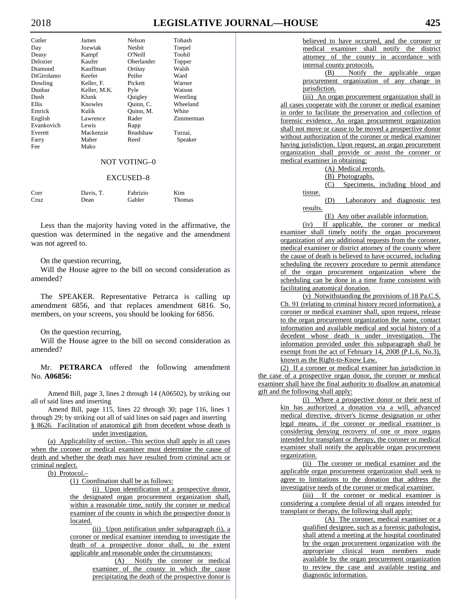# 2018 **LEGISLATIVE JOURNAL—HOUSE 425**

| Cutler     | James        | Nelson     | Tobash    |
|------------|--------------|------------|-----------|
| Day        | Jozwiak      | Nesbit     | Toepel    |
| Deasy      | Kampf        | O'Neill    | Toohil    |
| Delozier   | Kaufer       | Oberlander | Topper    |
| Diamond    | Kauffman     | Ortitay    | Walsh     |
| DiGirolamo | Keefer       | Peifer     | Ward      |
| Dowling    | Keller, F.   | Pickett    | Warner    |
| Dunbar     | Keller, M.K. | Pyle       | Watson    |
| Dush       | Klunk        | Quigley    | Wentling  |
| Ellis      | Knowles      | Ouinn, C.  | Wheeland  |
| Emrick     | Kulik        | Ouinn, M.  | White     |
| English    | Lawrence     | Rader      | Zimmerman |
| Evankovich | Lewis        | Rapp       |           |
| Everett    | Mackenzie    | Readshaw   | Turzai.   |
| Farry      | Maher        | Reed       | Speaker   |
| Fee        | Mako         |            |           |
|            |              |            |           |

### NOT VOTING–0

#### EXCUSED–8

| Corr | Davis, T. | Fabrizio | Kim           |
|------|-----------|----------|---------------|
| Cruz | Dean      | Gabler   | <b>Thomas</b> |

 Less than the majority having voted in the affirmative, the question was determined in the negative and the amendment was not agreed to.

### On the question recurring,

 Will the House agree to the bill on second consideration as amended?

 The SPEAKER. Representative Petrarca is calling up amendment 6856, and that replaces amendment 6816. So, members, on your screens, you should be looking for 6856.

On the question recurring,

 Will the House agree to the bill on second consideration as amended?

 Mr. **PETRARCA** offered the following amendment No. **A06856:**

Amend Bill, page 3, lines 2 through 14 (A06502), by striking out all of said lines and inserting

Amend Bill, page 115, lines 22 through 30; page 116, lines 1 through 29; by striking out all of said lines on said pages and inserting § 8626. Facilitation of anatomical gift from decedent whose death is under investigation.

(a) Applicability of section.–This section shall apply in all cases when the coroner or medical examiner must determine the cause of death and whether the death may have resulted from criminal acts or criminal neglect.

(b) Protocol.–

(1) Coordination shall be as follows:

(i) Upon identification of a prospective donor, the designated organ procurement organization shall, within a reasonable time, notify the coroner or medical examiner of the county in which the prospective donor is located.

(ii) Upon notification under subparagraph (i), a coroner or medical examiner intending to investigate the death of a prospective donor shall, to the extent applicable and reasonable under the circumstances:

(A) Notify the coroner or medical examiner of the county in which the cause precipitating the death of the prospective donor is

believed to have occurred, and the coroner or medical examiner shall notify the district attorney of the county in accordance with internal county protocols.

(B) Notify the applicable organ procurement organization of any change in jurisdiction.

(iii) An organ procurement organization shall in all cases cooperate with the coroner or medical examiner in order to facilitate the preservation and collection of forensic evidence. An organ procurement organization shall not move or cause to be moved a prospective donor without authorization of the coroner or medical examiner having jurisdiction. Upon request, an organ procurement organization shall provide or assist the coroner or medical examiner in obtaining:

(A) Medical records.

(B) Photographs.

tissue.

(C) Specimens, including blood and

(D) Laboratory and diagnostic test results.

(E) Any other available information.

(iv) If applicable, the coroner or medical examiner shall timely notify the organ procurement organization of any additional requests from the coroner, medical examiner or district attorney of the county where the cause of death is believed to have occurred, including scheduling the recovery procedure to permit attendance of the organ procurement organization where the scheduling can be done in a time frame consistent with facilitating anatomical donation.

(v) Notwithstanding the provisions of 18 Pa.C.S. Ch. 91 (relating to criminal history record information), a coroner or medical examiner shall, upon request, release to the organ procurement organization the name, contact information and available medical and social history of a decedent whose death is under investigation. The information provided under this subparagraph shall be exempt from the act of February 14, 2008 (P.L.6, No.3), known as the Right-to-Know Law.

(2) If a coroner or medical examiner has jurisdiction in the case of a prospective organ donor, the coroner or medical examiner shall have the final authority to disallow an anatomical gift and the following shall apply:

> (i) Where a prospective donor or their next of kin has authorized a donation via a will, advanced medical directive, driver's license designation or other legal means, if the coroner or medical examiner is considering denying recovery of one or more organs intended for transplant or therapy, the coroner or medical examiner shall notify the applicable organ procurement organization.

> (ii) The coroner or medical examiner and the applicable organ procurement organization shall seek to agree to limitations to the donation that address the investigative needs of the coroner or medical examiner.

> (iii) If the coroner or medical examiner is considering a complete denial of all organs intended for transplant or therapy, the following shall apply:

(A) The coroner, medical examiner or a qualified designee, such as a forensic pathologist, shall attend a meeting at the hospital coordinated by the organ procurement organization with the appropriate clinical team members made available by the organ procurement organization to review the case and available testing and diagnostic information.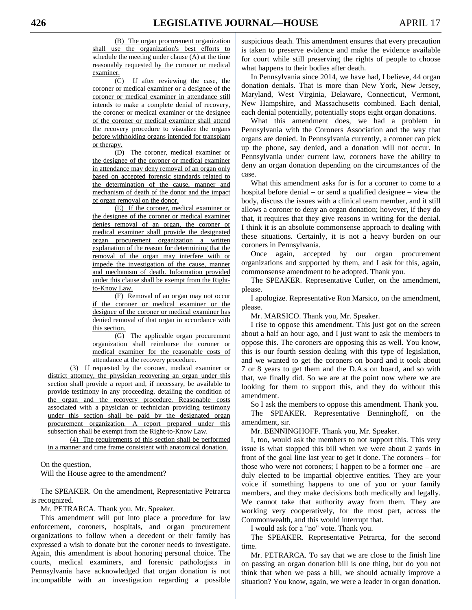(B) The organ procurement organization shall use the organization's best efforts to schedule the meeting under clause (A) at the time reasonably requested by the coroner or medical examiner.

(C) If after reviewing the case, the coroner or medical examiner or a designee of the coroner or medical examiner in attendance still intends to make a complete denial of recovery, the coroner or medical examiner or the designee of the coroner or medical examiner shall attend the recovery procedure to visualize the organs before withholding organs intended for transplant or therapy.

(D) The coroner, medical examiner or the designee of the coroner or medical examiner in attendance may deny removal of an organ only based on accepted forensic standards related to the determination of the cause, manner and mechanism of death of the donor and the impact of organ removal on the donor.

(E) If the coroner, medical examiner or the designee of the coroner or medical examiner denies removal of an organ, the coroner or medical examiner shall provide the designated organ procurement organization a written explanation of the reason for determining that the removal of the organ may interfere with or impede the investigation of the cause, manner and mechanism of death. Information provided under this clause shall be exempt from the Rightto-Know Law.

(F) Removal of an organ may not occur if the coroner or medical examiner or the designee of the coroner or medical examiner has denied removal of that organ in accordance with this section.

(G) The applicable organ procurement organization shall reimburse the coroner or medical examiner for the reasonable costs of attendance at the recovery procedure.

(3) If requested by the coroner, medical examiner or district attorney, the physician recovering an organ under this section shall provide a report and, if necessary, be available to provide testimony in any proceeding, detailing the condition of the organ and the recovery procedure. Reasonable costs associated with a physician or technician providing testimony under this section shall be paid by the designated organ procurement organization. A report prepared under this subsection shall be exempt from the Right-to-Know Law.

(4) The requirements of this section shall be performed in a manner and time frame consistent with anatomical donation.

On the question,

Will the House agree to the amendment?

 The SPEAKER. On the amendment, Representative Petrarca is recognized.

Mr. PETRARCA. Thank you, Mr. Speaker.

 This amendment will put into place a procedure for law enforcement, coroners, hospitals, and organ procurement organizations to follow when a decedent or their family has expressed a wish to donate but the coroner needs to investigate. Again, this amendment is about honoring personal choice. The courts, medical examiners, and forensic pathologists in Pennsylvania have acknowledged that organ donation is not incompatible with an investigation regarding a possible suspicious death. This amendment ensures that every precaution is taken to preserve evidence and make the evidence available for court while still preserving the rights of people to choose what happens to their bodies after death.

 In Pennsylvania since 2014, we have had, I believe, 44 organ donation denials. That is more than New York, New Jersey, Maryland, West Virginia, Delaware, Connecticut, Vermont, New Hampshire, and Massachusetts combined. Each denial, each denial potentially, potentially stops eight organ donations.

 What this amendment does, we had a problem in Pennsylvania with the Coroners Association and the way that organs are denied. In Pennsylvania currently, a coroner can pick up the phone, say denied, and a donation will not occur. In Pennsylvania under current law, coroners have the ability to deny an organ donation depending on the circumstances of the case.

 What this amendment asks for is for a coroner to come to a hospital before denial – or send a qualified designee – view the body, discuss the issues with a clinical team member, and it still allows a coroner to deny an organ donation; however, if they do that, it requires that they give reasons in writing for the denial. I think it is an absolute commonsense approach to dealing with these situations. Certainly, it is not a heavy burden on our coroners in Pennsylvania.

 Once again, accepted by our organ procurement organizations and supported by them, and I ask for this, again, commonsense amendment to be adopted. Thank you.

 The SPEAKER. Representative Cutler, on the amendment, please.

 I apologize. Representative Ron Marsico, on the amendment, please.

Mr. MARSICO. Thank you, Mr. Speaker.

 I rise to oppose this amendment. This just got on the screen about a half an hour ago, and I just want to ask the members to oppose this. The coroners are opposing this as well. You know, this is our fourth session dealing with this type of legislation, and we wanted to get the coroners on board and it took about 7 or 8 years to get them and the D.A.s on board, and so with that, we finally did. So we are at the point now where we are looking for them to support this, and they do without this amendment.

So I ask the members to oppose this amendment. Thank you.

 The SPEAKER. Representative Benninghoff, on the amendment, sir.

Mr. BENNINGHOFF. Thank you, Mr. Speaker.

 I, too, would ask the members to not support this. This very issue is what stopped this bill when we were about 2 yards in front of the goal line last year to get it done. The coroners – for those who were not coroners; I happen to be a former one – are duly elected to be impartial objective entities. They are your voice if something happens to one of you or your family members, and they make decisions both medically and legally. We cannot take that authority away from them. They are working very cooperatively, for the most part, across the Commonwealth, and this would interrupt that.

I would ask for a "no" vote. Thank you.

 The SPEAKER. Representative Petrarca, for the second time.

 Mr. PETRARCA. To say that we are close to the finish line on passing an organ donation bill is one thing, but do you not think that when we pass a bill, we should actually improve a situation? You know, again, we were a leader in organ donation.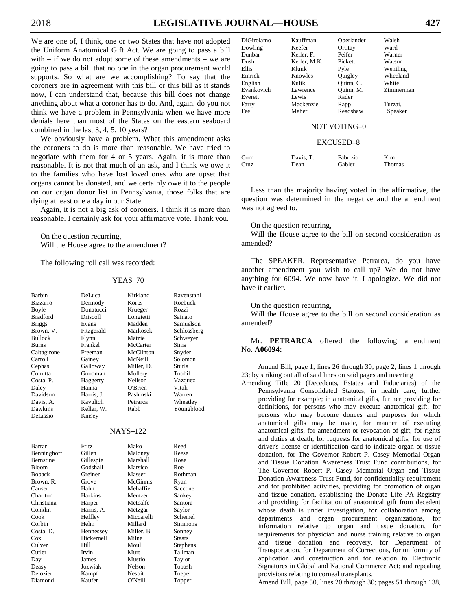We are one of, I think, one or two States that have not adopted the Uniform Anatomical Gift Act. We are going to pass a bill with  $-$  if we do not adopt some of these amendments  $-$  we are going to pass a bill that no one in the organ procurement world supports. So what are we accomplishing? To say that the coroners are in agreement with this bill or this bill as it stands now, I can understand that, because this bill does not change anything about what a coroner has to do. And, again, do you not think we have a problem in Pennsylvania when we have more denials here than most of the States on the eastern seaboard combined in the last 3, 4, 5, 10 years?

 We obviously have a problem. What this amendment asks the coroners to do is more than reasonable. We have tried to negotiate with them for 4 or 5 years. Again, it is more than reasonable. It is not that much of an ask, and I think we owe it to the families who have lost loved ones who are upset that organs cannot be donated, and we certainly owe it to the people on our organ donor list in Pennsylvania, those folks that are dying at least one a day in our State.

 Again, it is not a big ask of coroners. I think it is more than reasonable. I certainly ask for your affirmative vote. Thank you.

 On the question recurring, Will the House agree to the amendment?

The following roll call was recorded:

### YEAS–70

| 1 LAJ-70         |                 |                 |             |
|------------------|-----------------|-----------------|-------------|
| Barbin           | DeLuca          | Kirkland        | Ravenstahl  |
| <b>Bizzarro</b>  | Dermody         | Kortz           | Roebuck     |
| Boyle            | Donatucci       | Krueger         | Rozzi       |
| <b>Bradford</b>  | <b>Driscoll</b> | Longietti       | Sainato     |
| <b>Briggs</b>    | Evans           | Madden          | Samuelson   |
| Brown, V.        | Fitzgerald      | Markosek        | Schlossberg |
| <b>Bullock</b>   | Flynn           | Matzie          | Schweyer    |
| Burns            | Frankel         | McCarter        | Sims        |
| Caltagirone      | Freeman         | McClinton       | Snyder      |
| Carroll          | Gainey          | McNeill         | Solomon     |
| Cephas           | Galloway        | Miller, D.      | Sturla      |
| Comitta          | Goodman         | Mullery         | Toohil      |
| Costa. P.        | Haggerty        | Neilson         | Vazquez     |
| Daley            | Hanna           | O'Brien         | Vitali      |
| Davidson         | Harris. J.      | Pashinski       | Warren      |
| Davis, A.        | Kavulich        | Petrarca        | Wheatley    |
| Dawkins          | Keller. W.      | Rabb            | Youngblood  |
| DeLissio         | Kinsey          |                 |             |
|                  |                 |                 |             |
|                  |                 | <b>NAYS-122</b> |             |
|                  |                 |                 |             |
| Barrar           | Fritz           | Mako            | Reed        |
| Benninghoff      | Gillen          | Maloney         | Reese       |
| <b>Bernstine</b> | Gillespie       | Marshall        | Roae        |
| <b>Bloom</b>     | Godshall        | Marsico         | Roe         |
| <b>Boback</b>    | Greiner         | Masser          | Rothman     |
| Brown, R.        | Grove           | McGinnis        | Ryan        |
| Causer           | Hahn            | Mehaffie        | Saccone     |
| Charlton         | Harkins         | Mentzer         | Sankey      |
| Christiana       | Harper          | Metcalfe        | Santora     |
| Conklin          | Harris, A.      | Metzgar         | Saylor      |
| Cook             | Heffley         | Miccarelli      | Schemel     |
| Corbin           | Helm            | Millard         | Simmons     |
| Costa, D.        | Hennessey       | Miller, B.      | Sonney      |
| Cox              | Hickernell      | Milne           | Staats      |
| Culver           | Hill            | Moul            | Stephens    |
| Cutler           | Irvin           | Murt            | Tallman     |
| Day              | James           | Mustio          | Taylor      |
| Deasy            | Jozwiak         | Nelson          | Tobash      |
| Delozier         | Kampf           | Nesbit          | Toepel      |
| Diamond          | Kaufer          | O'Neill         | Topper      |

| DiGirolamo                | Kauffman     | Oberlander | Walsh     |  |
|---------------------------|--------------|------------|-----------|--|
| Dowling                   | Keefer       | Ortitay    | Ward      |  |
| Dunbar                    | Keller, F.   | Peifer     | Warner    |  |
| Dush                      | Keller, M.K. | Pickett    | Watson    |  |
| <b>Ellis</b>              | Klunk        | Pyle       | Wentling  |  |
| Emrick                    | Knowles      | Quigley    | Wheeland  |  |
| English                   | Kulik        | Ouinn, C.  | White     |  |
| Evankovich                | Lawrence     | Ouinn, M.  | Zimmerman |  |
| Everett                   | Lewis        | Rader      |           |  |
| Farry                     | Mackenzie    | Rapp       | Turzai,   |  |
| Fee                       | Maher        | Readshaw   | Speaker   |  |
| NOT VOTING-0<br>EXCUSED-8 |              |            |           |  |
| Corr                      | Davis, T.    | Fabrizio   | Kim       |  |

Cruz Dean Gabler Thomas

 Less than the majority having voted in the affirmative, the question was determined in the negative and the amendment was not agreed to.

#### On the question recurring,

 Will the House agree to the bill on second consideration as amended?

 The SPEAKER. Representative Petrarca, do you have another amendment you wish to call up? We do not have anything for 6094. We now have it. I apologize. We did not have it earlier.

#### On the question recurring,

 Will the House agree to the bill on second consideration as amended?

 Mr. **PETRARCA** offered the following amendment No. **A06094:**

Amend Bill, page 1, lines 26 through 30; page 2, lines 1 through 23; by striking out all of said lines on said pages and inserting

Amending Title 20 (Decedents, Estates and Fiduciaries) of the Pennsylvania Consolidated Statutes, in health care, further providing for example; in anatomical gifts, further providing for definitions, for persons who may execute anatomical gift, for persons who may become donees and purposes for which anatomical gifts may be made, for manner of executing anatomical gifts, for amendment or revocation of gift, for rights and duties at death, for requests for anatomical gifts, for use of driver's license or identification card to indicate organ or tissue donation, for The Governor Robert P. Casey Memorial Organ and Tissue Donation Awareness Trust Fund contributions, for The Governor Robert P. Casey Memorial Organ and Tissue Donation Awareness Trust Fund, for confidentiality requirement and for prohibited activities, providing for promotion of organ and tissue donation, establishing the Donate Life PA Registry and providing for facilitation of anatomical gift from decedent whose death is under investigation, for collaboration among departments and organ procurement organizations, for information relative to organ and tissue donation, for requirements for physician and nurse training relative to organ and tissue donation and recovery, for Department of Transportation, for Department of Corrections, for uniformity of application and construction and for relation to Electronic Signatures in Global and National Commerce Act; and repealing provisions relating to corneal transplants.

Amend Bill, page 50, lines 20 through 30; pages 51 through 138,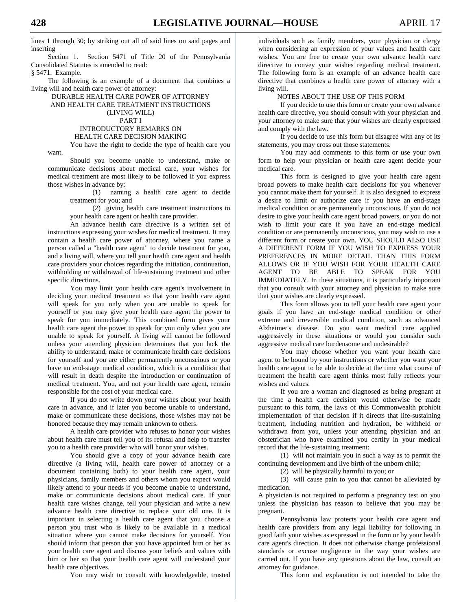lines 1 through 30; by striking out all of said lines on said pages and inserting

Section 1. Section 5471 of Title 20 of the Pennsylvania Consolidated Statutes is amended to read:

§ 5471. Example.

The following is an example of a document that combines a living will and health care power of attorney:

DURABLE HEALTH CARE POWER OF ATTORNEY AND HEALTH CARE TREATMENT INSTRUCTIONS (LIVING WILL)

PART I

INTRODUCTORY REMARKS ON HEALTH CARE DECISION MAKING

You have the right to decide the type of health care you want.

Should you become unable to understand, make or communicate decisions about medical care, your wishes for medical treatment are most likely to be followed if you express those wishes in advance by:

> (1) naming a health care agent to decide treatment for you; and

> (2) giving health care treatment instructions to your health care agent or health care provider.

An advance health care directive is a written set of instructions expressing your wishes for medical treatment. It may contain a health care power of attorney, where you name a person called a "health care agent" to decide treatment for you, and a living will, where you tell your health care agent and health care providers your choices regarding the initiation, continuation, withholding or withdrawal of life-sustaining treatment and other specific directions.

You may limit your health care agent's involvement in deciding your medical treatment so that your health care agent will speak for you only when you are unable to speak for yourself or you may give your health care agent the power to speak for you immediately. This combined form gives your health care agent the power to speak for you only when you are unable to speak for yourself. A living will cannot be followed unless your attending physician determines that you lack the ability to understand, make or communicate health care decisions for yourself and you are either permanently unconscious or you have an end-stage medical condition, which is a condition that will result in death despite the introduction or continuation of medical treatment. You, and not your health care agent, remain responsible for the cost of your medical care.

If you do not write down your wishes about your health care in advance, and if later you become unable to understand, make or communicate these decisions, those wishes may not be honored because they may remain unknown to others.

A health care provider who refuses to honor your wishes about health care must tell you of its refusal and help to transfer you to a health care provider who will honor your wishes.

You should give a copy of your advance health care directive (a living will, health care power of attorney or a document containing both) to your health care agent, your physicians, family members and others whom you expect would likely attend to your needs if you become unable to understand, make or communicate decisions about medical care. If your health care wishes change, tell your physician and write a new advance health care directive to replace your old one. It is important in selecting a health care agent that you choose a person you trust who is likely to be available in a medical situation where you cannot make decisions for yourself. You should inform that person that you have appointed him or her as your health care agent and discuss your beliefs and values with him or her so that your health care agent will understand your health care objectives.

You may wish to consult with knowledgeable, trusted

individuals such as family members, your physician or clergy when considering an expression of your values and health care wishes. You are free to create your own advance health care directive to convey your wishes regarding medical treatment. The following form is an example of an advance health care directive that combines a health care power of attorney with a living will.

#### NOTES ABOUT THE USE OF THIS FORM

If you decide to use this form or create your own advance health care directive, you should consult with your physician and your attorney to make sure that your wishes are clearly expressed and comply with the law.

If you decide to use this form but disagree with any of its statements, you may cross out those statements.

You may add comments to this form or use your own form to help your physician or health care agent decide your medical care.

This form is designed to give your health care agent broad powers to make health care decisions for you whenever you cannot make them for yourself. It is also designed to express a desire to limit or authorize care if you have an end-stage medical condition or are permanently unconscious. If you do not desire to give your health care agent broad powers, or you do not wish to limit your care if you have an end-stage medical condition or are permanently unconscious, you may wish to use a different form or create your own. YOU SHOULD ALSO USE A DIFFERENT FORM IF YOU WISH TO EXPRESS YOUR PREFERENCES IN MORE DETAIL THAN THIS FORM ALLOWS OR IF YOU WISH FOR YOUR HEALTH CARE AGENT TO BE ABLE TO SPEAK FOR YOU IMMEDIATELY. In these situations, it is particularly important that you consult with your attorney and physician to make sure that your wishes are clearly expressed.

This form allows you to tell your health care agent your goals if you have an end-stage medical condition or other extreme and irreversible medical condition, such as advanced Alzheimer's disease. Do you want medical care applied aggressively in these situations or would you consider such aggressive medical care burdensome and undesirable?

You may choose whether you want your health care agent to be bound by your instructions or whether you want your health care agent to be able to decide at the time what course of treatment the health care agent thinks most fully reflects your wishes and values.

If you are a woman and diagnosed as being pregnant at the time a health care decision would otherwise be made pursuant to this form, the laws of this Commonwealth prohibit implementation of that decision if it directs that life-sustaining treatment, including nutrition and hydration, be withheld or withdrawn from you, unless your attending physician and an obstetrician who have examined you certify in your medical record that the life-sustaining treatment:

(1) will not maintain you in such a way as to permit the continuing development and live birth of the unborn child;

(2) will be physically harmful to you; or

(3) will cause pain to you that cannot be alleviated by medication.

A physician is not required to perform a pregnancy test on you unless the physician has reason to believe that you may be pregnant.

Pennsylvania law protects your health care agent and health care providers from any legal liability for following in good faith your wishes as expressed in the form or by your health care agent's direction. It does not otherwise change professional standards or excuse negligence in the way your wishes are carried out. If you have any questions about the law, consult an attorney for guidance.

This form and explanation is not intended to take the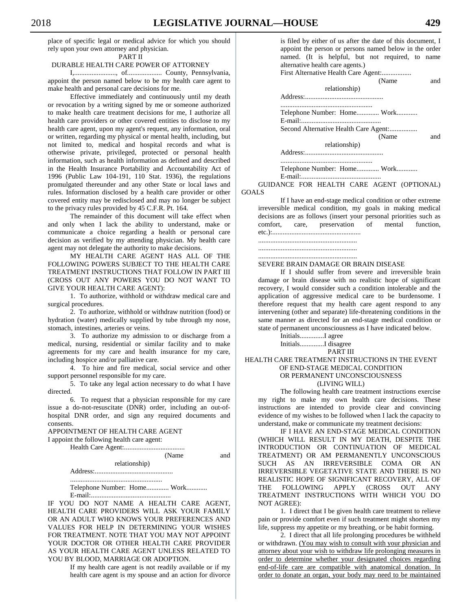place of specific legal or medical advice for which you should rely upon your own attorney and physician. PART II

### DURABLE HEALTH CARE POWER OF ATTORNEY

I,........................, of.................... County, Pennsylvania, appoint the person named below to be my health care agent to make health and personal care decisions for me.

Effective immediately and continuously until my death or revocation by a writing signed by me or someone authorized to make health care treatment decisions for me, I authorize all health care providers or other covered entities to disclose to my health care agent, upon my agent's request, any information, oral or written, regarding my physical or mental health, including, but not limited to, medical and hospital records and what is otherwise private, privileged, protected or personal health information, such as health information as defined and described in the Health Insurance Portability and Accountability Act of 1996 (Public Law 104-191, 110 Stat. 1936), the regulations promulgated thereunder and any other State or local laws and rules. Information disclosed by a health care provider or other covered entity may be redisclosed and may no longer be subject to the privacy rules provided by 45 C.F.R. Pt. 164.

The remainder of this document will take effect when and only when I lack the ability to understand, make or communicate a choice regarding a health or personal care decision as verified by my attending physician. My health care agent may not delegate the authority to make decisions.

MY HEALTH CARE AGENT HAS ALL OF THE FOLLOWING POWERS SUBJECT TO THE HEALTH CARE TREATMENT INSTRUCTIONS THAT FOLLOW IN PART III (CROSS OUT ANY POWERS YOU DO NOT WANT TO GIVE YOUR HEALTH CARE AGENT):

1. To authorize, withhold or withdraw medical care and surgical procedures.

2. To authorize, withhold or withdraw nutrition (food) or hydration (water) medically supplied by tube through my nose, stomach, intestines, arteries or veins.

3. To authorize my admission to or discharge from a medical, nursing, residential or similar facility and to make agreements for my care and health insurance for my care, including hospice and/or palliative care.

4. To hire and fire medical, social service and other support personnel responsible for my care.

5. To take any legal action necessary to do what I have directed.

6. To request that a physician responsible for my care issue a do-not-resuscitate (DNR) order, including an out-ofhospital DNR order, and sign any required documents and consents.

APPOINTMENT OF HEALTH CARE AGENT

I appoint the following health care agent:

Health Care Agent:...................................

(Name and

relationship)

Address:.............................................

..................................................... Telephone Number: Home............. Work............ E-mail:..............................................

IF YOU DO NOT NAME A HEALTH CARE AGENT, HEALTH CARE PROVIDERS WILL ASK YOUR FAMILY OR AN ADULT WHO KNOWS YOUR PREFERENCES AND VALUES FOR HELP IN DETERMINING YOUR WISHES FOR TREATMENT. NOTE THAT YOU MAY NOT APPOINT YOUR DOCTOR OR OTHER HEALTH CARE PROVIDER AS YOUR HEALTH CARE AGENT UNLESS RELATED TO YOU BY BLOOD, MARRIAGE OR ADOPTION.

> If my health care agent is not readily available or if my health care agent is my spouse and an action for divorce

is filed by either of us after the date of this document, I appoint the person or persons named below in the order named. (It is helpful, but not required, to name alternative health care agents.) First Alternative Health Care Agent:.................

 (Name and relationship) Address:............................................. ..................................................... Telephone Number: Home............. Work............ E-mail:.............................................. Second Alternative Health Care Agent:................ (Name and relationship) Address:............................................. ..................................................... Telephone Number: Home............. Work............ E-mail:.............................................. GUIDANCE FOR HEALTH CARE AGENT (OPTIONAL)

GOALS If I have an end-stage medical condition or other extreme irreversible medical condition, my goals in making medical decisions are as follows (insert your personal priorities such as comfort, care, preservation of mental function,

etc.):................................................... .........................................................

.........................................................

#### SEVERE BRAIN DAMAGE OR BRAIN DISEASE

If I should suffer from severe and irreversible brain damage or brain disease with no realistic hope of significant recovery, I would consider such a condition intolerable and the application of aggressive medical care to be burdensome. I therefore request that my health care agent respond to any intervening (other and separate) life-threatening conditions in the same manner as directed for an end-stage medical condition or state of permanent unconsciousness as I have indicated below.

Initials..............I agree Initials..............I disagree PART III

# HEALTH CARE TREATMENT INSTRUCTIONS IN THE EVENT

### OF END-STAGE MEDICAL CONDITION OR PERMANENT UNCONSCIOUSNESS (LIVING WILL)

The following health care treatment instructions exercise my right to make my own health care decisions. These instructions are intended to provide clear and convincing evidence of my wishes to be followed when I lack the capacity to understand, make or communicate my treatment decisions:

IF I HAVE AN END-STAGE MEDICAL CONDITION (WHICH WILL RESULT IN MY DEATH, DESPITE THE INTRODUCTION OR CONTINUATION OF MEDICAL TREATMENT) OR AM PERMANENTLY UNCONSCIOUS SUCH AS AN IRREVERSIBLE COMA OR AN IRREVERSIBLE VEGETATIVE STATE AND THERE IS NO REALISTIC HOPE OF SIGNIFICANT RECOVERY, ALL OF THE FOLLOWING APPLY (CROSS OUT ANY TREATMENT INSTRUCTIONS WITH WHICH YOU DO NOT AGREE):

1. I direct that I be given health care treatment to relieve pain or provide comfort even if such treatment might shorten my life, suppress my appetite or my breathing, or be habit forming.

2. I direct that all life prolonging procedures be withheld or withdrawn. (You may wish to consult with your physician and attorney about your wish to withdraw life prolonging measures in order to determine whether your designated choices regarding end-of-life care are compatible with anatomical donation. In order to donate an organ, your body may need to be maintained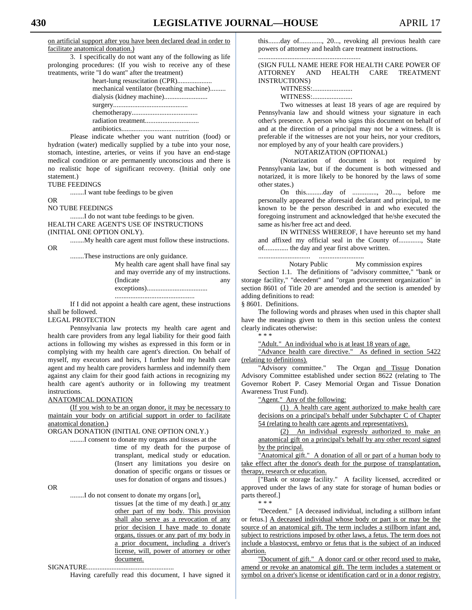on artificial support after you have been declared dead in order to facilitate anatomical donation.)

3. I specifically do not want any of the following as life prolonging procedures: (If you wish to receive any of these treatments, write "I do want" after the treatment)

| heart-lung resuscitation (CPR)            |
|-------------------------------------------|
| mechanical ventilator (breathing machine) |
|                                           |
|                                           |
|                                           |
|                                           |
|                                           |
|                                           |

Please indicate whether you want nutrition (food) or hydration (water) medically supplied by a tube into your nose, stomach, intestine, arteries, or veins if you have an end-stage medical condition or are permanently unconscious and there is no realistic hope of significant recovery. (Initial only one statement.)

#### TUBE FEEDINGS

........I want tube feedings to be given

OR

NO TUBE FEEDINGS

........I do not want tube feedings to be given. HEALTH CARE AGENT'S USE OF INSTRUCTIONS (INITIAL ONE OPTION ONLY).

........My health care agent must follow these instructions. OR

........These instructions are only guidance.

| My health care agent shall have final say |
|-------------------------------------------|
| and may override any of my instructions.  |
| (Indicate)<br>any                         |
|                                           |

If I did not appoint a health care agent, these instructions shall be followed.

..............................................

#### LEGAL PROTECTION

Pennsylvania law protects my health care agent and health care providers from any legal liability for their good faith actions in following my wishes as expressed in this form or in complying with my health care agent's direction. On behalf of myself, my executors and heirs, I further hold my health care agent and my health care providers harmless and indemnify them against any claim for their good faith actions in recognizing my health care agent's authority or in following my treatment instructions.

#### ANATOMICAL DONATION

(If you wish to be an organ donor, it may be necessary to maintain your body on artificial support in order to facilitate anatomical donation.)

### ORGAN DONATION (INITIAL ONE OPTION ONLY.)

........I consent to donate my organs and tissues at the

time of my death for the purpose of transplant, medical study or education. (Insert any limitations you desire on donation of specific organs or tissues or uses for donation of organs and tissues.)

OR

........I do not consent to donate my organs [or],

tissues [at the time of my death.] or any other part of my body. This provision shall also serve as a revocation of any prior decision I have made to donate organs, tissues or any part of my body in a prior document, including a driver's license, will, power of attorney or other document.

SIGNATURE..................................................

Having carefully read this document, I have signed it

this.......day of............., 20..., revoking all previous health care powers of attorney and health care treatment instructions.

#### (SIGN FULL NAME HERE FOR HEALTH CARE POWER OF ATTORNEY AND HEALTH CARE TREATMENT INSTRUCTIONS)

WITNESS:........................

WITNESS:.......................

...........................................................

Two witnesses at least 18 years of age are required by Pennsylvania law and should witness your signature in each other's presence. A person who signs this document on behalf of and at the direction of a principal may not be a witness. (It is preferable if the witnesses are not your heirs, nor your creditors, nor employed by any of your health care providers.)

#### NOTARIZATION (OPTIONAL)

(Notarization of document is not required by Pennsylvania law, but if the document is both witnessed and notarized, it is more likely to be honored by the laws of some other states.)

On this..........day of .............., 20...., before me personally appeared the aforesaid declarant and principal, to me known to be the person described in and who executed the foregoing instrument and acknowledged that he/she executed the same as his/her free act and deed.

IN WITNESS WHEREOF, I have hereunto set my hand and affixed my official seal in the County of............., State of.............. the day and year first above written.

#### .............................. .......................... Notary Public My commission expires

Section 1.1. The definitions of "advisory committee," "bank or storage facility," "decedent" and "organ procurement organization" in section 8601 of Title 20 are amended and the section is amended by adding definitions to read:

§ 8601. Definitions.

The following words and phrases when used in this chapter shall have the meanings given to them in this section unless the context clearly indicates otherwise: \* \* \*

"Adult." An individual who is at least 18 years of age.

"Advance health care directive." As defined in section 5422 (relating to definitions).

"Advisory committee." The Organ and Tissue Donation Advisory Committee established under section 8622 (relating to The Governor Robert P. Casey Memorial Organ and Tissue Donation Awareness Trust Fund).

"Agent." Any of the following:

(1) A health care agent authorized to make health care decisions on a principal's behalf under Subchapter C of Chapter 54 (relating to health care agents and representatives).

(2) An individual expressly authorized to make an anatomical gift on a principal's behalf by any other record signed by the principal.

"Anatomical gift." A donation of all or part of a human body to take effect after the donor's death for the purpose of transplantation, therapy, research or education.

["Bank or storage facility." A facility licensed, accredited or approved under the laws of any state for storage of human bodies or parts thereof.]

\* \* \* "Decedent." [A deceased individual, including a stillborn infant or fetus.] A deceased individual whose body or part is or may be the source of an anatomical gift. The term includes a stillborn infant and, subject to restrictions imposed by other laws, a fetus. The term does not include a blastocyst, embryo or fetus that is the subject of an induced abortion.

"Document of gift." A donor card or other record used to make, amend or revoke an anatomical gift. The term includes a statement or symbol on a driver's license or identification card or in a donor registry.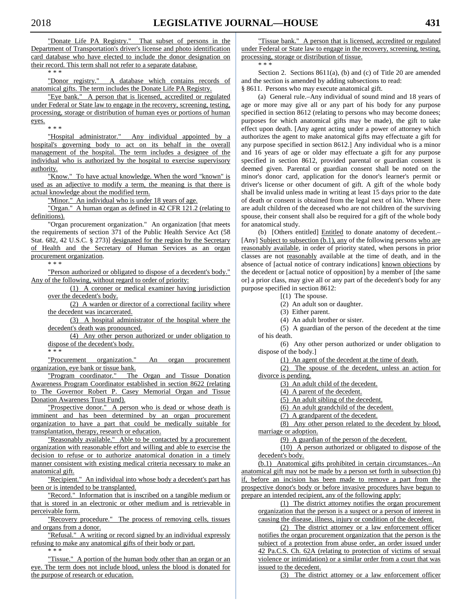"Donate Life PA Registry." That subset of persons in the Department of Transportation's driver's license and photo identification card database who have elected to include the donor designation on their record. This term shall not refer to a separate database.

#### \* \* \*

"Donor registry." A database which contains records of anatomical gifts. The term includes the Donate Life PA Registry.

"Eye bank." A person that is licensed, accredited or regulated under Federal or State law to engage in the recovery, screening, testing, processing, storage or distribution of human eyes or portions of human eyes.

\* \* \*

"Hospital administrator." Any individual appointed by a hospital's governing body to act on its behalf in the overall management of the hospital. The term includes a designee of the individual who is authorized by the hospital to exercise supervisory authority.

"Know." To have actual knowledge. When the word "known" is used as an adjective to modify a term, the meaning is that there is actual knowledge about the modified term.

"Minor." An individual who is under 18 years of age.

"Organ." A human organ as defined in 42 CFR 121.2 (relating to definitions).

"Organ procurement organization." An organization [that meets the requirements of section 371 of the Public Health Service Act (58 Stat. 682, 42 U.S.C. § 273)] designated for the region by the Secretary of Health and the Secretary of Human Services as an organ procurement organization.

\* \* \*

"Person authorized or obligated to dispose of a decedent's body." Any of the following, without regard to order of priority:

(1) A coroner or medical examiner having jurisdiction over the decedent's body.

(2) A warden or director of a correctional facility where the decedent was incarcerated.

(3) A hospital administrator of the hospital where the decedent's death was pronounced.

(4) Any other person authorized or under obligation to dispose of the decedent's body.

\* \* \*

"Procurement organization." An organ procurement organization, eye bank or tissue bank.

"Program coordinator." The Organ and Tissue Donation Awareness Program Coordinator established in section 8622 (relating to The Governor Robert P. Casey Memorial Organ and Tissue Donation Awareness Trust Fund).

"Prospective donor." A person who is dead or whose death is imminent and has been determined by an organ procurement organization to have a part that could be medically suitable for transplantation, therapy, research or education.

"Reasonably available." Able to be contacted by a procurement organization with reasonable effort and willing and able to exercise the decision to refuse or to authorize anatomical donation in a timely manner consistent with existing medical criteria necessary to make an anatomical gift.

"Recipient." An individual into whose body a decedent's part has been or is intended to be transplanted.

"Record." Information that is inscribed on a tangible medium or that is stored in an electronic or other medium and is retrievable in perceivable form.

"Recovery procedure." The process of removing cells, tissues and organs from a donor.

"Refusal." A writing or record signed by an individual expressly refusing to make any anatomical gifts of their body or part.

\* \* \*

"Tissue." A portion of the human body other than an organ or an eye. The term does not include blood, unless the blood is donated for the purpose of research or education.

"Tissue bank." A person that is licensed, accredited or regulated under Federal or State law to engage in the recovery, screening, testing, processing, storage or distribution of tissue. \* \* \*

Section 2. Sections 8611(a), (b) and (c) of Title 20 are amended and the section is amended by adding subsections to read:

§ 8611. Persons who may execute anatomical gift.

(a) General rule.–Any individual of sound mind and 18 years of age or more may give all or any part of his body for any purpose specified in section 8612 (relating to persons who may become donees; purposes for which anatomical gifts may be made), the gift to take effect upon death. [Any agent acting under a power of attorney which authorizes the agent to make anatomical gifts may effectuate a gift for any purpose specified in section 8612.] Any individual who is a minor and 16 years of age or older may effectuate a gift for any purpose specified in section 8612, provided parental or guardian consent is deemed given. Parental or guardian consent shall be noted on the minor's donor card, application for the donor's learner's permit or driver's license or other document of gift. A gift of the whole body shall be invalid unless made in writing at least 15 days prior to the date of death or consent is obtained from the legal next of kin. Where there are adult children of the deceased who are not children of the surviving spouse, their consent shall also be required for a gift of the whole body for anatomical study.

(b) [Others entitled] Entitled to donate anatomy of decedent.– [Any] Subject to subsection (b.1), any of the following persons who are reasonably available, in order of priority stated, when persons in prior classes are not reasonably available at the time of death, and in the absence of [actual notice of contrary indications] known objections by the decedent or [actual notice of opposition] by a member of [the same or] a prior class, may give all or any part of the decedent's body for any purpose specified in section 8612:

 $(1)$  The spouse.

(2) An adult son or daughter.

(3) Either parent.

(4) An adult brother or sister.

(5) A guardian of the person of the decedent at the time of his death.

(6) Any other person authorized or under obligation to dispose of the body.]

(1) An agent of the decedent at the time of death.

(2) The spouse of the decedent, unless an action for divorce is pending.

(3) An adult child of the decedent.

(4) A parent of the decedent.

(5) An adult sibling of the decedent.

(6) An adult grandchild of the decedent.

(7) A grandparent of the decedent.

(8) Any other person related to the decedent by blood, marriage or adoption.

(9) A guardian of the person of the decedent.

(10) A person authorized or obligated to dispose of the decedent's body.

(b.1) Anatomical gifts prohibited in certain circumstances.–An anatomical gift may not be made by a person set forth in subsection (b) if, before an incision has been made to remove a part from the prospective donor's body or before invasive procedures have begun to prepare an intended recipient, any of the following apply:

(1) The district attorney notifies the organ procurement organization that the person is a suspect or a person of interest in causing the disease, illness, injury or condition of the decedent.

(2) The district attorney or a law enforcement officer notifies the organ procurement organization that the person is the subject of a protection from abuse order, an order issued under 42 Pa.C.S. Ch. 62A (relating to protection of victims of sexual violence or intimidation) or a similar order from a court that was issued to the decedent.

(3) The district attorney or a law enforcement officer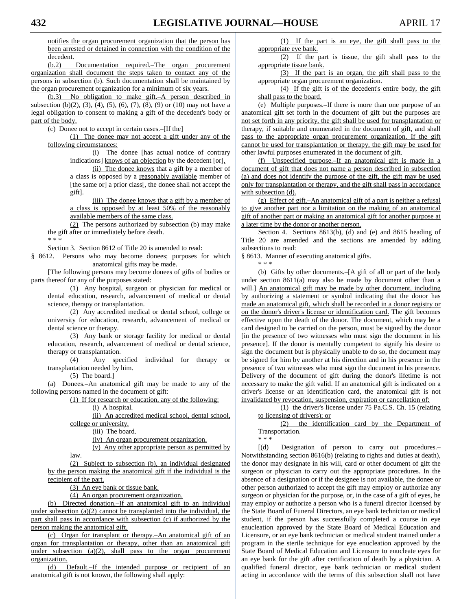notifies the organ procurement organization that the person has been arrested or detained in connection with the condition of the decedent.

(b.2) Documentation required.–The organ procurement organization shall document the steps taken to contact any of the persons in subsection (b). Such documentation shall be maintained by the organ procurement organization for a minimum of six years.

(b.3) No obligation to make gift.–A person described in subsection (b)(2), (3), (4), (5), (6), (7), (8), (9) or (10) may not have a legal obligation to consent to making a gift of the decedent's body or part of the body.

(c) Donee not to accept in certain cases.–[If the]

(1) The donee may not accept a gift under any of the following circumstances:

> (i) The donee [has actual notice of contrary indications] knows of an objection by the decedent [or].

(ii) The donee knows that a gift by a member of a class is opposed by a reasonably available member of [the same or] a prior class[, the donee shall not accept the gift].

(iii) The donee knows that a gift by a member of a class is opposed by at least 50% of the reasonably available members of the same class.

(2) The persons authorized by subsection (b) may make the gift after or immediately before death.

\* \* \*

Section 3. Section 8612 of Title 20 is amended to read:

§ 8612. Persons who may become donees; purposes for which anatomical gifts may be made.

[The following persons may become donees of gifts of bodies or parts thereof for any of the purposes stated:

(1) Any hospital, surgeon or physician for medical or dental education, research, advancement of medical or dental science, therapy or transplantation.

(2) Any accredited medical or dental school, college or university for education, research, advancement of medical or dental science or therapy.

(3) Any bank or storage facility for medical or dental education, research, advancement of medical or dental science, therapy or transplantation.

(4) Any specified individual for therapy or transplantation needed by him.

(5) The board.]

law.

(a) Donees.–An anatomical gift may be made to any of the following persons named in the document of gift:

(1) If for research or education, any of the following:

(i) A hospital.

(ii) An accredited medical school, dental school, college or university.

(iii) The board.

(iv) An organ procurement organization.

(v) Any other appropriate person as permitted by

(2) Subject to subsection (b), an individual designated by the person making the anatomical gift if the individual is the recipient of the part.

(3) An eye bank or tissue bank.

(4) An organ procurement organization.

(b) Directed donation.–If an anatomical gift to an individual under subsection (a)(2) cannot be transplanted into the individual, the part shall pass in accordance with subsection (c) if authorized by the person making the anatomical gift.

(c) Organ for transplant or therapy.–An anatomical gift of an organ for transplantation or therapy, other than an anatomical gift under subsection (a)(2), shall pass to the organ procurement organization.

(d) Default.–If the intended purpose or recipient of an anatomical gift is not known, the following shall apply:

(1) If the part is an eye, the gift shall pass to the appropriate eye bank.

(2) If the part is tissue, the gift shall pass to the appropriate tissue bank.

(3) If the part is an organ, the gift shall pass to the appropriate organ procurement organization.

(4) If the gift is of the decedent's entire body, the gift shall pass to the board.

(e) Multiple purposes.–If there is more than one purpose of an anatomical gift set forth in the document of gift but the purposes are not set forth in any priority, the gift shall be used for transplantation or therapy, if suitable and enumerated in the document of gift, and shall pass to the appropriate organ procurement organization. If the gift cannot be used for transplantation or therapy, the gift may be used for other lawful purposes enumerated in the document of gift.

(f) Unspecified purpose.–If an anatomical gift is made in a document of gift that does not name a person described in subsection (a) and does not identify the purpose of the gift, the gift may be used only for transplantation or therapy, and the gift shall pass in accordance with subsection (d).

(g) Effect of gift.–An anatomical gift of a part is neither a refusal to give another part nor a limitation on the making of an anatomical gift of another part or making an anatomical gift for another purpose at a later time by the donor or another person.

Section 4. Sections 8613(b), (d) and (e) and 8615 heading of Title 20 are amended and the sections are amended by adding subsections to read:

§ 8613. Manner of executing anatomical gifts. \* \* \*

(b) Gifts by other documents.–[A gift of all or part of the body under section 8611(a) may also be made by document other than a will.] An anatomical gift may be made by other document, including by authorizing a statement or symbol indicating that the donor has made an anatomical gift, which shall be recorded in a donor registry or on the donor's driver's license or identification card. The gift becomes effective upon the death of the donor. The document, which may be a card designed to be carried on the person, must be signed by the donor [in the presence of two witnesses who must sign the document in his presence]. If the donor is mentally competent to signify his desire to sign the document but is physically unable to do so, the document may be signed for him by another at his direction and in his presence in the presence of two witnesses who must sign the document in his presence. Delivery of the document of gift during the donor's lifetime is not necessary to make the gift valid. If an anatomical gift is indicated on a driver's license or an identification card, the anatomical gift is not invalidated by revocation, suspension, expiration or cancellation of:

(1) the driver's license under 75 Pa.C.S. Ch. 15 (relating

to licensing of drivers); or

(2) the identification card by the Department of Transportation.

\* \* \*

[(d) Designation of person to carry out procedures.– Notwithstanding section 8616(b) (relating to rights and duties at death), the donor may designate in his will, card or other document of gift the surgeon or physician to carry out the appropriate procedures. In the absence of a designation or if the designee is not available, the donee or other person authorized to accept the gift may employ or authorize any surgeon or physician for the purpose, or, in the case of a gift of eyes, he may employ or authorize a person who is a funeral director licensed by the State Board of Funeral Directors, an eye bank technician or medical student, if the person has successfully completed a course in eye enucleation approved by the State Board of Medical Education and Licensure, or an eye bank technician or medical student trained under a program in the sterile technique for eye enucleation approved by the State Board of Medical Education and Licensure to enucleate eyes for an eye bank for the gift after certification of death by a physician. A qualified funeral director, eye bank technician or medical student acting in accordance with the terms of this subsection shall not have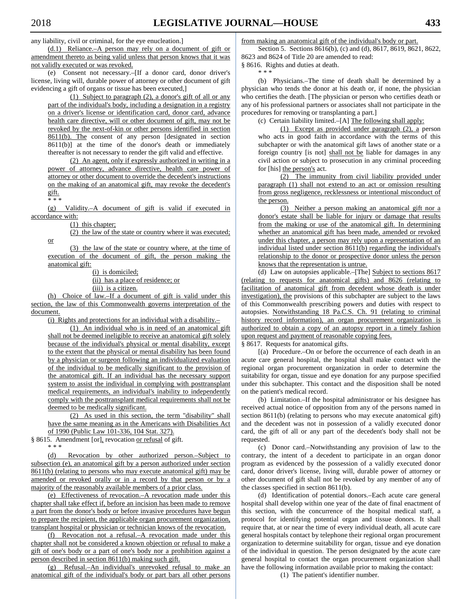any liability, civil or criminal, for the eye enucleation.]

(d.1) Reliance.–A person may rely on a document of gift or amendment thereto as being valid unless that person knows that it was not validly executed or was revoked.

(e) Consent not necessary.–[If a donor card, donor driver's license, living will, durable power of attorney or other document of gift evidencing a gift of organs or tissue has been executed,]

(1) Subject to paragraph (2), a donor's gift of all or any part of the individual's body, including a designation in a registry on a driver's license or identification card, donor card, advance health care directive, will or other document of gift, may not be revoked by the next-of-kin or other persons identified in section 8611(b). The consent of any person [designated in section 8611(b)] at the time of the donor's death or immediately thereafter is not necessary to render the gift valid and effective.

(2) An agent, only if expressly authorized in writing in a power of attorney, advance directive, health care power of attorney or other document to override the decedent's instructions on the making of an anatomical gift, may revoke the decedent's gift. \* \* \*

(g) Validity.–A document of gift is valid if executed in accordance with:

(1) this chapter;

or

(2) the law of the state or country where it was executed;

(3) the law of the state or country where, at the time of execution of the document of gift, the person making the anatomical gift:

(i) is domiciled; (ii) has a place of residence; or

(iii) is a citizen.

(h) Choice of law.–If a document of gift is valid under this section, the law of this Commonwealth governs interpretation of the document.

(i) Rights and protections for an individual with a disability.–

(1) An individual who is in need of an anatomical gift shall not be deemed ineligible to receive an anatomical gift solely because of the individual's physical or mental disability, except to the extent that the physical or mental disability has been found by a physician or surgeon following an individualized evaluation of the individual to be medically significant to the provision of the anatomical gift. If an individual has the necessary support system to assist the individual in complying with posttransplant medical requirements, an individual's inability to independently comply with the posttransplant medical requirements shall not be deemed to be medically significant.

(2) As used in this section, the term "disability" shall have the same meaning as in the Americans with Disabilities Act of 1990 (Public Law 101-336, 104 Stat. 327).

§ 8615. Amendment [or], revocation or refusal of gift. \* \* \*

(d) Revocation by other authorized person.–Subject to subsection (e), an anatomical gift by a person authorized under section 8611(b) (relating to persons who may execute anatomical gift) may be amended or revoked orally or in a record by that person or by a majority of the reasonably available members of a prior class.

(e) Effectiveness of revocation.–A revocation made under this chapter shall take effect if, before an incision has been made to remove a part from the donor's body or before invasive procedures have begun to prepare the recipient, the applicable organ procurement organization, transplant hospital or physician or technician knows of the revocation.

(f) Revocation not a refusal.–A revocation made under this chapter shall not be considered a known objection or refusal to make a gift of one's body or a part of one's body nor a prohibition against a person described in section 8611(b) making such gift.

(g) Refusal.–An individual's unrevoked refusal to make an anatomical gift of the individual's body or part bars all other persons from making an anatomical gift of the individual's body or part.

Section 5. Sections 8616(b), (c) and (d), 8617, 8619, 8621, 8622, 8623 and 8624 of Title 20 are amended to read:

§ 8616. Rights and duties at death.

\* \* \*

(b) Physicians.–The time of death shall be determined by a physician who tends the donor at his death or, if none, the physician who certifies the death. [The physician or person who certifies death or any of his professional partners or associates shall not participate in the procedures for removing or transplanting a part.]

(c) Certain liability limited.–[A] The following shall apply:

(1) Except as provided under paragraph (2), a person who acts in good faith in accordance with the terms of this subchapter or with the anatomical gift laws of another state or a foreign country [is not] shall not be liable for damages in any civil action or subject to prosecution in any criminal proceeding for [his] the person's act.

(2) The immunity from civil liability provided under paragraph (1) shall not extend to an act or omission resulting from gross negligence, recklessness or intentional misconduct of the person.

(3) Neither a person making an anatomical gift nor a donor's estate shall be liable for injury or damage that results from the making or use of the anatomical gift. In determining whether an anatomical gift has been made, amended or revoked under this chapter, a person may rely upon a representation of an individual listed under section 8611(b) regarding the individual's relationship to the donor or prospective donor unless the person knows that the representation is untrue.

(d) Law on autopsies applicable.–[The] Subject to sections 8617 (relating to requests for anatomical gifts) and 8626 (relating to facilitation of anatomical gift from decedent whose death is under investigation), the provisions of this subchapter are subject to the laws of this Commonwealth prescribing powers and duties with respect to autopsies. Notwithstanding 18 Pa.C.S. Ch. 91 (relating to criminal history record information), an organ procurement organization is authorized to obtain a copy of an autopsy report in a timely fashion upon request and payment of reasonable copying fees.

§ 8617. Requests for anatomical gifts.

[(a) Procedure.–On or before the occurrence of each death in an acute care general hospital, the hospital shall make contact with the regional organ procurement organization in order to determine the suitability for organ, tissue and eye donation for any purpose specified under this subchapter. This contact and the disposition shall be noted on the patient's medical record.

(b) Limitation.–If the hospital administrator or his designee has received actual notice of opposition from any of the persons named in section 8611(b) (relating to persons who may execute anatomical gift) and the decedent was not in possession of a validly executed donor card, the gift of all or any part of the decedent's body shall not be requested.

(c) Donor card.–Notwithstanding any provision of law to the contrary, the intent of a decedent to participate in an organ donor program as evidenced by the possession of a validly executed donor card, donor driver's license, living will, durable power of attorney or other document of gift shall not be revoked by any member of any of the classes specified in section 8611(b).

(d) Identification of potential donors.–Each acute care general hospital shall develop within one year of the date of final enactment of this section, with the concurrence of the hospital medical staff, a protocol for identifying potential organ and tissue donors. It shall require that, at or near the time of every individual death, all acute care general hospitals contact by telephone their regional organ procurement organization to determine suitability for organ, tissue and eye donation of the individual in question. The person designated by the acute care general hospital to contact the organ procurement organization shall have the following information available prior to making the contact:

(1) The patient's identifier number.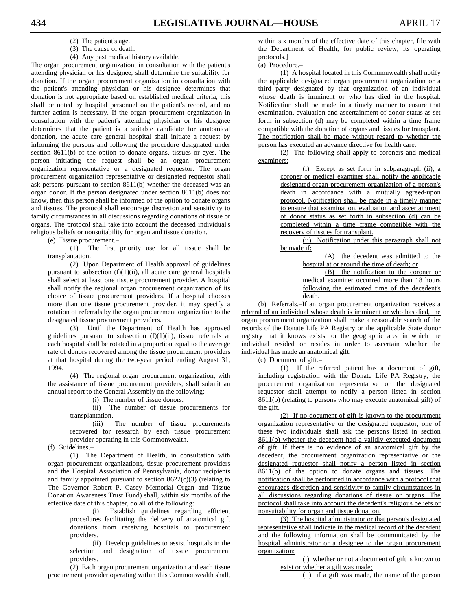- (2) The patient's age.
- (3) The cause of death.
- (4) Any past medical history available.

The organ procurement organization, in consultation with the patient's attending physician or his designee, shall determine the suitability for donation. If the organ procurement organization in consultation with the patient's attending physician or his designee determines that donation is not appropriate based on established medical criteria, this shall be noted by hospital personnel on the patient's record, and no further action is necessary. If the organ procurement organization in consultation with the patient's attending physician or his designee determines that the patient is a suitable candidate for anatomical donation, the acute care general hospital shall initiate a request by informing the persons and following the procedure designated under section 8611(b) of the option to donate organs, tissues or eyes. The person initiating the request shall be an organ procurement organization representative or a designated requestor. The organ procurement organization representative or designated requestor shall ask persons pursuant to section 8611(b) whether the deceased was an organ donor. If the person designated under section 8611(b) does not know, then this person shall be informed of the option to donate organs and tissues. The protocol shall encourage discretion and sensitivity to family circumstances in all discussions regarding donations of tissue or organs. The protocol shall take into account the deceased individual's religious beliefs or nonsuitability for organ and tissue donation.

(e) Tissue procurement.–

(1) The first priority use for all tissue shall be transplantation.

(2) Upon Department of Health approval of guidelines pursuant to subsection  $(f)(1)(ii)$ , all acute care general hospitals shall select at least one tissue procurement provider. A hospital shall notify the regional organ procurement organization of its choice of tissue procurement providers. If a hospital chooses more than one tissue procurement provider, it may specify a rotation of referrals by the organ procurement organization to the designated tissue procurement providers.

(3) Until the Department of Health has approved guidelines pursuant to subsection  $(f)(1)(ii)$ , tissue referrals at each hospital shall be rotated in a proportion equal to the average rate of donors recovered among the tissue procurement providers at that hospital during the two-year period ending August 31, 1994.

(4) The regional organ procurement organization, with the assistance of tissue procurement providers, shall submit an annual report to the General Assembly on the following:

(i) The number of tissue donors.

(ii) The number of tissue procurements for transplantation.<br>(iii)

The number of tissue procurements recovered for research by each tissue procurement provider operating in this Commonwealth.

(f) Guidelines.–

(1) The Department of Health, in consultation with organ procurement organizations, tissue procurement providers and the Hospital Association of Pennsylvania, donor recipients and family appointed pursuant to section 8622(c)(3) (relating to The Governor Robert P. Casey Memorial Organ and Tissue Donation Awareness Trust Fund) shall, within six months of the effective date of this chapter, do all of the following:

> (i) Establish guidelines regarding efficient procedures facilitating the delivery of anatomical gift donations from receiving hospitals to procurement providers.

> (ii) Develop guidelines to assist hospitals in the selection and designation of tissue procurement providers.

(2) Each organ procurement organization and each tissue procurement provider operating within this Commonwealth shall,

within six months of the effective date of this chapter, file with the Department of Health, for public review, its operating protocols.]

(a) Procedure.–

(1) A hospital located in this Commonwealth shall notify the applicable designated organ procurement organization or a third party designated by that organization of an individual whose death is imminent or who has died in the hospital. Notification shall be made in a timely manner to ensure that examination, evaluation and ascertainment of donor status as set forth in subsection (d) may be completed within a time frame compatible with the donation of organs and tissues for transplant. The notification shall be made without regard to whether the person has executed an advance directive for health care.

(2) The following shall apply to coroners and medical examiners:

> (i) Except as set forth in subparagraph (ii), a coroner or medical examiner shall notify the applicable designated organ procurement organization of a person's death in accordance with a mutually agreed-upon protocol. Notification shall be made in a timely manner to ensure that examination, evaluation and ascertainment of donor status as set forth in subsection (d) can be completed within a time frame compatible with the recovery of tissues for transplant.

> (ii) Notification under this paragraph shall not be made if:

> > (A) the decedent was admitted to the hospital at or around the time of death; or

> > (B) the notification to the coroner or medical examiner occurred more than 18 hours following the estimated time of the decedent's death.

(b) Referrals.–If an organ procurement organization receives a referral of an individual whose death is imminent or who has died, the organ procurement organization shall make a reasonable search of the records of the Donate Life PA Registry or the applicable State donor registry that it knows exists for the geographic area in which the individual resided or resides in order to ascertain whether the individual has made an anatomical gift.

(c) Document of gift.–

(1) If the referred patient has a document of gift, including registration with the Donate Life PA Registry, the procurement organization representative or the designated requestor shall attempt to notify a person listed in section 8611(b) (relating to persons who may execute anatomical gift) of the gift.

(2) If no document of gift is known to the procurement organization representative or the designated requestor, one of these two individuals shall ask the persons listed in section 8611(b) whether the decedent had a validly executed document of gift. If there is no evidence of an anatomical gift by the decedent, the procurement organization representative or the designated requestor shall notify a person listed in section 8611(b) of the option to donate organs and tissues. The notification shall be performed in accordance with a protocol that encourages discretion and sensitivity to family circumstances in all discussions regarding donations of tissue or organs. The protocol shall take into account the decedent's religious beliefs or nonsuitability for organ and tissue donation.

(3) The hospital administrator or that person's designated representative shall indicate in the medical record of the decedent and the following information shall be communicated by the hospital administrator or a designee to the organ procurement organization:

(i) whether or not a document of gift is known to exist or whether a gift was made;

(ii) if a gift was made, the name of the person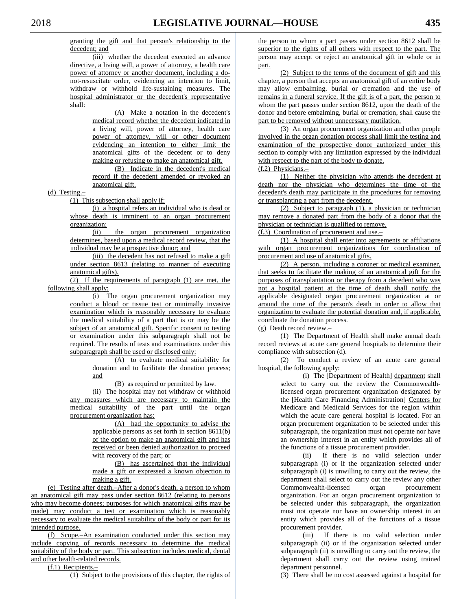granting the gift and that person's relationship to the decedent; and

(iii) whether the decedent executed an advance directive, a living will, a power of attorney, a health care power of attorney or another document, including a donot-resuscitate order, evidencing an intention to limit, withdraw or withhold life-sustaining measures. The hospital administrator or the decedent's representative shall:

> (A) Make a notation in the decedent's medical record whether the decedent indicated in a living will, power of attorney, health care power of attorney, will or other document evidencing an intention to either limit the anatomical gifts of the decedent or to deny making or refusing to make an anatomical gift.

> (B) Indicate in the decedent's medical record if the decedent amended or revoked an anatomical gift.

(d) Testing.–

(1) This subsection shall apply if:

(i) a hospital refers an individual who is dead or whose death is imminent to an organ procurement organization;

(ii) the organ procurement organization determines, based upon a medical record review, that the individual may be a prospective donor; and

(iii) the decedent has not refused to make a gift under section 8613 (relating to manner of executing anatomical gifts).

(2) If the requirements of paragraph (1) are met, the following shall apply:

(i) The organ procurement organization may conduct a blood or tissue test or minimally invasive examination which is reasonably necessary to evaluate the medical suitability of a part that is or may be the subject of an anatomical gift. Specific consent to testing or examination under this subparagraph shall not be required. The results of tests and examinations under this subparagraph shall be used or disclosed only:

> (A) to evaluate medical suitability for donation and to facilitate the donation process; and

(B) as required or permitted by law.

(ii) The hospital may not withdraw or withhold any measures which are necessary to maintain the medical suitability of the part until the organ procurement organization has:

> (A) had the opportunity to advise the applicable persons as set forth in section 8611(b) of the option to make an anatomical gift and has received or been denied authorization to proceed with recovery of the part; or

(B) has ascertained that the individual made a gift or expressed a known objection to making a gift.

(e) Testing after death.–After a donor's death, a person to whom an anatomical gift may pass under section 8612 (relating to persons who may become donees; purposes for which anatomical gifts may be made) may conduct a test or examination which is reasonably necessary to evaluate the medical suitability of the body or part for its intended purpose.

(f) Scope.–An examination conducted under this section may include copying of records necessary to determine the medical suitability of the body or part. This subsection includes medical, dental and other health-related records.

(f.1) Recipients.–

(1) Subject to the provisions of this chapter, the rights of

the person to whom a part passes under section 8612 shall be superior to the rights of all others with respect to the part. The person may accept or reject an anatomical gift in whole or in part.

(2) Subject to the terms of the document of gift and this chapter, a person that accepts an anatomical gift of an entire body may allow embalming, burial or cremation and the use of remains in a funeral service. If the gift is of a part, the person to whom the part passes under section 8612, upon the death of the donor and before embalming, burial or cremation, shall cause the part to be removed without unnecessary mutilation.

(3) An organ procurement organization and other people involved in the organ donation process shall limit the testing and examination of the prospective donor authorized under this section to comply with any limitation expressed by the individual with respect to the part of the body to donate.

(f.2) Physicians.–

(1) Neither the physician who attends the decedent at death nor the physician who determines the time of the decedent's death may participate in the procedures for removing or transplanting a part from the decedent.

(2) Subject to paragraph (1), a physician or technician may remove a donated part from the body of a donor that the physician or technician is qualified to remove.

(f.3) Coordination of procurement and use.–

(1) A hospital shall enter into agreements or affiliations with organ procurement organizations for coordination of procurement and use of anatomical gifts.

(2) A person, including a coroner or medical examiner, that seeks to facilitate the making of an anatomical gift for the purposes of transplantation or therapy from a decedent who was not a hospital patient at the time of death shall notify the applicable designated organ procurement organization at or around the time of the person's death in order to allow that organization to evaluate the potential donation and, if applicable, coordinate the donation process.

(g) Death record review.–

(1) The Department of Health shall make annual death record reviews at acute care general hospitals to determine their compliance with subsection (d).

(2) To conduct a review of an acute care general hospital, the following apply:

> (i) The [Department of Health] department shall select to carry out the review the Commonwealthlicensed organ procurement organization designated by the [Health Care Financing Administration] Centers for Medicare and Medicaid Services for the region within which the acute care general hospital is located. For an organ procurement organization to be selected under this subparagraph, the organization must not operate nor have an ownership interest in an entity which provides all of the functions of a tissue procurement provider.

> (ii) If there is no valid selection under subparagraph (i) or if the organization selected under subparagraph (i) is unwilling to carry out the review, the department shall select to carry out the review any other Commonwealth-licensed organ procurement organization. For an organ procurement organization to be selected under this subparagraph, the organization must not operate nor have an ownership interest in an entity which provides all of the functions of a tissue procurement provider.

> (iii) If there is no valid selection under subparagraph (ii) or if the organization selected under subparagraph (ii) is unwilling to carry out the review, the department shall carry out the review using trained department personnel.

> (3) There shall be no cost assessed against a hospital for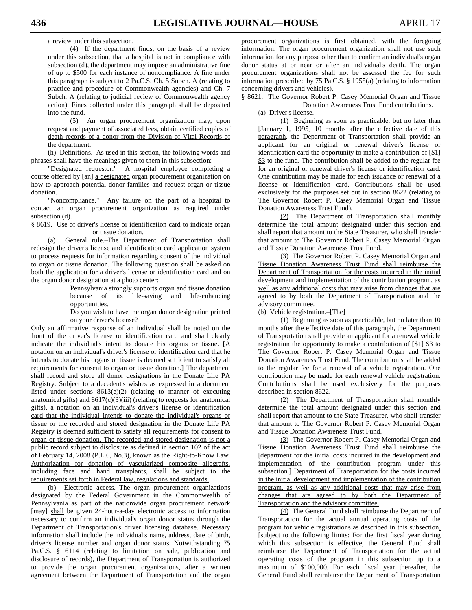a review under this subsection.

(4) If the department finds, on the basis of a review under this subsection, that a hospital is not in compliance with subsection (d), the department may impose an administrative fine of up to \$500 for each instance of noncompliance. A fine under this paragraph is subject to 2 Pa.C.S. Ch. 5 Subch. A (relating to practice and procedure of Commonwealth agencies) and Ch. 7 Subch. A (relating to judicial review of Commonwealth agency action). Fines collected under this paragraph shall be deposited into the fund.

(5) An organ procurement organization may, upon request and payment of associated fees, obtain certified copies of death records of a donor from the Division of Vital Records of the department.

(h) Definitions.–As used in this section, the following words and phrases shall have the meanings given to them in this subsection:

"Designated requestor." A hospital employee completing a course offered by [an] a designated organ procurement organization on how to approach potential donor families and request organ or tissue donation.

"Noncompliance." Any failure on the part of a hospital to contact an organ procurement organization as required under subsection (d).

§ 8619. Use of driver's license or identification card to indicate organ or tissue donation.

(a) General rule.–The Department of Transportation shall redesign the driver's license and identification card application system to process requests for information regarding consent of the individual to organ or tissue donation. The following question shall be asked on both the application for a driver's license or identification card and on the organ donor designation at a photo center:

Pennsylvania strongly supports organ and tissue donation because of its life-saving and life-enhancing opportunities.

Do you wish to have the organ donor designation printed on your driver's license?

Only an affirmative response of an individual shall be noted on the front of the driver's license or identification card and shall clearly indicate the individual's intent to donate his organs or tissue. [A notation on an individual's driver's license or identification card that he intends to donate his organs or tissue is deemed sufficient to satisfy all requirements for consent to organ or tissue donation.] The department shall record and store all donor designations in the Donate Life PA Registry. Subject to a decedent's wishes as expressed in a document listed under sections 8613(e)(2) (relating to manner of executing anatomical gifts) and  $8617(c)(3)(iii)$  (relating to requests for anatomical gifts), a notation on an individual's driver's license or identification card that the individual intends to donate the individual's organs or tissue or the recorded and stored designation in the Donate Life PA Registry is deemed sufficient to satisfy all requirements for consent to organ or tissue donation. The recorded and stored designation is not a public record subject to disclosure as defined in section 102 of the act of February 14, 2008 (P.L.6, No.3), known as the Right-to-Know Law. Authorization for donation of vascularized composite allografts, including face and hand transplants, shall be subject to the requirements set forth in Federal law, regulations and standards.

(b) Electronic access.–The organ procurement organizations designated by the Federal Government in the Commonwealth of Pennsylvania as part of the nationwide organ procurement network [may] shall be given 24-hour-a-day electronic access to information necessary to confirm an individual's organ donor status through the Department of Transportation's driver licensing database. Necessary information shall include the individual's name, address, date of birth, driver's license number and organ donor status. Notwithstanding 75 Pa.C.S. § 6114 (relating to limitation on sale, publication and disclosure of records), the Department of Transportation is authorized to provide the organ procurement organizations, after a written agreement between the Department of Transportation and the organ

procurement organizations is first obtained, with the foregoing information. The organ procurement organization shall not use such information for any purpose other than to confirm an individual's organ donor status at or near or after an individual's death. The organ procurement organizations shall not be assessed the fee for such information prescribed by 75 Pa.C.S. § 1955(a) (relating to information concerning drivers and vehicles).

§ 8621. The Governor Robert P. Casey Memorial Organ and Tissue Donation Awareness Trust Fund contributions.

(a) Driver's license.–

(1) Beginning as soon as practicable, but no later than [January 1, 1995] 10 months after the effective date of this paragraph, the Department of Transportation shall provide an applicant for an original or renewal driver's license or identification card the opportunity to make a contribution of [\$1] \$3 to the fund. The contribution shall be added to the regular fee for an original or renewal driver's license or identification card. One contribution may be made for each issuance or renewal of a license or identification card. Contributions shall be used exclusively for the purposes set out in section 8622 (relating to The Governor Robert P. Casey Memorial Organ and Tissue Donation Awareness Trust Fund).

(2) The Department of Transportation shall monthly determine the total amount designated under this section and shall report that amount to the State Treasurer, who shall transfer that amount to The Governor Robert P. Casey Memorial Organ and Tissue Donation Awareness Trust Fund.

(3) The Governor Robert P. Casey Memorial Organ and Tissue Donation Awareness Trust Fund shall reimburse the Department of Transportation for the costs incurred in the initial development and implementation of the contribution program, as well as any additional costs that may arise from changes that are agreed to by both the Department of Transportation and the advisory committee.

(b) Vehicle registration.–[The]

(1) Beginning as soon as practicable, but no later than 10 months after the effective date of this paragraph, the Department of Transportation shall provide an applicant for a renewal vehicle registration the opportunity to make a contribution of [\$1] \$3 to The Governor Robert P. Casey Memorial Organ and Tissue Donation Awareness Trust Fund. The contribution shall be added to the regular fee for a renewal of a vehicle registration. One contribution may be made for each renewal vehicle registration. Contributions shall be used exclusively for the purposes described in section 8622.

(2) The Department of Transportation shall monthly determine the total amount designated under this section and shall report that amount to the State Treasurer, who shall transfer that amount to The Governor Robert P. Casey Memorial Organ and Tissue Donation Awareness Trust Fund.

(3) The Governor Robert P. Casey Memorial Organ and Tissue Donation Awareness Trust Fund shall reimburse the [department for the initial costs incurred in the development and implementation of the contribution program under this subsection.] Department of Transportation for the costs incurred in the initial development and implementation of the contribution program, as well as any additional costs that may arise from changes that are agreed to by both the Department of Transportation and the advisory committee.

(4) The General Fund shall reimburse the Department of Transportation for the actual annual operating costs of the program for vehicle registrations as described in this subsection. [subject to the following limits: For the first fiscal year during which this subsection is effective, the General Fund shall reimburse the Department of Transportation for the actual operating costs of the program in this subsection up to a maximum of \$100,000. For each fiscal year thereafter, the General Fund shall reimburse the Department of Transportation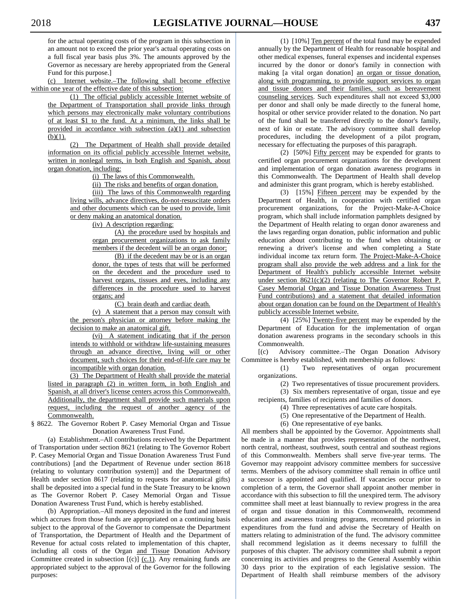for the actual operating costs of the program in this subsection in an amount not to exceed the prior year's actual operating costs on a full fiscal year basis plus 3%. The amounts approved by the Governor as necessary are hereby appropriated from the General Fund for this purpose.]

(c) Internet website.–The following shall become effective within one year of the effective date of this subsection:

(1) The official publicly accessible Internet website of the Department of Transportation shall provide links through which persons may electronically make voluntary contributions of at least \$1 to the fund. At a minimum, the links shall be provided in accordance with subsection (a)(1) and subsection  $(b)(1)$ .

(2) The Department of Health shall provide detailed information on its official publicly accessible Internet website, written in nonlegal terms, in both English and Spanish, about organ donation, including:

(i) The laws of this Commonwealth.

(ii) The risks and benefits of organ donation.

(iii) The laws of this Commonwealth regarding living wills, advance directives, do-not-resuscitate orders and other documents which can be used to provide, limit or deny making an anatomical donation.

(iv) A description regarding:

(A) the procedure used by hospitals and organ procurement organizations to ask family members if the decedent will be an organ donor;

(B) if the decedent may be or is an organ donor, the types of tests that will be performed on the decedent and the procedure used to harvest organs, tissues and eyes, including any differences in the procedure used to harvest organs; and

(C) brain death and cardiac death.

(v) A statement that a person may consult with the person's physician or attorney before making the decision to make an anatomical gift.

(vi) A statement indicating that if the person intends to withhold or withdraw life-sustaining measures through an advance directive, living will or other document, such choices for their end-of-life care may be incompatible with organ donation.

(3) The Department of Health shall provide the material listed in paragraph (2) in written form, in both English and Spanish, at all driver's license centers across this Commonwealth. Additionally, the department shall provide such materials upon request, including the request of another agency of the Commonwealth.

§ 8622. The Governor Robert P. Casey Memorial Organ and Tissue Donation Awareness Trust Fund.

(a) Establishment.–All contributions received by the Department of Transportation under section 8621 (relating to The Governor Robert P. Casey Memorial Organ and Tissue Donation Awareness Trust Fund contributions) [and the Department of Revenue under section 8618 (relating to voluntary contribution system)] and the Department of Health under section 8617 (relating to requests for anatomical gifts) shall be deposited into a special fund in the State Treasury to be known as The Governor Robert P. Casey Memorial Organ and Tissue Donation Awareness Trust Fund, which is hereby established.

(b) Appropriation.–All moneys deposited in the fund and interest which accrues from those funds are appropriated on a continuing basis subject to the approval of the Governor to compensate the Department of Transportation, the Department of Health and the Department of Revenue for actual costs related to implementation of this chapter, including all costs of the Organ and Tissue Donation Advisory Committee created in subsection  $[(c)]$   $(c,1)$ . Any remaining funds are appropriated subject to the approval of the Governor for the following purposes:

(1) [10%] Ten percent of the total fund may be expended annually by the Department of Health for reasonable hospital and other medical expenses, funeral expenses and incidental expenses incurred by the donor or donor's family in connection with making [a vital organ donation] an organ or tissue donation, along with programming, to provide support services to organ and tissue donors and their families, such as bereavement counseling services. Such expenditures shall not exceed \$3,000 per donor and shall only be made directly to the funeral home, hospital or other service provider related to the donation. No part of the fund shall be transferred directly to the donor's family, next of kin or estate. The advisory committee shall develop procedures, including the development of a pilot program, necessary for effectuating the purposes of this paragraph.

(2) [50%] Fifty percent may be expended for grants to certified organ procurement organizations for the development and implementation of organ donation awareness programs in this Commonwealth. The Department of Health shall develop and administer this grant program, which is hereby established.

(3) [15%] Fifteen percent may be expended by the Department of Health, in cooperation with certified organ procurement organizations, for the Project-Make-A-Choice program, which shall include information pamphlets designed by the Department of Health relating to organ donor awareness and the laws regarding organ donation, public information and public education about contributing to the fund when obtaining or renewing a driver's license and when completing a State individual income tax return form. The Project-Make-A-Choice program shall also provide the web address and a link for the Department of Health's publicly accessible Internet website under section 8621(c)(2) (relating to The Governor Robert P. Casey Memorial Organ and Tissue Donation Awareness Trust Fund contributions) and a statement that detailed information about organ donation can be found on the Department of Health's publicly accessible Internet website.

(4) [25%] Twenty-five percent may be expended by the Department of Education for the implementation of organ donation awareness programs in the secondary schools in this Commonwealth.

[(c) Advisory committee.–The Organ Donation Advisory Committee is hereby established, with membership as follows:

(1) Two representatives of organ procurement organizations.

(2) Two representatives of tissue procurement providers.

(3) Six members representative of organ, tissue and eye recipients, families of recipients and families of donors.

(4) Three representatives of acute care hospitals.

(5) One representative of the Department of Health.

(6) One representative of eye banks.

All members shall be appointed by the Governor. Appointments shall be made in a manner that provides representation of the northwest, north central, northeast, southwest, south central and southeast regions of this Commonwealth. Members shall serve five-year terms. The Governor may reappoint advisory committee members for successive terms. Members of the advisory committee shall remain in office until a successor is appointed and qualified. If vacancies occur prior to completion of a term, the Governor shall appoint another member in accordance with this subsection to fill the unexpired term. The advisory committee shall meet at least biannually to review progress in the area of organ and tissue donation in this Commonwealth, recommend education and awareness training programs, recommend priorities in expenditures from the fund and advise the Secretary of Health on matters relating to administration of the fund. The advisory committee shall recommend legislation as it deems necessary to fulfill the purposes of this chapter. The advisory committee shall submit a report concerning its activities and progress to the General Assembly within 30 days prior to the expiration of each legislative session. The Department of Health shall reimburse members of the advisory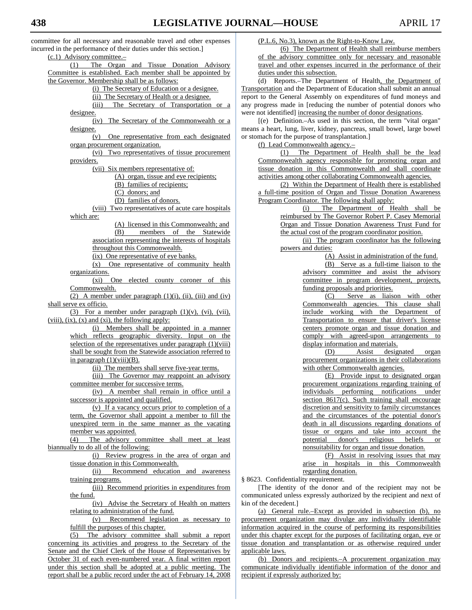committee for all necessary and reasonable travel and other expenses incurred in the performance of their duties under this section.]

(c.1) Advisory committee.– (1) The Organ and Tissue Donation Advisory Committee is established. Each member shall be appointed by the Governor. Membership shall be as follows:

(i) The Secretary of Education or a designee.

(ii) The Secretary of Health or a designee.

(iii) The Secretary of Transportation or a designee

(iv) The Secretary of the Commonwealth or a designee.

(v) One representative from each designated organ procurement organization.

(vi) Two representatives of tissue procurement providers.

(vii) Six members representative of:

(A) organ, tissue and eye recipients;

(B) families of recipients;

(C) donors; and

(D) families of donors.

(viii) Two representatives of acute care hospitals which are:

(A) licensed in this Commonwealth; and (B) members of the Statewide association representing the interests of hospitals

throughout this Commonwealth.

(ix) One representative of eye banks.

(x) One representative of community health organizations.

(xi) One elected county coroner of this Commonwealth.

(2) A member under paragraph  $(1)(i)$ ,  $(ii)$ ,  $(iii)$  and  $(iv)$ shall serve ex officio.

(3) For a member under paragraph  $(1)(v)$ ,  $(vi)$ ,  $(vii)$ , (viii),  $(ix)$ ,  $(x)$  and  $(xi)$ , the following apply:

(i) Members shall be appointed in a manner which reflects geographic diversity. Input on the selection of the representatives under paragraph  $(1)(viii)$ shall be sought from the Statewide association referred to in paragraph  $(1)(viii)(B)$ .

(ii) The members shall serve five-year terms.

(iii) The Governor may reappoint an advisory committee member for successive terms.

(iv) A member shall remain in office until a successor is appointed and qualified.

(v) If a vacancy occurs prior to completion of a term, the Governor shall appoint a member to fill the unexpired term in the same manner as the vacating member was appointed.

(4) The advisory committee shall meet at least biannually to do all of the following:

> (i) Review progress in the area of organ and tissue donation in this Commonwealth.

> (ii) Recommend education and awareness training programs.

> (iii) Recommend priorities in expenditures from the fund.

> (iv) Advise the Secretary of Health on matters relating to administration of the fund.

> (v) Recommend legislation as necessary to fulfill the purposes of this chapter.

(5) The advisory committee shall submit a report concerning its activities and progress to the Secretary of the Senate and the Chief Clerk of the House of Representatives by October 31 of each even-numbered year. A final written report under this section shall be adopted at a public meeting. The report shall be a public record under the act of February 14, 2008 (P.L.6, No.3), known as the Right-to-Know Law.

(6) The Department of Health shall reimburse members of the advisory committee only for necessary and reasonable travel and other expenses incurred in the performance of their duties under this subsection.

(d) Reports.–The Department of Health, the Department of Transportation and the Department of Education shall submit an annual report to the General Assembly on expenditures of fund moneys and any progress made in [reducing the number of potential donors who were not identified] increasing the number of donor designations.

[(e) Definition.–As used in this section, the term "vital organ" means a heart, lung, liver, kidney, pancreas, small bowel, large bowel or stomach for the purpose of transplantation.]

(f) Lead Commonwealth agency.–

(1) The Department of Health shall be the lead Commonwealth agency responsible for promoting organ and tissue donation in this Commonwealth and shall coordinate activities among other collaborating Commonwealth agencies.

(2) Within the Department of Health there is established a full-time position of Organ and Tissue Donation Awareness Program Coordinator. The following shall apply:

(i) The Department of Health shall be reimbursed by The Governor Robert P. Casey Memorial Organ and Tissue Donation Awareness Trust Fund for the actual cost of the program coordinator position.

(ii) The program coordinator has the following powers and duties:

(A) Assist in administration of the fund.

(B) Serve as a full-time liaison to the advisory committee and assist the advisory committee in program development, projects, funding proposals and priorities.

(C) Serve as liaison with other Commonwealth agencies. This clause shall include working with the Department of Transportation to ensure that driver's license centers promote organ and tissue donation and comply with agreed-upon arrangements to display information and materials.

(D) Assist designated organ procurement organizations in their collaborations with other Commonwealth agencies.

(E) Provide input to designated organ procurement organizations regarding training of individuals performing notifications under section 8617(c). Such training shall encourage discretion and sensitivity to family circumstances and the circumstances of the potential donor's death in all discussions regarding donations of tissue or organs and take into account the potential donor's religious beliefs or donor's religious beliefs or nonsuitability for organ and tissue donation.

(F) Assist in resolving issues that may arise in hospitals in this Commonwealth

regarding donation.

§ 8623. Confidentiality requirement.

[The identity of the donor and of the recipient may not be communicated unless expressly authorized by the recipient and next of kin of the decedent.]

(a) General rule.–Except as provided in subsection (b), no procurement organization may divulge any individually identifiable information acquired in the course of performing its responsibilities under this chapter except for the purposes of facilitating organ, eye or tissue donation and transplantation or as otherwise required under applicable laws.

(b) Donors and recipients.–A procurement organization may communicate individually identifiable information of the donor and recipient if expressly authorized by: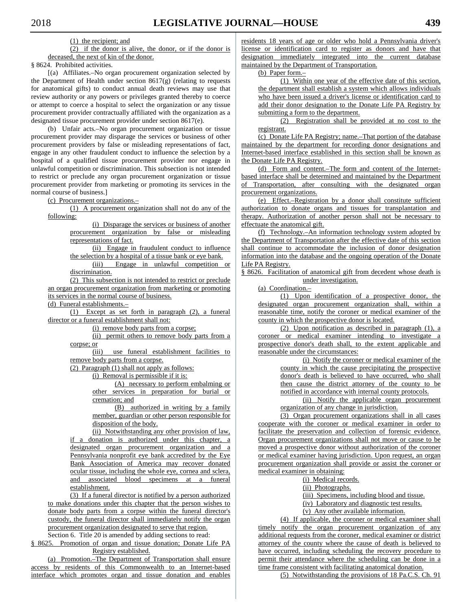(1) the recipient; and

(2) if the donor is alive, the donor, or if the donor is deceased, the next of kin of the donor.

§ 8624. Prohibited activities.

[(a) Affiliates.–No organ procurement organization selected by the Department of Health under section 8617(g) (relating to requests for anatomical gifts) to conduct annual death reviews may use that review authority or any powers or privileges granted thereby to coerce or attempt to coerce a hospital to select the organization or any tissue procurement provider contractually affiliated with the organization as a designated tissue procurement provider under section 8617(e).

(b) Unfair acts.–No organ procurement organization or tissue procurement provider may disparage the services or business of other procurement providers by false or misleading representations of fact, engage in any other fraudulent conduct to influence the selection by a hospital of a qualified tissue procurement provider nor engage in unlawful competition or discrimination. This subsection is not intended to restrict or preclude any organ procurement organization or tissue procurement provider from marketing or promoting its services in the normal course of business.]

(c) Procurement organizations.–

(1) A procurement organization shall not do any of the following:

> (i) Disparage the services or business of another procurement organization by false or misleading representations of fact.

> (ii) Engage in fraudulent conduct to influence the selection by a hospital of a tissue bank or eye bank.

> (iii) Engage in unlawful competition or discrimination.

(2) This subsection is not intended to restrict or preclude an organ procurement organization from marketing or promoting its services in the normal course of business.

(d) Funeral establishments.–

(1) Except as set forth in paragraph (2), a funeral director or a funeral establishment shall not:

(i) remove body parts from a corpse;

(ii) permit others to remove body parts from a corpse; or

(iii) use funeral establishment facilities to remove body parts from a corpse.

(2) Paragraph (1) shall not apply as follows:

(i) Removal is permissible if it is:

(A) necessary to perform embalming or other services in preparation for burial or cremation; and

(B) authorized in writing by a family member, guardian or other person responsible for disposition of the body.

(ii) Notwithstanding any other provision of law, if a donation is authorized under this chapter, a designated organ procurement organization and a Pennsylvania nonprofit eye bank accredited by the Eye Bank Association of America may recover donated ocular tissue, including the whole eye, cornea and sclera, and associated blood specimens at a funeral establishment.

(3) If a funeral director is notified by a person authorized to make donations under this chapter that the person wishes to donate body parts from a corpse within the funeral director's custody, the funeral director shall immediately notify the organ procurement organization designated to serve that region. Section 6. Title 20 is amended by adding sections to read:

§ 8625. Promotion of organ and tissue donation; Donate Life PA Registry established.

(a) Promotion.–The Department of Transportation shall ensure access by residents of this Commonwealth to an Internet-based interface which promotes organ and tissue donation and enables

residents 18 years of age or older who hold a Pennsylvania driver's license or identification card to register as donors and have that designation immediately integrated into the current database maintained by the Department of Transportation.

(b) Paper form.–

(1) Within one year of the effective date of this section, the department shall establish a system which allows individuals who have been issued a driver's license or identification card to add their donor designation to the Donate Life PA Registry by submitting a form to the department.

(2) Registration shall be provided at no cost to the registrant.

(c) Donate Life PA Registry; name.–That portion of the database maintained by the department for recording donor designations and Internet-based interface established in this section shall be known as the Donate Life PA Registry.

(d) Form and content.–The form and content of the Internetbased interface shall be determined and maintained by the Department of Transportation, after consulting with the designated organ procurement organizations.

(e) Effect.–Registration by a donor shall constitute sufficient authorization to donate organs and tissues for transplantation and therapy. Authorization of another person shall not be necessary to effectuate the anatomical gift.

(f) Technology.–An information technology system adopted by the Department of Transportation after the effective date of this section shall continue to accommodate the inclusion of donor designation information into the database and the ongoing operation of the Donate Life PA Registry.

§ 8626. Facilitation of anatomical gift from decedent whose death is under investigation.

(a) Coordination.–

(1) Upon identification of a prospective donor, the designated organ procurement organization shall, within a reasonable time, notify the coroner or medical examiner of the county in which the prospective donor is located.

(2) Upon notification as described in paragraph (1), a coroner or medical examiner intending to investigate a prospective donor's death shall, to the extent applicable and reasonable under the circumstances:

(i) Notify the coroner or medical examiner of the county in which the cause precipitating the prospective donor's death is believed to have occurred, who shall then cause the district attorney of the county to be notified in accordance with internal county protocols.

(ii) Notify the applicable organ procurement organization of any change in jurisdiction.

(3) Organ procurement organizations shall in all cases cooperate with the coroner or medical examiner in order to facilitate the preservation and collection of forensic evidence. Organ procurement organizations shall not move or cause to be moved a prospective donor without authorization of the coroner or medical examiner having jurisdiction. Upon request, an organ procurement organization shall provide or assist the coroner or medical examiner in obtaining:

(i) Medical records.

(ii) Photographs.

(iii) Specimens, including blood and tissue.

(iv) Laboratory and diagnostic test results.

(v) Any other available information.

(4) If applicable, the coroner or medical examiner shall timely notify the organ procurement organization of any additional requests from the coroner, medical examiner or district attorney of the county where the cause of death is believed to have occurred, including scheduling the recovery procedure to permit their attendance where the scheduling can be done in a time frame consistent with facilitating anatomical donation.

(5) Notwithstanding the provisions of 18 Pa.C.S. Ch. 91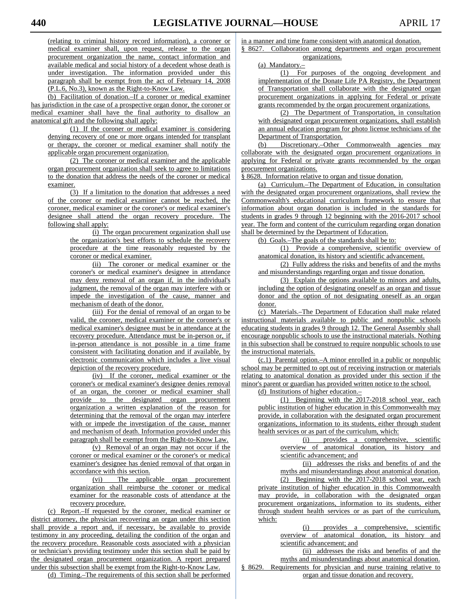(relating to criminal history record information), a coroner or medical examiner shall, upon request, release to the organ procurement organization the name, contact information and available medical and social history of a decedent whose death is under investigation. The information provided under this paragraph shall be exempt from the act of February 14, 2008

(P.L.6, No.3), known as the Right-to-Know Law.

(b) Facilitation of donation.–If a coroner or medical examiner has jurisdiction in the case of a prospective organ donor, the coroner or medical examiner shall have the final authority to disallow an anatomical gift and the following shall apply:

(1) If the coroner or medical examiner is considering denying recovery of one or more organs intended for transplant or therapy, the coroner or medical examiner shall notify the applicable organ procurement organization.

(2) The coroner or medical examiner and the applicable organ procurement organization shall seek to agree to limitations to the donation that address the needs of the coroner or medical examiner.

(3) If a limitation to the donation that addresses a need of the coroner or medical examiner cannot be reached, the coroner, medical examiner or the coroner's or medical examiner's designee shall attend the organ recovery procedure. The following shall apply:

> (i) The organ procurement organization shall use the organization's best efforts to schedule the recovery procedure at the time reasonably requested by the coroner or medical examiner.

> (ii) The coroner or medical examiner or the coroner's or medical examiner's designee in attendance may deny removal of an organ if, in the individual's judgment, the removal of the organ may interfere with or impede the investigation of the cause, manner and mechanism of death of the donor.

> (iii) For the denial of removal of an organ to be valid, the coroner, medical examiner or the coroner's or medical examiner's designee must be in attendance at the recovery procedure. Attendance must be in-person or, if in-person attendance is not possible in a time frame consistent with facilitating donation and if available, by electronic communication which includes a live visual depiction of the recovery procedure.

> (iv) If the coroner, medical examiner or the coroner's or medical examiner's designee denies removal of an organ, the coroner or medical examiner shall provide to the designated organ procurement organization a written explanation of the reason for determining that the removal of the organ may interfere with or impede the investigation of the cause, manner and mechanism of death. Information provided under this paragraph shall be exempt from the Right-to-Know Law.

> (v) Removal of an organ may not occur if the coroner or medical examiner or the coroner's or medical examiner's designee has denied removal of that organ in accordance with this section.

> (vi) The applicable organ procurement organization shall reimburse the coroner or medical examiner for the reasonable costs of attendance at the recovery procedure.

(c) Report.–If requested by the coroner, medical examiner or district attorney, the physician recovering an organ under this section shall provide a report and, if necessary, be available to provide testimony in any proceeding, detailing the condition of the organ and the recovery procedure. Reasonable costs associated with a physician or technician's providing testimony under this section shall be paid by the designated organ procurement organization. A report prepared under this subsection shall be exempt from the Right-to-Know Law.

(d) Timing.–The requirements of this section shall be performed

in a manner and time frame consistent with anatomical donation.

§ 8627. Collaboration among departments and organ procurement organizations.

(a) Mandatory.–

(1) For purposes of the ongoing development and implementation of the Donate Life PA Registry, the Department of Transportation shall collaborate with the designated organ procurement organizations in applying for Federal or private grants recommended by the organ procurement organizations.

(2) The Department of Transportation, in consultation with designated organ procurement organizations, shall establish an annual education program for photo license technicians of the Department of Transportation.

(b) Discretionary.–Other Commonwealth agencies may collaborate with the designated organ procurement organizations in applying for Federal or private grants recommended by the organ procurement organizations.

§ 8628. Information relative to organ and tissue donation.

(a) Curriculum.–The Department of Education, in consultation with the designated organ procurement organizations, shall review the Commonwealth's educational curriculum framework to ensure that information about organ donation is included in the standards for students in grades 9 through 12 beginning with the 2016-2017 school year. The form and content of the curriculum regarding organ donation shall be determined by the Department of Education.

(b) Goals.–The goals of the standards shall be to:

(1) Provide a comprehensive, scientific overview of anatomical donation, its history and scientific advancement.

(2) Fully address the risks and benefits of and the myths and misunderstandings regarding organ and tissue donation.

(3) Explain the options available to minors and adults, including the option of designating oneself as an organ and tissue donor and the option of not designating oneself as an organ donor.

(c) Materials.–The Department of Education shall make related instructional materials available to public and nonpublic schools educating students in grades 9 through 12. The General Assembly shall encourage nonpublic schools to use the instructional materials. Nothing in this subsection shall be construed to require nonpublic schools to use the instructional materials.

(c.1) Parental option.–A minor enrolled in a public or nonpublic school may be permitted to opt out of receiving instruction or materials relating to anatomical donation as provided under this section if the minor's parent or guardian has provided written notice to the school.

(d) Institutions of higher education.–

(1) Beginning with the 2017-2018 school year, each public institution of higher education in this Commonwealth may provide, in collaboration with the designated organ procurement organizations, information to its students, either through student health services or as part of the curriculum, which:

> (i) provides a comprehensive, scientific overview of anatomical donation, its history and scientific advancement; and

> (ii) addresses the risks and benefits of and the myths and misunderstandings about anatomical donation.

(2) Beginning with the 2017-2018 school year, each private institution of higher education in this Commonwealth may provide, in collaboration with the designated organ procurement organizations, information to its students, either through student health services or as part of the curriculum, which:

> (i) provides a comprehensive, scientific overview of anatomical donation, its history and scientific advancement; and

(ii) addresses the risks and benefits of and the myths and misunderstandings about anatomical donation.

§ 8629. Requirements for physician and nurse training relative to organ and tissue donation and recovery.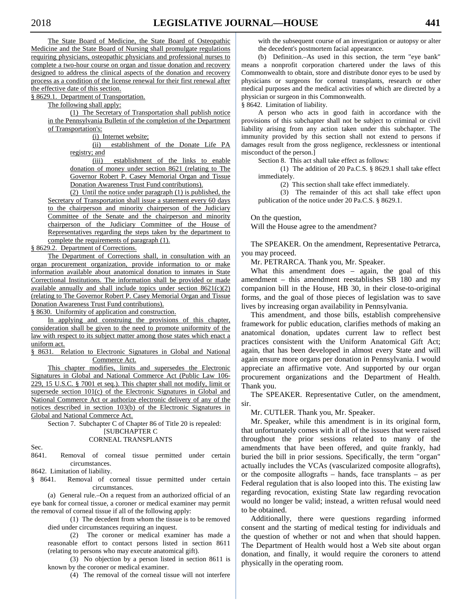The State Board of Medicine, the State Board of Osteopathic Medicine and the State Board of Nursing shall promulgate regulations requiring physicians, osteopathic physicians and professional nurses to complete a two-hour course on organ and tissue donation and recovery designed to address the clinical aspects of the donation and recovery process as a condition of the license renewal for their first renewal after the effective date of this section.

§ 8629.1. Department of Transportation.

The following shall apply:

(1) The Secretary of Transportation shall publish notice in the Pennsylvania Bulletin of the completion of the Department of Transportation's:

(i) Internet website;

(ii) establishment of the Donate Life PA registry; and

(iii) establishment of the links to enable donation of money under section 8621 (relating to The Governor Robert P. Casey Memorial Organ and Tissue Donation Awareness Trust Fund contributions).

(2) Until the notice under paragraph (1) is published, the Secretary of Transportation shall issue a statement every 60 days to the chairperson and minority chairperson of the Judiciary Committee of the Senate and the chairperson and minority chairperson of the Judiciary Committee of the House of Representatives regarding the steps taken by the department to complete the requirements of paragraph  $(1)$ .

§ 8629.2. Department of Corrections.

The Department of Corrections shall, in consultation with an organ procurement organization, provide information to or make information available about anatomical donation to inmates in State Correctional Institutions. The information shall be provided or made available annually and shall include topics under section  $8621(c)(2)$ (relating to The Governor Robert P. Casey Memorial Organ and Tissue Donation Awareness Trust Fund contributions).

§ 8630. Uniformity of application and construction.

In applying and construing the provisions of this chapter, consideration shall be given to the need to promote uniformity of the law with respect to its subject matter among those states which enact a uniform act.

§ 8631. Relation to Electronic Signatures in Global and National Commerce Act.

This chapter modifies, limits and supersedes the Electronic Signatures in Global and National Commerce Act (Public Law 106- 229, 15 U.S.C. § 7001 et seq.). This chapter shall not modify, limit or supersede section 101(c) of the Electronic Signatures in Global and National Commerce Act or authorize electronic delivery of any of the notices described in section 103(b) of the Electronic Signatures in Global and National Commerce Act.

Section 7. Subchapter C of Chapter 86 of Title 20 is repealed:

#### [SUBCHAPTER C CORNEAL TRANSPLANTS

Sec.

8641. Removal of corneal tissue permitted under certain circumstances.

8642. Limitation of liability.

§ 8641. Removal of corneal tissue permitted under certain circumstances.

(a) General rule.–On a request from an authorized official of an eye bank for corneal tissue, a coroner or medical examiner may permit the removal of corneal tissue if all of the following apply:

(1) The decedent from whom the tissue is to be removed died under circumstances requiring an inquest.

(2) The coroner or medical examiner has made a reasonable effort to contact persons listed in section 8611 (relating to persons who may execute anatomical gift).

(3) No objection by a person listed in section 8611 is known by the coroner or medical examiner.

(4) The removal of the corneal tissue will not interfere

with the subsequent course of an investigation or autopsy or alter the decedent's postmortem facial appearance.

(b) Definition.–As used in this section, the term "eye bank" means a nonprofit corporation chartered under the laws of this Commonwealth to obtain, store and distribute donor eyes to be used by physicians or surgeons for corneal transplants, research or other medical purposes and the medical activities of which are directed by a physician or surgeon in this Commonwealth.

§ 8642. Limitation of liability.

A person who acts in good faith in accordance with the provisions of this subchapter shall not be subject to criminal or civil liability arising from any action taken under this subchapter. The immunity provided by this section shall not extend to persons if damages result from the gross negligence, recklessness or intentional misconduct of the person.]

Section 8. This act shall take effect as follows:

(1) The addition of 20 Pa.C.S. § 8629.1 shall take effect immediately.

(2) This section shall take effect immediately.

(3) The remainder of this act shall take effect upon publication of the notice under 20 Pa.C.S. § 8629.1.

On the question.

Will the House agree to the amendment?

 The SPEAKER. On the amendment, Representative Petrarca, you may proceed.

Mr. PETRARCA. Thank you, Mr. Speaker.

 What this amendment does – again, the goal of this amendment – this amendment reestablishes SB 180 and my companion bill in the House, HB 30, in their close-to-original forms, and the goal of those pieces of legislation was to save lives by increasing organ availability in Pennsylvania.

 This amendment, and those bills, establish comprehensive framework for public education, clarifies methods of making an anatomical donation, updates current law to reflect best practices consistent with the Uniform Anatomical Gift Act; again, that has been developed in almost every State and will again ensure more organs per donation in Pennsylvania. I would appreciate an affirmative vote. And supported by our organ procurement organizations and the Department of Health. Thank you.

 The SPEAKER. Representative Cutler, on the amendment, sir.

Mr. CUTLER. Thank you, Mr. Speaker.

 Mr. Speaker, while this amendment is in its original form, that unfortunately comes with it all of the issues that were raised throughout the prior sessions related to many of the amendments that have been offered, and quite frankly, had buried the bill in prior sessions. Specifically, the term "organ" actually includes the VCAs (vascularized composite allografts), or the composite allografts – hands, face transplants – as per Federal regulation that is also looped into this. The existing law regarding revocation, existing State law regarding revocation would no longer be valid; instead, a written refusal would need to be obtained.

 Additionally, there were questions regarding informed consent and the starting of medical testing for individuals and the question of whether or not and when that should happen. The Department of Health would host a Web site about organ donation, and finally, it would require the coroners to attend physically in the operating room.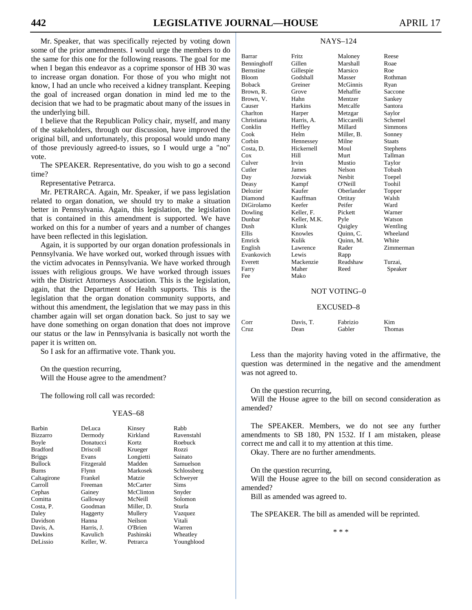Mr. Speaker, that was specifically rejected by voting down some of the prior amendments. I would urge the members to do the same for this one for the following reasons. The goal for me when I began this endeavor as a coprime sponsor of HB 30 was to increase organ donation. For those of you who might not know, I had an uncle who received a kidney transplant. Keeping the goal of increased organ donation in mind led me to the decision that we had to be pragmatic about many of the issues in the underlying bill.

 I believe that the Republican Policy chair, myself, and many of the stakeholders, through our discussion, have improved the original bill, and unfortunately, this proposal would undo many of those previously agreed-to issues, so I would urge a "no" vote.

 The SPEAKER. Representative, do you wish to go a second time?

Representative Petrarca.

 Mr. PETRARCA. Again, Mr. Speaker, if we pass legislation related to organ donation, we should try to make a situation better in Pennsylvania. Again, this legislation, the legislation that is contained in this amendment is supported. We have worked on this for a number of years and a number of changes have been reflected in this legislation.

 Again, it is supported by our organ donation professionals in Pennsylvania. We have worked out, worked through issues with the victim advocates in Pennsylvania. We have worked through issues with religious groups. We have worked through issues with the District Attorneys Association. This is the legislation, again, that the Department of Health supports. This is the legislation that the organ donation community supports, and without this amendment, the legislation that we may pass in this chamber again will set organ donation back. So just to say we have done something on organ donation that does not improve our status or the law in Pennsylvania is basically not worth the paper it is written on.

So I ask for an affirmative vote. Thank you.

 On the question recurring, Will the House agree to the amendment?

The following roll call was recorded:

#### YEAS–68

| Barbin          | DeLuca     | Kinsey     | Rabb        |
|-----------------|------------|------------|-------------|
| <b>Bizzarro</b> | Dermody    | Kirkland   | Ravenstahl  |
| Boyle           | Donatucci  | Kortz      | Roebuck     |
| <b>Bradford</b> | Driscoll   | Krueger    | Rozzi       |
| <b>Briggs</b>   | Evans      | Longietti  | Sainato     |
| <b>Bullock</b>  | Fitzgerald | Madden     | Samuelson   |
| Burns           | Flynn      | Markosek   | Schlossberg |
| Caltagirone     | Frankel    | Matzie     | Schwever    |
| Carroll         | Freeman    | McCarter   | <b>Sims</b> |
| Cephas          | Gainey     | McClinton  | Snyder      |
| Comitta         | Galloway   | McNeill    | Solomon     |
| Costa, P.       | Goodman    | Miller, D. | Sturla      |
| Daley           | Haggerty   | Mullery    | Vazquez     |
| Davidson        | Hanna      | Neilson    | Vitali      |
| Davis, A.       | Harris, J. | O'Brien    | Warren      |
| Dawkins         | Kavulich   | Pashinski  | Wheatley    |
| DeLissio        | Keller, W. | Petrarca   | Youngblood  |

#### NAYS–124

| Barrar        | <b>Fritz</b>   | Maloney       | Reese          |
|---------------|----------------|---------------|----------------|
| Benninghoff   | Gillen         | Marshall      | Roae           |
| Bernstine     | Gillespie      | Marsico       | Roe            |
| Bloom         | Godshall       | Masser        | Rothman        |
| <b>Boback</b> | Greiner        | McGinnis      | Ryan           |
| Brown, R.     | Grove          | Mehaffie      | Saccone        |
| Brown, V.     | Hahn           | Mentzer       | Sankey         |
| Causer        | <b>Harkins</b> | Metcalfe      | Santora        |
| Charlton      | Harper         | Metzgar       | Saylor         |
| Christiana    | Harris, A.     | Miccarelli    | Schemel        |
| Conklin       | Heffley        | Millard       | <b>Simmons</b> |
| Cook          | Helm           | Miller, B.    | Sonney         |
| Corbin        | Hennessey      | Milne         | <b>Staats</b>  |
| Costa, D.     | Hickernell     | Moul          | Stephens       |
| Cox           | Hill           | Murt          | Tallman        |
| Culver        | Irvin          | Mustio        | Taylor         |
| Cutler        | James          | Nelson        | Tobash         |
| Day           | Jozwiak        | <b>Nesbit</b> | Toepel         |
| Deasy         | Kampf          | O'Neill       | Toohil         |
| Delozier      | Kaufer         | Oberlander    | Topper         |
| Diamond       | Kauffman       | Ortitay       | Walsh          |
| DiGirolamo    | Keefer         | Peifer        | Ward           |
| Dowling       | Keller, F.     | Pickett       | Warner         |
| Dunbar        | Keller, M.K.   | Pyle          | Watson         |
| Dush          | Klunk          | Quigley       | Wentling       |
| Ellis         | Knowles        | Quinn, C.     | Wheeland       |
| Emrick        | Kulik          | Quinn, M.     | White          |
| English       | Lawrence       | Rader         | Zimmerman      |
| Evankovich    | Lewis          | Rapp          |                |
| Everett       | Mackenzie      | Readshaw      | Turzai,        |
| Farry         | Maher          | Reed          | Speaker        |
| Fee           | Mako           |               |                |
|               |                |               |                |

#### NOT VOTING–0

#### EXCUSED–8

| Corr | Davis, T. | Fabrizio | Kim           |
|------|-----------|----------|---------------|
| Cruz | Dean      | Gabler   | <b>Thomas</b> |

 Less than the majority having voted in the affirmative, the question was determined in the negative and the amendment was not agreed to.

On the question recurring,

 Will the House agree to the bill on second consideration as amended?

 The SPEAKER. Members, we do not see any further amendments to SB 180, PN 1532. If I am mistaken, please correct me and call it to my attention at this time.

Okay. There are no further amendments.

On the question recurring,

 Will the House agree to the bill on second consideration as amended?

Bill as amended was agreed to.

The SPEAKER. The bill as amended will be reprinted.

\* \* \*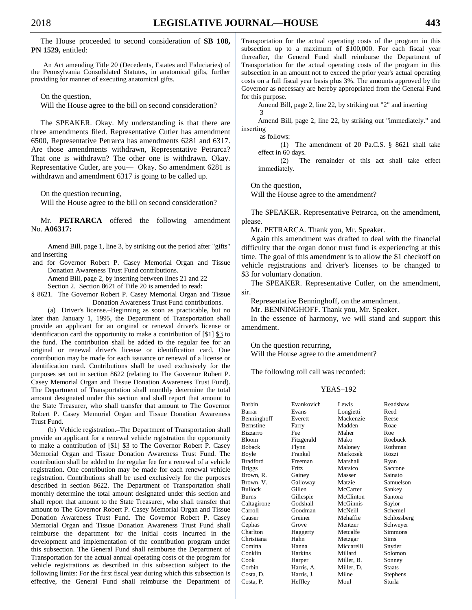The House proceeded to second consideration of **SB 108, PN 1529,** entitled:

An Act amending Title 20 (Decedents, Estates and Fiduciaries) of the Pennsylvania Consolidated Statutes, in anatomical gifts, further providing for manner of executing anatomical gifts.

On the question,

Will the House agree to the bill on second consideration?

 The SPEAKER. Okay. My understanding is that there are three amendments filed. Representative Cutler has amendment 6500, Representative Petrarca has amendments 6281 and 6317. Are those amendments withdrawn, Representative Petrarca? That one is withdrawn? The other one is withdrawn. Okay. Representative Cutler, are you— Okay. So amendment 6281 is withdrawn and amendment 6317 is going to be called up.

On the question recurring,

Will the House agree to the bill on second consideration?

 Mr. **PETRARCA** offered the following amendment No. **A06317:**

Amend Bill, page 1, line 3, by striking out the period after "gifts" and inserting

 and for Governor Robert P. Casey Memorial Organ and Tissue Donation Awareness Trust Fund contributions.

Amend Bill, page 2, by inserting between lines 21 and 22

Section 2. Section 8621 of Title 20 is amended to read:

§ 8621. The Governor Robert P. Casey Memorial Organ and Tissue Donation Awareness Trust Fund contributions.

(a) Driver's license.–Beginning as soon as practicable, but no later than January 1, 1995, the Department of Transportation shall provide an applicant for an original or renewal driver's license or identification card the opportunity to make a contribution of [\$1] \$3 to the fund. The contribution shall be added to the regular fee for an original or renewal driver's license or identification card. One contribution may be made for each issuance or renewal of a license or identification card. Contributions shall be used exclusively for the purposes set out in section 8622 (relating to The Governor Robert P. Casey Memorial Organ and Tissue Donation Awareness Trust Fund). The Department of Transportation shall monthly determine the total amount designated under this section and shall report that amount to the State Treasurer, who shall transfer that amount to The Governor Robert P. Casey Memorial Organ and Tissue Donation Awareness Trust Fund.

(b) Vehicle registration.–The Department of Transportation shall provide an applicant for a renewal vehicle registration the opportunity to make a contribution of [\$1] \$3 to The Governor Robert P. Casey Memorial Organ and Tissue Donation Awareness Trust Fund. The contribution shall be added to the regular fee for a renewal of a vehicle registration. One contribution may be made for each renewal vehicle registration. Contributions shall be used exclusively for the purposes described in section 8622. The Department of Transportation shall monthly determine the total amount designated under this section and shall report that amount to the State Treasurer, who shall transfer that amount to The Governor Robert P. Casey Memorial Organ and Tissue Donation Awareness Trust Fund. The Governor Robert P. Casey Memorial Organ and Tissue Donation Awareness Trust Fund shall reimburse the department for the initial costs incurred in the development and implementation of the contribution program under this subsection. The General Fund shall reimburse the Department of Transportation for the actual annual operating costs of the program for vehicle registrations as described in this subsection subject to the following limits: For the first fiscal year during which this subsection is effective, the General Fund shall reimburse the Department of Transportation for the actual operating costs of the program in this subsection up to a maximum of \$100,000. For each fiscal year thereafter, the General Fund shall reimburse the Department of Transportation for the actual operating costs of the program in this subsection in an amount not to exceed the prior year's actual operating costs on a full fiscal year basis plus 3%. The amounts approved by the Governor as necessary are hereby appropriated from the General Fund for this purpose.

Amend Bill, page 2, line 22, by striking out "2" and inserting 3

Amend Bill, page 2, line 22, by striking out "immediately." and inserting

as follows:

(1) The amendment of 20 Pa.C.S. § 8621 shall take effect in 60 days.

(2) The remainder of this act shall take effect immediately.

On the question,

Will the House agree to the amendment?

 The SPEAKER. Representative Petrarca, on the amendment, please.

Mr. PETRARCA. Thank you, Mr. Speaker.

 Again this amendment was drafted to deal with the financial difficulty that the organ donor trust fund is experiencing at this time. The goal of this amendment is to allow the \$1 checkoff on vehicle registrations and driver's licenses to be changed to \$3 for voluntary donation.

 The SPEAKER. Representative Cutler, on the amendment, sir.

Representative Benninghoff, on the amendment.

Mr. BENNINGHOFF. Thank you, Mr. Speaker.

 In the essence of harmony, we will stand and support this amendment.

 On the question recurring, Will the House agree to the amendment?

The following roll call was recorded:

#### YEAS–192

| Barbin           | Evankovich | Lewis      | Readshaw      |
|------------------|------------|------------|---------------|
| Barrar           | Evans      | Longietti  | Reed          |
| Benninghoff      | Everett    | Mackenzie  | Reese         |
| <b>Bernstine</b> | Farry      | Madden     | Roae          |
| <b>Bizzarro</b>  | Fee        | Maher      | Roe           |
| <b>Bloom</b>     | Fitzgerald | Mako       | Roebuck       |
| <b>Boback</b>    | Flynn      | Maloney    | Rothman       |
| Boyle            | Frankel    | Markosek   | Rozzi         |
| <b>Bradford</b>  | Freeman    | Marshall   | Ryan          |
| <b>Briggs</b>    | Fritz      | Marsico    | Saccone       |
| Brown, R.        | Gainey     | Masser     | Sainato       |
| Brown, V.        | Galloway   | Matzie     | Samuelson     |
| <b>Bullock</b>   | Gillen     | McCarter   | Sankey        |
| Burns            | Gillespie  | McClinton  | Santora       |
| Caltagirone      | Godshall   | McGinnis   | Saylor        |
| Carroll          | Goodman    | McNeill    | Schemel       |
| Causer           | Greiner    | Mehaffie   | Schlossberg   |
| Cephas           | Grove      | Mentzer    | Schweyer      |
| Charlton         | Haggerty   | Metcalfe   | Simmons       |
| Christiana       | Hahn       | Metzgar    | Sims          |
| Comitta          | Hanna      | Miccarelli | Snyder        |
| Conklin          | Harkins    | Millard    | Solomon       |
| Cook             | Harper     | Miller, B. | Sonney        |
| Corbin           | Harris, A. | Miller, D. | <b>Staats</b> |
| Costa, D.        | Harris, J. | Milne      | Stephens      |
| Costa. P.        | Hefflev    | Moul       | Sturla        |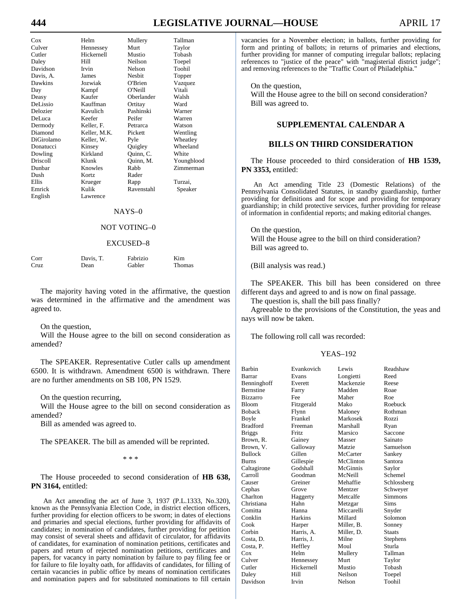# **444 LEGISLATIVE JOURNAL—HOUSE** APRIL 17

| Cox        | Helm         | Mullery      | Tallman    |
|------------|--------------|--------------|------------|
| Culver     | Hennessey    | Murt         | Taylor     |
| Cutler     | Hickernell   | Mustio       | Tobash     |
| Daley      | Hill         | Neilson      | Toepel     |
| Davidson   | Irvin        | Nelson       | Toohil     |
| Davis, A.  | James        | Neshit       | Topper     |
| Dawkins    | Jozwiak      | O'Brien      | Vazquez    |
| Day        | Kampf        | O'Neill      | Vitali     |
| Deasy      | Kaufer       | Oberlander   | Walsh      |
| DeLissio   | Kauffman     | Ortitay      | Ward       |
| Delozier   | Kavulich     | Pashinski    | Warner     |
| DeLuca     | Keefer       | Peifer       | Warren     |
| Dermody    | Keller, F.   | Petrarca     | Watson     |
| Diamond    | Keller, M.K. | Pickett      | Wentling   |
| DiGirolamo | Keller, W.   | Pyle         | Wheatley   |
| Donatucci  | Kinsey       | Quigley      | Wheeland   |
| Dowling    | Kirkland     | Ouinn, C.    | White      |
| Driscoll   | Klunk        | Ouinn, M.    | Youngblood |
| Dunbar     | Knowles      | Rabb         | Zimmerman  |
| Dush       | Kortz        | <b>Rader</b> |            |
| Ellis      | Krueger      | Rapp         | Turzai,    |
| Emrick     | Kulik        | Ravenstahl   | Speaker    |
| English    | Lawrence     |              |            |
|            |              |              |            |

#### NAYS–0

#### NOT VOTING–0

#### EXCUSED–8

| Corr | Davis. T. | Fabrizio | Kim    |
|------|-----------|----------|--------|
| Cruz | Dean      | Gabler   | Thomas |

 The majority having voted in the affirmative, the question was determined in the affirmative and the amendment was agreed to.

On the question,

 Will the House agree to the bill on second consideration as amended?

 The SPEAKER. Representative Cutler calls up amendment 6500. It is withdrawn. Amendment 6500 is withdrawn. There are no further amendments on SB 108, PN 1529.

On the question recurring,

 Will the House agree to the bill on second consideration as amended?

Bill as amended was agreed to.

The SPEAKER. The bill as amended will be reprinted.

\* \* \*

 The House proceeded to second consideration of **HB 638, PN 3164,** entitled:

An Act amending the act of June 3, 1937 (P.L.1333, No.320), known as the Pennsylvania Election Code, in district election officers, further providing for election officers to be sworn; in dates of elections and primaries and special elections, further providing for affidavits of candidates; in nomination of candidates, further providing for petition may consist of several sheets and affidavit of circulator, for affidavits of candidates, for examination of nomination petitions, certificates and papers and return of rejected nomination petitions, certificates and papers, for vacancy in party nomination by failure to pay filing fee or for failure to file loyalty oath, for affidavits of candidates, for filling of certain vacancies in public office by means of nomination certificates and nomination papers and for substituted nominations to fill certain

vacancies for a November election; in ballots, further providing for form and printing of ballots; in returns of primaries and elections, further providing for manner of computing irregular ballots; replacing references to "justice of the peace" with "magisterial district judge"; and removing references to the "Traffic Court of Philadelphia."

On the question,

 Will the House agree to the bill on second consideration? Bill was agreed to.

### **SUPPLEMENTAL CALENDAR A**

### **BILLS ON THIRD CONSIDERATION**

 The House proceeded to third consideration of **HB 1539, PN 3353,** entitled:

An Act amending Title 23 (Domestic Relations) of the Pennsylvania Consolidated Statutes, in standby guardianship, further providing for definitions and for scope and providing for temporary guardianship; in child protective services, further providing for release of information in confidential reports; and making editorial changes.

 On the question, Will the House agree to the bill on third consideration? Bill was agreed to.

(Bill analysis was read.)

 The SPEAKER. This bill has been considered on three different days and agreed to and is now on final passage.

The question is, shall the bill pass finally?

 Agreeable to the provisions of the Constitution, the yeas and nays will now be taken.

The following roll call was recorded:

#### YEAS–192

| Barbin          | Evankovich   | Lewis      | Readshaw      |
|-----------------|--------------|------------|---------------|
| Barrar          | Evans        | Longietti  | Reed          |
| Benninghoff     | Everett      | Mackenzie  | Reese         |
| Bernstine       | Farry        | Madden     | Roae          |
| <b>Bizzarro</b> | Fee          | Maher      | Roe           |
| Bloom           | Fitzgerald   | Mako       | Roebuck       |
| <b>Boback</b>   | Flynn        | Maloney    | Rothman       |
| Boyle           | Frankel      | Markosek   | Rozzi         |
| <b>Bradford</b> | Freeman      | Marshall   | Ryan          |
| Briggs          | <b>Fritz</b> | Marsico    | Saccone       |
| Brown, R.       | Gainey       | Masser     | Sainato       |
| Brown, V.       | Galloway     | Matzie     | Samuelson     |
| Bullock         | Gillen       | McCarter   | Sankey        |
| <b>Burns</b>    | Gillespie    | McClinton  | Santora       |
| Caltagirone     | Godshall     | McGinnis   | Saylor        |
| Carroll         | Goodman      | McNeill    | Schemel       |
| Causer          | Greiner      | Mehaffie   | Schlossberg   |
| Cephas          | Grove        | Mentzer    | Schwever      |
| Charlton        | Haggerty     | Metcalfe   | Simmons       |
| Christiana      | Hahn         | Metzgar    | Sims          |
| Comitta         | Hanna        | Miccarelli | Snyder        |
| Conklin         | Harkins      | Millard    | Solomon       |
| Cook            | Harper       | Miller, B. | Sonney        |
| Corbin          | Harris, A.   | Miller, D. | <b>Staats</b> |
| Costa, D.       | Harris, J.   | Milne      | Stephens      |
| Costa, P.       | Heffley      | Moul       | Sturla        |
| Cox             | Helm         | Mullery    | Tallman       |
| Culver          | Hennessey    | Murt       | Taylor        |
| Cutler          | Hickernell   | Mustio     | Tobash        |
| Daley           | Hill         | Neilson    | Toepel        |
| Davidson        | Irvin        | Nelson     | Toohil        |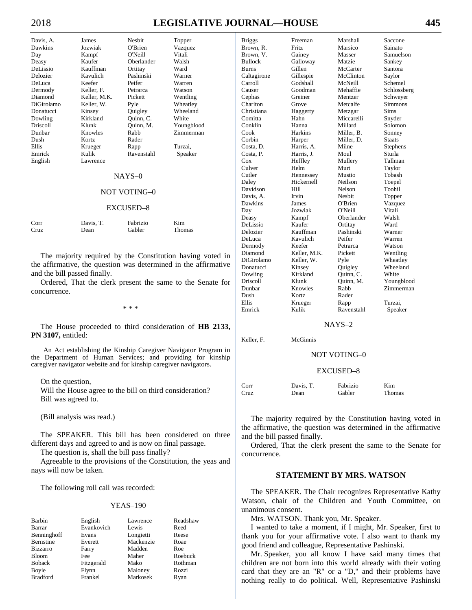# 2018 **LEGISLATIVE JOURNAL—HOUSE 445**

| Davis, A.  |
|------------|
| Dawkins    |
| Day        |
| Deasy      |
| DeLissio   |
| Delozier   |
| DeLuca     |
| Dermody    |
| Diamond    |
| DiGirolamo |
| Donatucci  |
| Dowling    |
| Driscoll   |
| Dunbar     |
| Dush       |
| Ellis      |
| Emrick     |
| English    |

Jozwiak O'Brien Vazquez<br>Kampf O'Neill Vitali O'Neill Kaufer Oberlander Walsh Kauffman Ortitay Ward Kavulich Pashinski Warner Keefer Peifer Warren Keller, F. Petrarca Watson<br>Keller, M.K. Pickett Wentling Keller, M.K. Pickett Keller, W. Pyle Wheatley Kinsey Quigley Wheeland<br>
Kirkland Quinn, C. White Quinn, C. Klunk Quinn, M. Youngblood<br>Knowles Rabb Zimmerman Kortz Rader Ellis Krueger Rapp Turzai, Kulik Ravenstahl Speaker Lawrence

#### NAYS–0

Zimmerman

James Nesbit Topper

#### NOT VOTING–0

#### EXCUSED–8

| Corr | Davis, T. | Fabrizio | Kim           |
|------|-----------|----------|---------------|
| Cruz | Dean      | Gabler   | <b>Thomas</b> |

 The majority required by the Constitution having voted in the affirmative, the question was determined in the affirmative and the bill passed finally.

 Ordered, That the clerk present the same to the Senate for concurrence.

\* \* \*

 The House proceeded to third consideration of **HB 2133, PN 3107,** entitled:

An Act establishing the Kinship Caregiver Navigator Program in the Department of Human Services; and providing for kinship caregiver navigator website and for kinship caregiver navigators.

#### On the question,

 Will the House agree to the bill on third consideration? Bill was agreed to.

(Bill analysis was read.)

 The SPEAKER. This bill has been considered on three different days and agreed to and is now on final passage.

The question is, shall the bill pass finally?

 Agreeable to the provisions of the Constitution, the yeas and nays will now be taken.

The following roll call was recorded:

#### YEAS–190

| Barbin          | English    | Lawrence  | Readshaw |
|-----------------|------------|-----------|----------|
| Barrar          | Evankovich | Lewis     | Reed     |
| Benninghoff     | Evans      | Longietti | Reese    |
| Bernstine       | Everett    | Mackenzie | Roae     |
| <b>Bizzarro</b> | Farry      | Madden    | Roe      |
| <b>Bloom</b>    | Fee        | Maher     | Roebuck  |
| <b>Boback</b>   | Fitzgerald | Mako      | Rothman  |
| Boyle           | Flynn      | Maloney   | Rozzi    |
| <b>Bradford</b> | Frankel    | Markosek  | Ryan     |

| Briggs      | Freeman      | Marshall   | Saccone        |
|-------------|--------------|------------|----------------|
| Brown, R.   | <b>Fritz</b> | Marsico    | Sainato        |
| Brown, V.   | Gainey       | Masser     | Samuelson      |
| Bullock     | Galloway     | Matzie     | Sankey         |
| Burns       | Gillen       | McCarter   | Santora        |
| Caltagirone | Gillespie    | McClinton  | Saylor         |
| Carroll     | Godshall     | McNeill    | Schemel        |
| Causer      | Goodman      | Mehaffie   | Schlossberg    |
| Cephas      | Greiner      | Mentzer    | Schweyer       |
| Charlton    | Grove        | Metcalfe   | <b>Simmons</b> |
| Christiana  | Haggerty     | Metzgar    | Sims           |
| Comitta     | Hahn         | Miccarelli | Snyder         |
| Conklin     | Hanna        | Millard    | Solomon        |
| Cook        | Harkins      | Miller, B. | Sonney         |
| Corbin      | Harper       | Miller, D. | <b>Staats</b>  |
| Costa, D.   | Harris, A.   | Milne      | Stephens       |
| Costa, P.   | Harris, J.   | Moul       | Sturla         |
| $\cos$      | Heffley      | Mullery    | Tallman        |
| Culver      | Helm         | Murt       | Taylor         |
| Cutler      | Hennessey    | Mustio     | Tobash         |
| Daley       | Hickernell   | Neilson    | Toepel         |
| Davidson    | Hill         | Nelson     | Toohil         |
| Davis, A.   | Irvin        | Nesbit     | Topper         |
| Dawkins     | James        | O'Brien    | Vazquez        |
| Day         | Jozwiak      | O'Neill    | Vitali         |
| Deasy       | Kampf        | Oberlander | Walsh          |
| DeLissio    | Kaufer       | Ortitay    | Ward           |
| Delozier    | Kauffman     | Pashinski  | Warner         |
| DeLuca      | Kavulich     | Peifer     | Warren         |
| Dermody     | Keefer       | Petrarca   | Watson         |
| Diamond     | Keller, M.K. | Pickett    | Wentling       |
| DiGirolamo  | Keller, W.   | Pyle       | Wheatley       |
| Donatucci   | Kinsey       | Quigley    | Wheeland       |
| Dowling     | Kirkland     | Quinn, C.  | White          |
| Driscoll    | Klunk        | Quinn, M.  | Youngblood     |
| Dunbar      | Knowles      | Rabb       | Zimmerman      |
| Dush        | Kortz        | Rader      |                |
| Ellis       | Krueger      | Rapp       | Turzai,        |
| Emrick      | Kulik        | Ravenstahl | Speaker        |
|             |              |            |                |

### NAYS–2

Keller, F. McGinnis

#### NOT VOTING–0

#### EXCUSED–8

| Corr | Davis. T. | Fabrizio | Kim    |
|------|-----------|----------|--------|
| Cruz | Dean      | Gabler   | Thomas |

 The majority required by the Constitution having voted in the affirmative, the question was determined in the affirmative and the bill passed finally.

 Ordered, That the clerk present the same to the Senate for concurrence.

### **STATEMENT BY MRS. WATSON**

 The SPEAKER. The Chair recognizes Representative Kathy Watson, chair of the Children and Youth Committee, on unanimous consent.

Mrs. WATSON. Thank you, Mr. Speaker.

 I wanted to take a moment, if I might, Mr. Speaker, first to thank you for your affirmative vote. I also want to thank my good friend and colleague, Representative Pashinski.

 Mr. Speaker, you all know I have said many times that children are not born into this world already with their voting card that they are an "R" or a "D," and their problems have nothing really to do political. Well, Representative Pashinski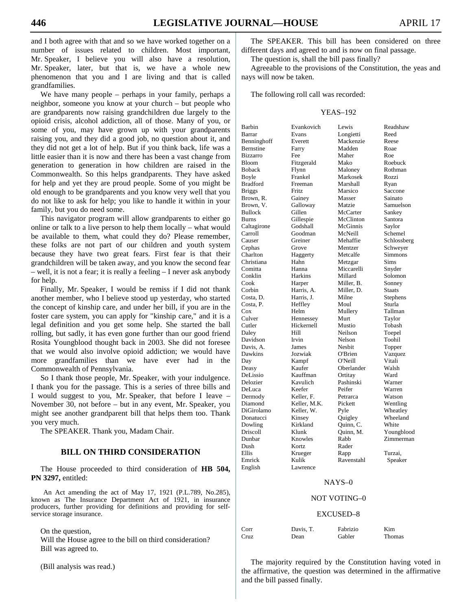and I both agree with that and so we have worked together on a number of issues related to children. Most important, Mr. Speaker, I believe you will also have a resolution, Mr. Speaker, later, but that is, we have a whole new phenomenon that you and I are living and that is called grandfamilies.

 We have many people – perhaps in your family, perhaps a neighbor, someone you know at your church – but people who are grandparents now raising grandchildren due largely to the opioid crisis, alcohol addiction, all of those. Many of you, or some of you, may have grown up with your grandparents raising you, and they did a good job, no question about it, and they did not get a lot of help. But if you think back, life was a little easier than it is now and there has been a vast change from generation to generation in how children are raised in the Commonwealth. So this helps grandparents. They have asked for help and yet they are proud people. Some of you might be old enough to be grandparents and you know very well that you do not like to ask for help; you like to handle it within in your family, but you do need some.

 This navigator program will allow grandparents to either go online or talk to a live person to help them locally – what would be available to them, what could they do? Please remember, these folks are not part of our children and youth system because they have two great fears. First fear is that their grandchildren will be taken away, and you know the second fear – well, it is not a fear; it is really a feeling – I never ask anybody for help.

 Finally, Mr. Speaker, I would be remiss if I did not thank another member, who I believe stood up yesterday, who started the concept of kinship care, and under her bill, if you are in the foster care system, you can apply for "kinship care," and it is a legal definition and you get some help. She started the ball rolling, but sadly, it has even gone further than our good friend Rosita Youngblood thought back in 2003. She did not foresee that we would also involve opioid addiction; we would have more grandfamilies than we have ever had in the Commonwealth of Pennsylvania.

 So I thank those people, Mr. Speaker, with your indulgence. I thank you for the passage. This is a series of three bills and I would suggest to you, Mr. Speaker, that before I leave – November 30, not before – but in any event, Mr. Speaker, you might see another grandparent bill that helps them too. Thank you very much.

The SPEAKER. Thank you, Madam Chair.

### **BILL ON THIRD CONSIDERATION**

 The House proceeded to third consideration of **HB 504, PN 3297,** entitled:

An Act amending the act of May 17, 1921 (P.L.789, No.285), known as The Insurance Department Act of 1921, in insurance producers, further providing for definitions and providing for selfservice storage insurance.

 On the question, Will the House agree to the bill on third consideration? Bill was agreed to.

(Bill analysis was read.)

 The SPEAKER. This bill has been considered on three different days and agreed to and is now on final passage.

The question is, shall the bill pass finally?

 Agreeable to the provisions of the Constitution, the yeas and nays will now be taken.

The following roll call was recorded:

### YEAS–192

| Barbin          | Evankovich   | Lewis      | Readshaw    |
|-----------------|--------------|------------|-------------|
| Barrar          | Evans        | Longietti  | Reed        |
| Benninghoff     | Everett      | Mackenzie  | Reese       |
| Bernstine       | Farry        | Madden     | Roae        |
| <b>Bizzarro</b> | Fee          | Maher      | Roe         |
| Bloom           | Fitzgerald   | Mako       | Roebuck     |
| Boback          | Flynn        | Maloney    | Rothman     |
| Boyle           | Frankel      | Markosek   | Rozzi       |
| Bradford        | Freeman      | Marshall   | Ryan        |
| <b>Briggs</b>   | Fritz        | Marsico    | Saccone     |
| Brown, R.       | Gainey       | Masser     | Sainato     |
| Brown, V.       | Galloway     | Matzie     | Samuelson   |
| Bullock         | Gillen       | McCarter   | Sankey      |
| Burns           | Gillespie    | McClinton  | Santora     |
| Caltagirone     | Godshall     | McGinnis   | Saylor      |
| Carroll         | Goodman      | McNeill    | Schemel     |
| Causer          | Greiner      | Mehaffie   | Schlossberg |
| Cephas          | Grove        | Mentzer    | Schweyer    |
| Charlton        | Haggerty     | Metcalfe   | Simmons     |
| Christiana      | Hahn         | Metzgar    | Sims        |
| Comitta         | Hanna        | Miccarelli | Snyder      |
| Conklin         | Harkins      | Millard    | Solomon     |
| Cook            | Harper       | Miller, B. | Sonney      |
| Corbin          | Harris, A.   | Miller, D. | Staats      |
| Costa, D.       | Harris, J.   | Milne      | Stephens    |
| Costa, P.       | Heffley      | Moul       | Sturla      |
| Cox             | Helm         | Mullery    | Tallman     |
| Culver          | Hennessey    | Murt       | Taylor      |
| Cutler          | Hickernell   | Mustio     | Tobash      |
| Daley           | Hill         | Neilson    | Toepel      |
| Davidson        | Irvin        | Nelson     | Toohil      |
| Davis, A.       | James        | Nesbit     | Topper      |
| Dawkins         | Jozwiak      | O'Brien    | Vazquez     |
| Day             | Kampf        | O'Neill    | Vitali      |
| Deasy           | Kaufer       | Oberlander | Walsh       |
| DeLissio        | Kauffman     | Ortitay    | Ward        |
| Delozier        | Kavulich     | Pashinski  | Warner      |
| DeLuca          | Keefer       | Peifer     | Warren      |
| Dermody         | Keller, F.   | Petrarca   | Watson      |
| Diamond         | Keller, M.K. | Pickett    | Wentling    |
| DiGirolamo      | Keller, W.   | Pyle       | Wheatley    |
| Donatucci       | Kinsey       | Quigley    | Wheeland    |
| Dowling         | Kirkland     | Quinn, C.  | White       |
| Driscoll        | Klunk        | Quinn, M.  | Youngblood  |
| Dunbar          | Knowles      | Rabb       | Zimmerman   |
| Dush            | Kortz        | Rader      |             |
| Ellis           | Krueger      | Rapp       | Turzai.     |
| Emrick          | Kulik        | Ravenstahl | Speaker     |
| English         | Lawrence     |            |             |

### NAYS–0

#### NOT VOTING–0

#### EXCUSED–8

| Corr | Davis, T. | Fabrizio | Kim    |
|------|-----------|----------|--------|
| Cruz | Dean      | Gabler   | Thomas |

 The majority required by the Constitution having voted in the affirmative, the question was determined in the affirmative and the bill passed finally.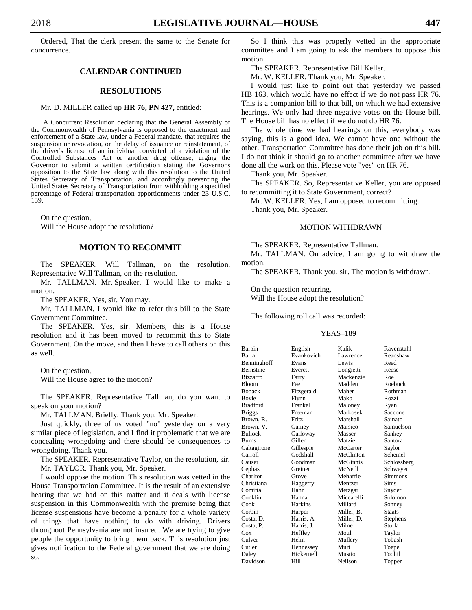Ordered, That the clerk present the same to the Senate for concurrence.

### **CALENDAR CONTINUED**

### **RESOLUTIONS**

#### Mr. D. MILLER called up **HR 76, PN 427,** entitled:

A Concurrent Resolution declaring that the General Assembly of the Commonwealth of Pennsylvania is opposed to the enactment and enforcement of a State law, under a Federal mandate, that requires the suspension or revocation, or the delay of issuance or reinstatement, of the driver's license of an individual convicted of a violation of the Controlled Substances Act or another drug offense; urging the Governor to submit a written certification stating the Governor's opposition to the State law along with this resolution to the United States Secretary of Transportation; and accordingly preventing the United States Secretary of Transportation from withholding a specified percentage of Federal transportation apportionments under 23 U.S.C. 159.

 On the question, Will the House adopt the resolution?

### **MOTION TO RECOMMIT**

 The SPEAKER. Will Tallman, on the resolution. Representative Will Tallman, on the resolution.

 Mr. TALLMAN. Mr. Speaker, I would like to make a motion.

The SPEAKER. Yes, sir. You may.

 Mr. TALLMAN. I would like to refer this bill to the State Government Committee.

 The SPEAKER. Yes, sir. Members, this is a House resolution and it has been moved to recommit this to State Government. On the move, and then I have to call others on this as well.

 On the question, Will the House agree to the motion?

 The SPEAKER. Representative Tallman, do you want to speak on your motion?

Mr. TALLMAN. Briefly. Thank you, Mr. Speaker.

 Just quickly, three of us voted "no" yesterday on a very similar piece of legislation, and I find it problematic that we are concealing wrongdoing and there should be consequences to wrongdoing. Thank you.

 The SPEAKER. Representative Taylor, on the resolution, sir. Mr. TAYLOR. Thank you, Mr. Speaker.

 I would oppose the motion. This resolution was vetted in the House Transportation Committee. It is the result of an extensive hearing that we had on this matter and it deals with license suspension in this Commonwealth with the premise being that license suspensions have become a penalty for a whole variety of things that have nothing to do with driving. Drivers throughout Pennsylvania are not insured. We are trying to give people the opportunity to bring them back. This resolution just gives notification to the Federal government that we are doing so.

 So I think this was properly vetted in the appropriate committee and I am going to ask the members to oppose this motion.

The SPEAKER. Representative Bill Keller.

Mr. W. KELLER. Thank you, Mr. Speaker.

 I would just like to point out that yesterday we passed HB 163, which would have no effect if we do not pass HR 76. This is a companion bill to that bill, on which we had extensive hearings. We only had three negative votes on the House bill. The House bill has no effect if we do not do HR 76.

 The whole time we had hearings on this, everybody was saying, this is a good idea. We cannot have one without the other. Transportation Committee has done their job on this bill. I do not think it should go to another committee after we have done all the work on this. Please vote "yes" on HR 76.

Thank you, Mr. Speaker.

 The SPEAKER. So, Representative Keller, you are opposed to recommitting it to State Government, correct?

 Mr. W. KELLER. Yes, I am opposed to recommitting. Thank you, Mr. Speaker.

#### MOTION WITHDRAWN

The SPEAKER. Representative Tallman.

 Mr. TALLMAN. On advice, I am going to withdraw the motion.

The SPEAKER. Thank you, sir. The motion is withdrawn.

 On the question recurring, Will the House adopt the resolution?

The following roll call was recorded:

#### YEAS–189

| <b>Barbin</b>    | English      | Kulik      | Ravenstahl    |
|------------------|--------------|------------|---------------|
| Barrar           | Evankovich   | Lawrence   | Readshaw      |
| Benninghoff      | Evans        | Lewis      | Reed          |
| <b>Bernstine</b> | Everett      | Longietti  | Reese         |
| <b>Bizzarro</b>  | Farry        | Mackenzie  | Roe           |
| <b>Bloom</b>     | Fee          | Madden     | Roebuck       |
| <b>Boback</b>    | Fitzgerald   | Maher      | Rothman       |
| Boyle            | Flynn        | Mako       | Rozzi         |
| <b>Bradford</b>  | Frankel      | Maloney    | Ryan          |
| <b>Briggs</b>    | Freeman      | Markosek   | Saccone       |
| Brown, R.        | <b>Fritz</b> | Marshall   | Sainato       |
| Brown, V.        | Gainey       | Marsico    | Samuelson     |
| <b>Bullock</b>   | Galloway     | Masser     | Sankey        |
| <b>Burns</b>     | Gillen       | Matzie     | Santora       |
| Caltagirone      | Gillespie    | McCarter   | Saylor        |
| Carroll          | Godshall     | McClinton  | Schemel       |
| Causer           | Goodman      | McGinnis   | Schlossberg   |
| Cephas           | Greiner      | McNeill    | Schweyer      |
| Charlton         | Grove        | Mehaffie   | Simmons       |
| Christiana       | Haggerty     | Mentzer    | Sims          |
| Comitta          | Hahn         | Metzgar    | Snyder        |
| Conklin          | Hanna        | Miccarelli | Solomon       |
| Cook             | Harkins      | Millard    | Sonney        |
| Corbin           | Harper       | Miller, B. | <b>Staats</b> |
| Costa, D.        | Harris, A.   | Miller, D. | Stephens      |
| Costa, P.        | Harris, J.   | Milne      | Sturla        |
| Cox              | Heffley      | Moul       | Taylor        |
| Culver           | Helm         | Mullery    | Tobash        |
| Cutler           | Hennessey    | Murt       | Toepel        |
| Daley            | Hickernell   | Mustio     | Toohil        |
| Davidson         | Hill         | Neilson    | Topper        |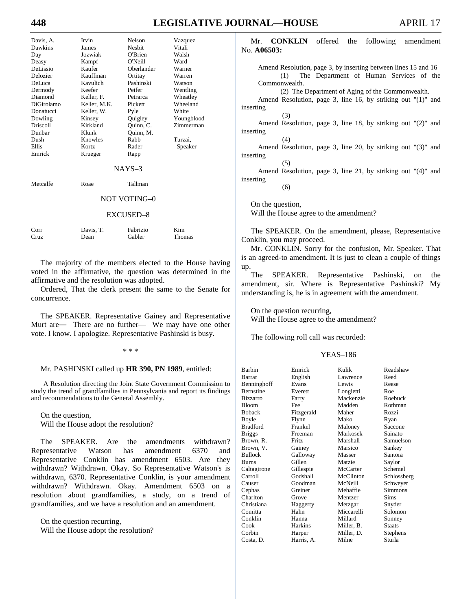# **448 LEGISLATIVE JOURNAL—HOUSE** APRIL 17

| Davis, A.  | Irvin        | Nelson        | Vazquez    |
|------------|--------------|---------------|------------|
| Dawkins    | James        | <b>Nesbit</b> | Vitali     |
| Day        | Jozwiak      | O'Brien       | Walsh      |
| Deasy      | Kampf        | O'Neill       | Ward       |
| DeLissio   | Kaufer       | Oberlander    | Warner     |
| Delozier   | Kauffman     | Ortitay       | Warren     |
| DeLuca     | Kavulich     | Pashinski     | Watson     |
| Dermody    | Keefer       | Peifer        | Wentling   |
| Diamond    | Keller, F.   | Petrarca      | Wheatley   |
| DiGirolamo | Keller, M.K. | Pickett       | Wheeland   |
| Donatucci  | Keller, W.   | Pyle          | White      |
| Dowling    | Kinsey       | Quigley       | Youngblood |
| Driscoll   | Kirkland     | Quinn, C.     | Zimmerman  |
| Dunbar     | Klunk        | Quinn, M.     |            |
| Dush       | Knowles      | Rabb          | Turzai,    |
| Ellis      | Kortz        | Rader         | Speaker    |
| Emrick     | Krueger      | Rapp          |            |
|            |              | $NAYS-3$      |            |
| Metcalfe   | Roae         | Tallman       |            |
|            |              | NOT VOTING-0  |            |
|            |              | EXCUSED-8     |            |
|            |              |               |            |
| Corr       | Davis. T.    | Fabrizio      | Kim        |

 The majority of the members elected to the House having voted in the affirmative, the question was determined in the affirmative and the resolution was adopted.

Cruz Dean Gabler Thomas

 Ordered, That the clerk present the same to the Senate for concurrence.

 The SPEAKER. Representative Gainey and Representative Murt are― There are no further— We may have one other vote. I know. I apologize. Representative Pashinski is busy.

\* \* \*

### Mr. PASHINSKI called up **HR 390, PN 1989**, entitled:

A Resolution directing the Joint State Government Commission to study the trend of grandfamilies in Pennsylvania and report its findings and recommendations to the General Assembly.

On the question,

Will the House adopt the resolution?

 The SPEAKER. Are the amendments withdrawn? Representative Watson has amendment 6370 and Representative Conklin has amendment 6503. Are they withdrawn? Withdrawn. Okay. So Representative Watson's is withdrawn, 6370. Representative Conklin, is your amendment withdrawn? Withdrawn. Okay. Amendment 6503 on a resolution about grandfamilies, a study, on a trend of grandfamilies, and we have a resolution and an amendment.

 On the question recurring, Will the House adopt the resolution?

 Mr. **CONKLIN** offered the following amendment No. **A06503:**

Amend Resolution, page 3, by inserting between lines 15 and 16 (1) The Department of Human Services of the Commonwealth.

(2) The Department of Aging of the Commonwealth.

Amend Resolution, page 3, line 16, by striking out "(1)" and inserting

 (3) Amend Resolution, page 3, line 18, by striking out "(2)" and inserting

Amend Resolution, page 3, line 20, by striking out "(3)" and inserting

(5)

(4)

Amend Resolution, page 3, line 21, by striking out "(4)" and inserting (6)

 On the question, Will the House agree to the amendment?

 The SPEAKER. On the amendment, please, Representative Conklin, you may proceed.

 Mr. CONKLIN. Sorry for the confusion, Mr. Speaker. That is an agreed-to amendment. It is just to clean a couple of things up.

 The SPEAKER. Representative Pashinski, on the amendment, sir. Where is Representative Pashinski? My understanding is, he is in agreement with the amendment.

 On the question recurring, Will the House agree to the amendment?

The following roll call was recorded:

#### YEAS–186

| Barbin           | Emrick     | Kulik      | Readshaw      |
|------------------|------------|------------|---------------|
| Barrar           | English    | Lawrence   | Reed          |
| Benninghoff      | Evans      | Lewis      | Reese         |
| <b>Bernstine</b> | Everett    | Longietti  | Roe           |
| Bizzarro         | Farry      | Mackenzie  | Roebuck       |
| <b>Bloom</b>     | Fee        | Madden     | Rothman       |
| <b>Boback</b>    | Fitzgerald | Maher      | Rozzi         |
| Boyle            | Flynn      | Mako       | Ryan          |
| <b>Bradford</b>  | Frankel    | Maloney    | Saccone       |
| <b>Briggs</b>    | Freeman    | Markosek   | Sainato       |
| Brown, R.        | Fritz      | Marshall   | Samuelson     |
| Brown, V.        | Gainey     | Marsico    | Sankey        |
| <b>Bullock</b>   | Galloway   | Masser     | Santora       |
| <b>Burns</b>     | Gillen     | Matzie     | Saylor        |
| Caltagirone      | Gillespie  | McCarter   | Schemel       |
| Carroll          | Godshall   | McClinton  | Schlossberg   |
| Causer           | Goodman    | McNeill    | Schweyer      |
| Cephas           | Greiner    | Mehaffie   | Simmons       |
| Charlton         | Grove      | Mentzer    | Sims          |
| Christiana       | Haggerty   | Metzgar    | Snyder        |
| Comitta          | Hahn       | Miccarelli | Solomon       |
| Conklin          | Hanna      | Millard    | Sonney        |
| Cook             | Harkins    | Miller, B. | <b>Staats</b> |
| Corbin           | Harper     | Miller, D. | Stephens      |
| Costa, D.        | Harris, A. | Milne      | Sturla        |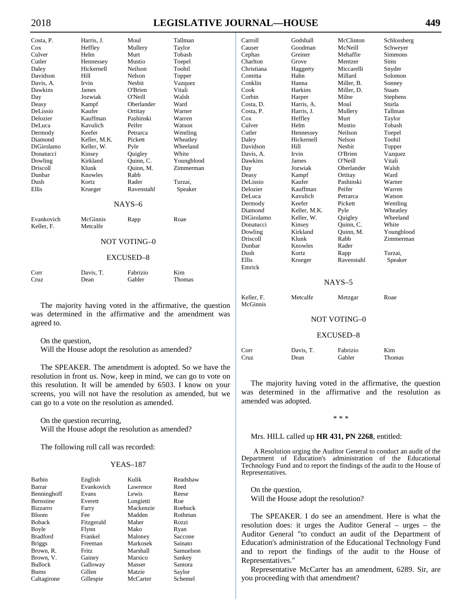# 2018 **LEGISLATIVE JOURNAL—HOUSE 449**

| Costa, P.                | Harris, J.           | Moul       | Tallman    |  |
|--------------------------|----------------------|------------|------------|--|
| $\cos$                   | Heffley              | Mullery    | Taylor     |  |
| Culver                   | Helm                 | Murt       | Tobash     |  |
| Cutler                   | Hennessey            | Mustio     | Toepel     |  |
| Daley                    | Hickernell           | Neilson    | Toohil     |  |
| Davidson                 | Hill                 | Nelson     | Topper     |  |
| Davis. A.                | Irvin                | Neshit     | Vazquez    |  |
| Dawkins                  | James                | O'Brien    | Vitali     |  |
| Day                      | Jozwiak              | O'Neill    | Walsh      |  |
| Deasy                    | Kampf                | Oberlander | Ward       |  |
| DeLissio                 | Kaufer               | Ortitay    | Warner     |  |
| Delozier                 | Kauffman             | Pashinski  | Warren     |  |
| DeLuca                   | Kavulich             | Peifer     | Watson     |  |
| Dermody                  | Keefer               | Petrarca   | Wentling   |  |
| Diamond                  | Keller, M.K.         | Pickett    | Wheatley   |  |
| DiGirolamo               | Keller, W.           | Pyle       | Wheeland   |  |
| Donatucci                | Kinsey               | Quigley    | White      |  |
| Dowling                  | Kirkland             | Quinn, C.  | Youngblood |  |
| <b>Driscoll</b>          | Klunk                | Ouinn, M.  | Zimmerman  |  |
| Dunbar                   | Knowles              | Rabb       |            |  |
| Dush                     | Kortz                | Rader      | Turzai,    |  |
| Ellis                    | Krueger              | Ravenstahl | Speaker    |  |
|                          |                      | $NAYS-6$   |            |  |
| Evankovich<br>Keller, F. | McGinnis<br>Metcalfe | Rapp       | Roae       |  |
| NOT VOTING-0             |                      |            |            |  |
|                          |                      | EXCUSED-8  |            |  |
| Corr                     | Davis, T.            | Fabrizio   | Kim        |  |
| Cruz                     | Dean                 | Gabler     | Thomas     |  |

 The majority having voted in the affirmative, the question was determined in the affirmative and the amendment was agreed to.

 On the question, Will the House adopt the resolution as amended?

 The SPEAKER. The amendment is adopted. So we have the resolution in front us. Now, keep in mind, we can go to vote on this resolution. It will be amended by 6503. I know on your screens, you will not have the resolution as amended, but we can go to a vote on the resolution as amended.

 On the question recurring, Will the House adopt the resolution as amended?

The following roll call was recorded:

### YEAS–187

| Barbin           | English    | Kulik     | Readshaw  |
|------------------|------------|-----------|-----------|
| Barrar           | Evankovich | Lawrence  | Reed      |
| Benninghoff      | Evans      | Lewis     | Reese     |
| <b>Bernstine</b> | Everett    | Longietti | Roe       |
| <b>Bizzarro</b>  | Farry      | Mackenzie | Roebuck   |
| <b>Bloom</b>     | Fee        | Madden    | Rothman   |
| <b>Boback</b>    | Fitzgerald | Maher     | Rozzi     |
| Boyle            | Flynn      | Mako      | Ryan      |
| <b>Bradford</b>  | Frankel    | Maloney   | Saccone   |
| <b>Briggs</b>    | Freeman    | Markosek  | Sainato   |
| Brown, R.        | Fritz      | Marshall  | Samuelson |
| Brown, V.        | Gainey     | Marsico   | Sankey    |
| <b>Bullock</b>   | Galloway   | Masser    | Santora   |
| Burns            | Gillen     | Matzie    | Saylor    |
| Caltagirone      | Gillespie  | McCarter  | Schemel   |

| Carroll                | Godshall     | McClinton        | Schlossberg |
|------------------------|--------------|------------------|-------------|
| Causer                 | Goodman      | McNeill          | Schweyer    |
| Cephas                 | Greiner      | Mehaffie         | Simmons     |
| Charlton               | Grove        | Mentzer          | Sims        |
| Christiana             | Haggerty     | Miccarelli       | Snyder      |
| Comitta                | Hahn         | Millard          | Solomon     |
| Conklin                | Hanna        | Miller, B.       | Sonney      |
| Cook                   | Harkins      | Miller, D.       | Staats      |
| Corbin                 | Harper       | Milne            | Stephens    |
| Costa, D.              | Harris, A.   | Moul             | Sturla      |
| Costa, P.              | Harris. J.   | Mullery          | Tallman     |
| Cox                    | Heffley      | Murt             | Taylor      |
| Culver                 | Helm         | Mustio           | Tobash      |
| Cutler                 | Hennessey    | Neilson          | Toepel      |
| Daley                  | Hickernell   | Nelson           | Toohil      |
| Davidson               | Hill         | <b>Nesbit</b>    | Topper      |
| Davis, A.              | Irvin        | O'Brien          | Vazquez     |
| Dawkins                | James        | O'Neill          | Vitali      |
| Day                    | Jozwiak      | Oberlander       | Walsh       |
| Deasy                  | Kampf        | Ortitay          | Ward        |
| DeLissio               | Kaufer       | Pashinski        | Warner      |
| Delozier               | Kauffman     | Peifer           | Warren      |
| DeLuca                 | Kavulich     | Petrarca         | Watson      |
| Dermody                | Keefer       | Pickett          | Wentling    |
| Diamond                | Keller, M.K. | Pyle             | Wheatley    |
| DiGirolamo             | Keller, W.   | Quigley          | Wheeland    |
| Donatucci              | Kinsey       | Quinn, C.        | White       |
| Dowling                | Kirkland     | Ouinn, M.        | Youngblood  |
| Driscoll               | Klunk        | Rabb             | Zimmerman   |
| Dunbar                 | Knowles      | Rader            |             |
| Dush                   | Kortz        | Rapp             | Turzai,     |
| Ellis                  | Krueger      | Ravenstahl       | Speaker     |
| Emrick                 |              |                  |             |
|                        |              | $NAYS-5$         |             |
| Keller, F.<br>McGinnis | Metcalfe     | Metzgar          | Roae        |
|                        |              | NOT VOTING-0     |             |
|                        |              | <b>EXCUSED-8</b> |             |
|                        |              |                  |             |

| Corr | Davis. T. | Fabrizio | Kim           |
|------|-----------|----------|---------------|
| Cruz | Dean      | Gabler   | <b>Thomas</b> |

 The majority having voted in the affirmative, the question was determined in the affirmative and the resolution as amended was adopted.

\* \* \*

Mrs. HILL called up **HR 431, PN 2268**, entitled:

A Resolution urging the Auditor General to conduct an audit of the Department of Education's administration of the Educational Technology Fund and to report the findings of the audit to the House of Representatives.

 On the question, Will the House adopt the resolution?

 The SPEAKER. I do see an amendment. Here is what the resolution does: it urges the Auditor General – urges – the Auditor General "to conduct an audit of the Department of Education's administration of the Educational Technology Fund and to report the findings of the audit to the House of Representatives."

 Representative McCarter has an amendment, 6289. Sir, are you proceeding with that amendment?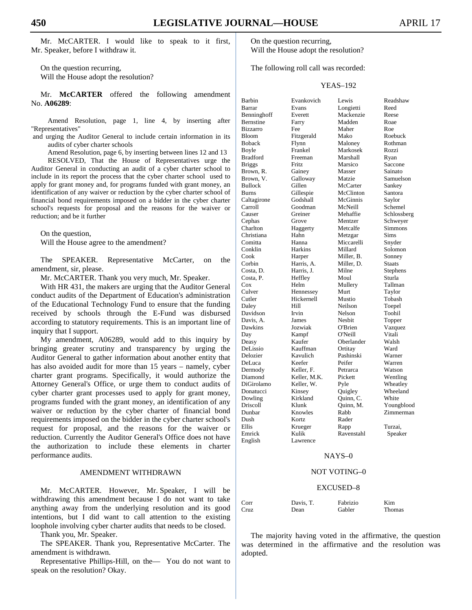Mr. McCARTER. I would like to speak to it first, Mr. Speaker, before I withdraw it.

 On the question recurring, Will the House adopt the resolution?

 Mr. **McCARTER** offered the following amendment No. **A06289**:

Amend Resolution, page 1, line 4, by inserting after "Representatives"

 and urging the Auditor General to include certain information in its audits of cyber charter schools

Amend Resolution, page 6, by inserting between lines 12 and 13

RESOLVED, That the House of Representatives urge the Auditor General in conducting an audit of a cyber charter school to include in its report the process that the cyber charter school used to apply for grant money and, for programs funded with grant money, an identification of any waiver or reduction by the cyber charter school of financial bond requirements imposed on a bidder in the cyber charter school's requests for proposal and the reasons for the waiver or reduction; and be it further

On the question,

Will the House agree to the amendment?

 The SPEAKER. Representative McCarter, on the amendment, sir, please.

Mr. McCARTER. Thank you very much, Mr. Speaker.

 With HR 431, the makers are urging that the Auditor General conduct audits of the Department of Education's administration of the Educational Technology Fund to ensure that the funding received by schools through the E-Fund was disbursed according to statutory requirements. This is an important line of inquiry that I support.

 My amendment, A06289, would add to this inquiry by bringing greater scrutiny and transparency by urging the Auditor General to gather information about another entity that has also avoided audit for more than 15 years – namely, cyber charter grant programs. Specifically, it would authorize the Attorney General's Office, or urge them to conduct audits of cyber charter grant processes used to apply for grant money, programs funded with the grant money, an identification of any waiver or reduction by the cyber charter of financial bond requirements imposed on the bidder in the cyber charter school's request for proposal, and the reasons for the waiver or reduction. Currently the Auditor General's Office does not have the authorization to include these elements in charter performance audits.

#### AMENDMENT WITHDRAWN

 Mr. McCARTER. However, Mr. Speaker, I will be withdrawing this amendment because I do not want to take anything away from the underlying resolution and its good intentions, but I did want to call attention to the existing loophole involving cyber charter audits that needs to be closed.

Thank you, Mr. Speaker.

 The SPEAKER. Thank you, Representative McCarter. The amendment is withdrawn.

 Representative Phillips-Hill, on the— You do not want to speak on the resolution? Okay.

 On the question recurring, Will the House adopt the resolution?

The following roll call was recorded:

### YEAS–192

| Barbin        | Evankovich   | Lewis              | Readshaw    |
|---------------|--------------|--------------------|-------------|
| Barrar        | Evans        | Longietti          | Reed        |
| Benninghoff   | Everett      | Mackenzie          | Reese       |
| Bernstine     | Farry        | Madden             | Roae        |
| Bizzarro      | Fee          | Maher              | Roe         |
| Bloom         | Fitzgerald   | Mako               | Roebuck     |
| Boback        | Flynn        | Maloney            | Rothman     |
| Boyle         | Frankel      | Markosek           | Rozzi       |
| Bradford      | Freeman      | Marshall           | Ryan        |
| <b>Briggs</b> | Fritz        | Marsico            | Saccone     |
| Brown, R.     | Gainey       | Masser             | Sainato     |
| Brown, V.     | Galloway     | Matzie             | Samuelson   |
| Bullock       | Gillen       | McCarter           | Sankey      |
| Burns         | Gillespie    | McClinton          | Santora     |
| Caltagirone   | Godshall     | McGinnis           | Saylor      |
| Carroll       | Goodman      | McNeill            | Schemel     |
| Causer        | Greiner      | Mehaffie           | Schlossberg |
| Cephas        | Grove        | Mentzer            | Schweyer    |
| Charlton      | Haggerty     | Metcalfe           | Simmons     |
| Christiana    | Hahn         | Metzgar            | Sims        |
| Comitta       | Hanna        | Miccarelli         | Snyder      |
| Conklin       | Harkins      | Millard            | Solomon     |
| Cook          | Harper       | Miller, B.         | Sonney      |
| Corbin        | Harris, A.   | Miller, D.         | Staats      |
| Costa, D.     | Harris, J.   | Milne              | Stephens    |
| Costa, P.     | Heffley      | Moul               | Sturla      |
| Cox           | Helm         | Mullery            | Tallman     |
| Culver        | Hennessey    | Murt               | Taylor      |
| Cutler        | Hickernell   | Mustio             | Tobash      |
| Daley         | Hill         | Neilson            | Toepel      |
| Davidson      | Irvin        | Nelson             | Toohil      |
| Davis, A.     | James        | Nesbit             | Topper      |
| Dawkins       | Jozwiak      | O'Brien            | Vazquez     |
| Day           | Kampf        | O'Neill            | Vitali      |
| Deasy         | Kaufer       | Oberlander         | Walsh       |
| DeLissio      | Kauffman     | Ortitay            | Ward        |
| Delozier      | Kavulich     | Pashinski          | Warner      |
| DeLuca        | Keefer       | Peifer             | Warren      |
| Dermody       | Keller, F.   | Petrarca           | Watson      |
| Diamond       | Keller, M.K. | Pickett            | Wentling    |
| DiGirolamo    | Keller, W.   | Pyle               | Wheatley    |
| Donatucci     | Kinsey       | Quigley            | Wheeland    |
| Dowling       | Kirkland     | Quinn, C.          | White       |
| Driscoll      | Klunk        | Quinn, M.          | Youngblood  |
| Dunbar        | Knowles      | Rabb               | Zimmerman   |
| Dush          | Kortz        | Rader              |             |
| Ellis         | Krueger      |                    | Turzai,     |
| Emrick        | Kulik        | Rapp<br>Ravenstahl | Speaker     |
| English       | Lawrence     |                    |             |
|               |              |                    |             |

#### NAYS–0

#### NOT VOTING–0

#### EXCUSED–8

| Corr | Davis. T. | Fabrizio | Kim           |
|------|-----------|----------|---------------|
| Cruz | Dean      | Gabler   | <b>Thomas</b> |

 The majority having voted in the affirmative, the question was determined in the affirmative and the resolution was adopted.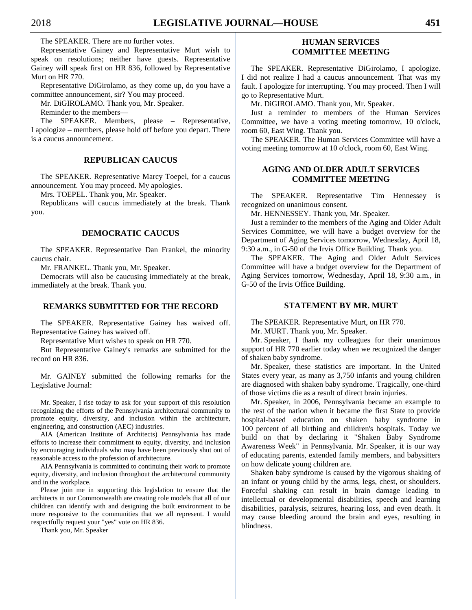The SPEAKER. There are no further votes.

 Representative Gainey and Representative Murt wish to speak on resolutions; neither have guests. Representative Gainey will speak first on HR 836, followed by Representative Murt on HR 770.

 Representative DiGirolamo, as they come up, do you have a committee announcement, sir? You may proceed.

Mr. DiGIROLAMO. Thank you, Mr. Speaker.

Reminder to the members—

 The SPEAKER. Members, please – Representative, I apologize – members, please hold off before you depart. There is a caucus announcement.

### **REPUBLICAN CAUCUS**

 The SPEAKER. Representative Marcy Toepel, for a caucus announcement. You may proceed. My apologies.

Mrs. TOEPEL. Thank you, Mr. Speaker.

 Republicans will caucus immediately at the break. Thank you.

### **DEMOCRATIC CAUCUS**

 The SPEAKER. Representative Dan Frankel, the minority caucus chair.

Mr. FRANKEL. Thank you, Mr. Speaker.

 Democrats will also be caucusing immediately at the break, immediately at the break. Thank you.

### **REMARKS SUBMITTED FOR THE RECORD**

 The SPEAKER. Representative Gainey has waived off. Representative Gainey has waived off.

Representative Murt wishes to speak on HR 770.

 But Representative Gainey's remarks are submitted for the record on HR 836.

 Mr. GAINEY submitted the following remarks for the Legislative Journal:

 Mr. Speaker, I rise today to ask for your support of this resolution recognizing the efforts of the Pennsylvania architectural community to promote equity, diversity, and inclusion within the architecture, engineering, and construction (AEC) industries.

 AIA (American Institute of Architects) Pennsylvania has made efforts to increase their commitment to equity, diversity, and inclusion by encouraging individuals who may have been previously shut out of reasonable access to the profession of architecture.

 AIA Pennsylvania is committed to continuing their work to promote equity, diversity, and inclusion throughout the architectural community and in the workplace.

 Please join me in supporting this legislation to ensure that the architects in our Commonwealth are creating role models that all of our children can identify with and designing the built environment to be more responsive to the communities that we all represent. I would respectfully request your "yes" vote on HR 836.

Thank you, Mr. Speaker

### **HUMAN SERVICES COMMITTEE MEETING**

 The SPEAKER. Representative DiGirolamo, I apologize. I did not realize I had a caucus announcement. That was my fault. I apologize for interrupting. You may proceed. Then I will go to Representative Murt.

Mr. DiGIROLAMO. Thank you, Mr. Speaker.

 Just a reminder to members of the Human Services Committee, we have a voting meeting tomorrow, 10 o'clock, room 60, East Wing. Thank you.

 The SPEAKER. The Human Services Committee will have a voting meeting tomorrow at 10 o'clock, room 60, East Wing.

### **AGING AND OLDER ADULT SERVICES COMMITTEE MEETING**

 The SPEAKER. Representative Tim Hennessey is recognized on unanimous consent.

Mr. HENNESSEY. Thank you, Mr. Speaker.

 Just a reminder to the members of the Aging and Older Adult Services Committee, we will have a budget overview for the Department of Aging Services tomorrow, Wednesday, April 18, 9:30 a.m., in G-50 of the Irvis Office Building. Thank you.

 The SPEAKER. The Aging and Older Adult Services Committee will have a budget overview for the Department of Aging Services tomorrow, Wednesday, April 18, 9:30 a.m., in G-50 of the Irvis Office Building.

### **STATEMENT BY MR. MURT**

The SPEAKER. Representative Murt, on HR 770.

Mr. MURT. Thank you, Mr. Speaker.

 Mr. Speaker, I thank my colleagues for their unanimous support of HR 770 earlier today when we recognized the danger of shaken baby syndrome.

 Mr. Speaker, these statistics are important. In the United States every year, as many as 3,750 infants and young children are diagnosed with shaken baby syndrome. Tragically, one-third of those victims die as a result of direct brain injuries.

 Mr. Speaker, in 2006, Pennsylvania became an example to the rest of the nation when it became the first State to provide hospital-based education on shaken baby syndrome in 100 percent of all birthing and children's hospitals. Today we build on that by declaring it "Shaken Baby Syndrome Awareness Week" in Pennsylvania. Mr. Speaker, it is our way of educating parents, extended family members, and babysitters on how delicate young children are.

 Shaken baby syndrome is caused by the vigorous shaking of an infant or young child by the arms, legs, chest, or shoulders. Forceful shaking can result in brain damage leading to intellectual or developmental disabilities, speech and learning disabilities, paralysis, seizures, hearing loss, and even death. It may cause bleeding around the brain and eyes, resulting in blindness.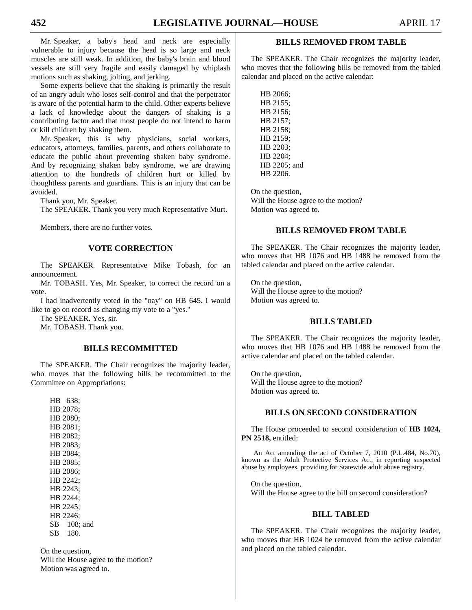Mr. Speaker, a baby's head and neck are especially vulnerable to injury because the head is so large and neck muscles are still weak. In addition, the baby's brain and blood vessels are still very fragile and easily damaged by whiplash motions such as shaking, jolting, and jerking.

 Some experts believe that the shaking is primarily the result of an angry adult who loses self-control and that the perpetrator is aware of the potential harm to the child. Other experts believe a lack of knowledge about the dangers of shaking is a contributing factor and that most people do not intend to harm or kill children by shaking them.

 Mr. Speaker, this is why physicians, social workers, educators, attorneys, families, parents, and others collaborate to educate the public about preventing shaken baby syndrome. And by recognizing shaken baby syndrome, we are drawing attention to the hundreds of children hurt or killed by thoughtless parents and guardians. This is an injury that can be avoided.

Thank you, Mr. Speaker.

The SPEAKER. Thank you very much Representative Murt.

Members, there are no further votes.

### **VOTE CORRECTION**

 The SPEAKER. Representative Mike Tobash, for an announcement.

 Mr. TOBASH. Yes, Mr. Speaker, to correct the record on a vote.

 I had inadvertently voted in the "nay" on HB 645. I would like to go on record as changing my vote to a "yes."

The SPEAKER. Yes, sir.

Mr. TOBASH. Thank you.

### **BILLS RECOMMITTED**

 The SPEAKER. The Chair recognizes the majority leader, who moves that the following bills be recommitted to the Committee on Appropriations:

 HB 638; HB 2078; HB 2080; HB 2081; HB 2082; HB 2083; HB 2084; HB 2085; HB 2086; HB 2242; HB 2243; HB 2244; HB 2245; HB 2246; SB 108; and SB 180.

 On the question, Will the House agree to the motion? Motion was agreed to.

### **BILLS REMOVED FROM TABLE**

 The SPEAKER. The Chair recognizes the majority leader, who moves that the following bills be removed from the tabled calendar and placed on the active calendar:

 HB 2066; HB 2155; HB 2156; HB 2157; HB 2158; HB 2159; HB 2203; HB 2204; HB 2205; and HB 2206.

 On the question, Will the House agree to the motion? Motion was agreed to.

### **BILLS REMOVED FROM TABLE**

 The SPEAKER. The Chair recognizes the majority leader, who moves that HB 1076 and HB 1488 be removed from the tabled calendar and placed on the active calendar.

 On the question, Will the House agree to the motion? Motion was agreed to.

### **BILLS TABLED**

 The SPEAKER. The Chair recognizes the majority leader, who moves that HB 1076 and HB 1488 be removed from the active calendar and placed on the tabled calendar.

 On the question, Will the House agree to the motion? Motion was agreed to.

#### **BILLS ON SECOND CONSIDERATION**

 The House proceeded to second consideration of **HB 1024, PN 2518,** entitled:

An Act amending the act of October 7, 2010 (P.L.484, No.70), known as the Adult Protective Services Act, in reporting suspected abuse by employees, providing for Statewide adult abuse registry.

 On the question, Will the House agree to the bill on second consideration?

### **BILL TABLED**

 The SPEAKER. The Chair recognizes the majority leader, who moves that HB 1024 be removed from the active calendar and placed on the tabled calendar.